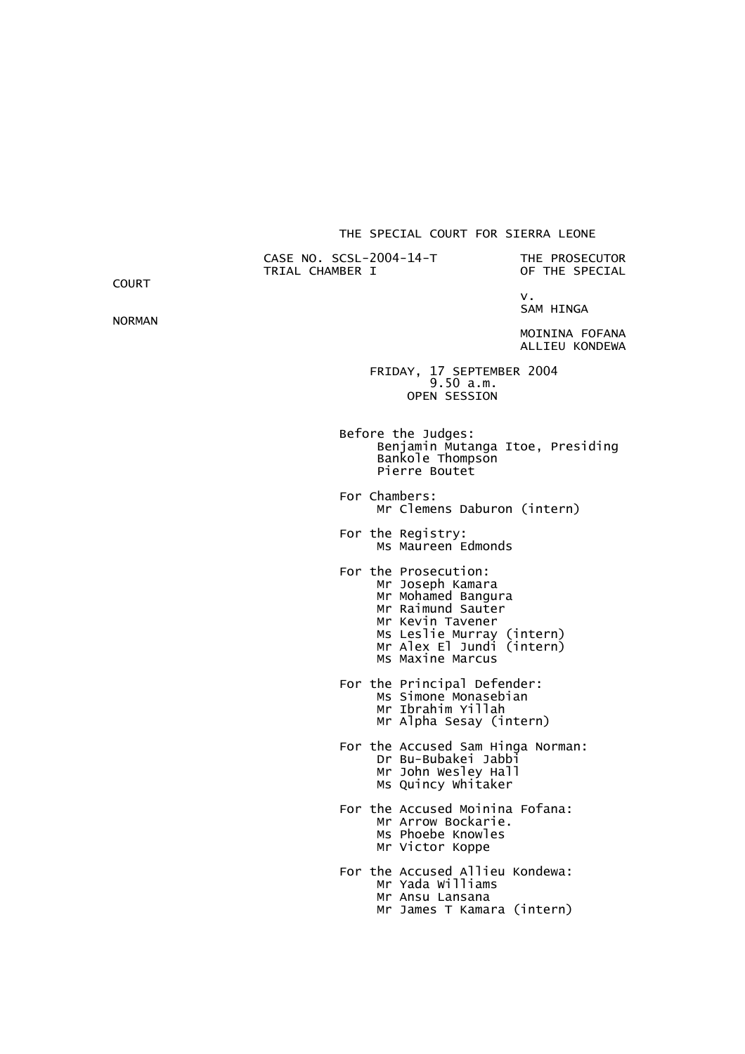THE SPECIAL COURT FOR SIERRA LEONE

|        | CASE NO. SCSL-2004-14-T<br>TRIAL CHAMBER I |                                                                                                                                                                                       | THE PROSECUTOR<br>OF THE SPECIAL |
|--------|--------------------------------------------|---------------------------------------------------------------------------------------------------------------------------------------------------------------------------------------|----------------------------------|
| COURT  |                                            |                                                                                                                                                                                       | ν.<br><b>SAM HINGA</b>           |
| NORMAN |                                            |                                                                                                                                                                                       | MOININA FOFANA<br>ALLIEU KONDEWA |
|        |                                            | FRIDAY, 17 SEPTEMBER 2004<br>9.50 a.m.<br>OPEN SESSION                                                                                                                                |                                  |
|        |                                            | Before the Judges:<br>Bankole Thompson<br>Pierre Boutet                                                                                                                               | Benjamin Mutanga Itoe, Presiding |
|        |                                            | For Chambers:<br>Mr Clemens Daburon (intern)                                                                                                                                          |                                  |
|        |                                            | For the Registry:<br>Ms Maureen Edmonds                                                                                                                                               |                                  |
|        |                                            | For the Prosecution:<br>Mr Joseph Kamara<br>Mr Mohamed Bangura<br>Mr Raimund Sauter<br>Mr Kevin Tavener<br>Ms Leslie Murray (intern)<br>Mr Alex El Jundi (intern)<br>Ms Maxine Marcus |                                  |
|        |                                            | For the Principal Defender:<br>Ms Simone Monasebian<br>Mr Ibrahim Yillah<br>Mr Alpha Sesay (intern)                                                                                   |                                  |
|        |                                            | For the Accused Sam Hinga Norman:<br>Dr Bu-Bubakei Jabbi<br>Mr John Wesley Hall<br>Ms Quincy Whitaker                                                                                 |                                  |
|        |                                            | For the Accused Moinina Fofana:<br>Mr Arrow Bockarie.<br>Ms Phoebe Knowles<br>Mr Victor Koppe                                                                                         |                                  |
|        |                                            | For the Accused Allieu Kondewa:<br>Mr Yada Williams<br>Mr Ansu Lansana<br>Mr James T Kamara (intern)                                                                                  |                                  |

COURT

NORMAN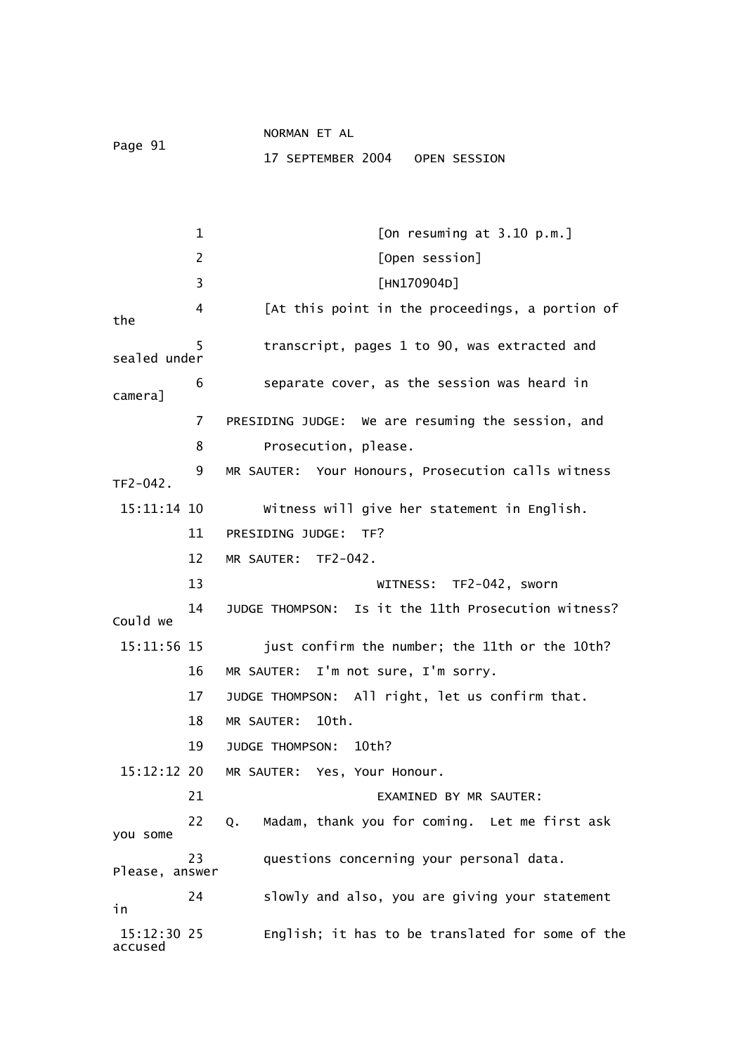1 [On resuming at 3.10 p.m.] 2 **Construction** [Open session] 3 [HN170904D] 4 [At this point in the proceedings, a portion of the 5 transcript, pages 1 to 90, was extracted and sealed under 6 separate cover, as the session was heard in camera] 7 PRESIDING JUDGE: We are resuming the session, and 8 Prosecution, please. 9 MR SAUTER: Your Honours, Prosecution calls witness TF2-042. 15:11:14 10 Witness will give her statement in English. 11 PRESIDING JUDGE: TF? 12 MR SAUTER: TF2-042. 13 WITNESS: TF2-042, sworn 14 JUDGE THOMPSON: Is it the 11th Prosecution witness? Could we 15:11:56 15 just confirm the number; the 11th or the 10th? 16 MR SAUTER: I'm not sure, I'm sorry. 17 JUDGE THOMPSON: All right, let us confirm that. 18 MR SAUTER: 10th. 19 JUDGE THOMPSON: 10th? 15:12:12 20 MR SAUTER: Yes, Your Honour. 21 EXAMINED BY MR SAUTER: 22 Q. Madam, thank you for coming. Let me first ask you some 23 questions concerning your personal data. Please, answer 24 slowly and also, you are giving your statement in 15:12:30 25 English; it has to be translated for some of the accused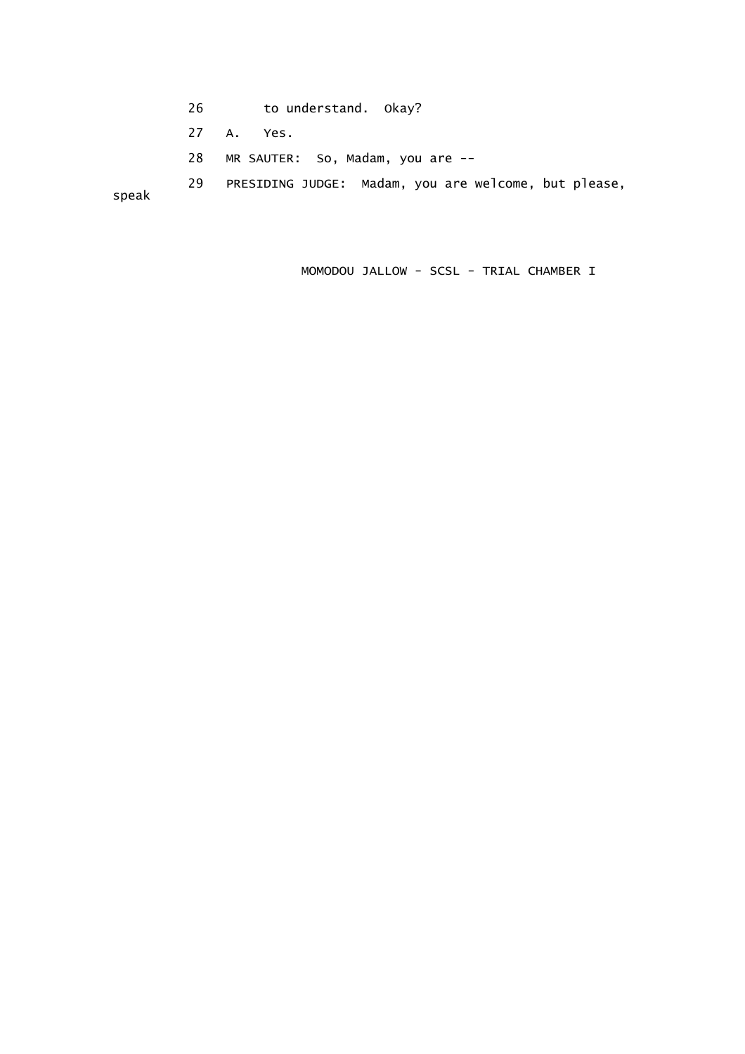- 26 to understand. Okay?
- 27 A. Yes.
- 28 MR SAUTER: So, Madam, you are --
- 29 PRESIDING JUDGE: Madam, you are welcome, but please,

speak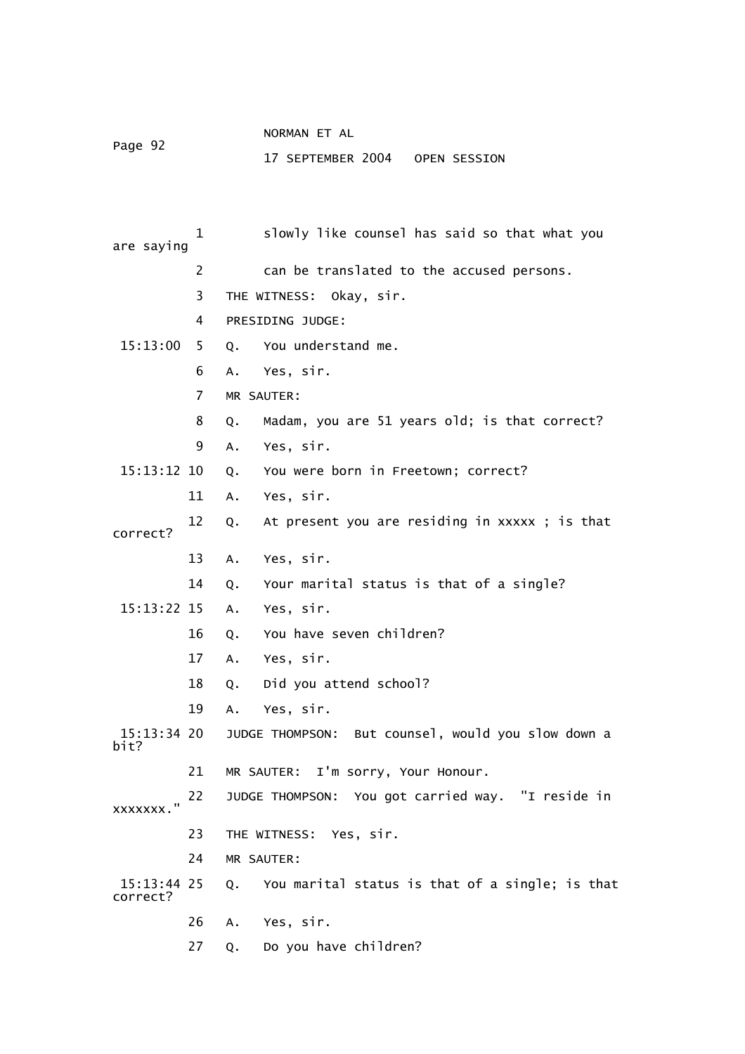|         | NORMAN ET AL                   |  |
|---------|--------------------------------|--|
| Page 92 | 17 SEPTEMBER 2004 OPEN SESSION |  |

 1 slowly like counsel has said so that what you are saying 2 can be translated to the accused persons. 3 THE WITNESS: Okay, sir. 4 PRESIDING JUDGE: 15:13:00 5 Q. You understand me. 6 A. Yes, sir. 7 MR SAUTER: 8 Q. Madam, you are 51 years old; is that correct? 9 A. Yes, sir. 15:13:12 10 Q. You were born in Freetown; correct? 11 A. Yes, sir. 12 Q. At present you are residing in xxxxx; is that correct? 13 A. Yes, sir. 14 Q. Your marital status is that of a single? 15:13:22 15 A. Yes, sir. 16 Q. You have seven children? 17 A. Yes, sir. 18 Q. Did you attend school? 19 A. Yes, sir. 15:13:34 20 JUDGE THOMPSON: But counsel, would you slow down a bit? 21 MR SAUTER: I'm sorry, Your Honour. 22 JUDGE THOMPSON: You got carried way. "I reside in xxxxxxx." 23 THE WITNESS: Yes, sir. 24 MR SAUTER: 15:13:44 25 Q. You marital status is that of a single; is that correct? 26 A. Yes, sir. 27 Q. Do you have children?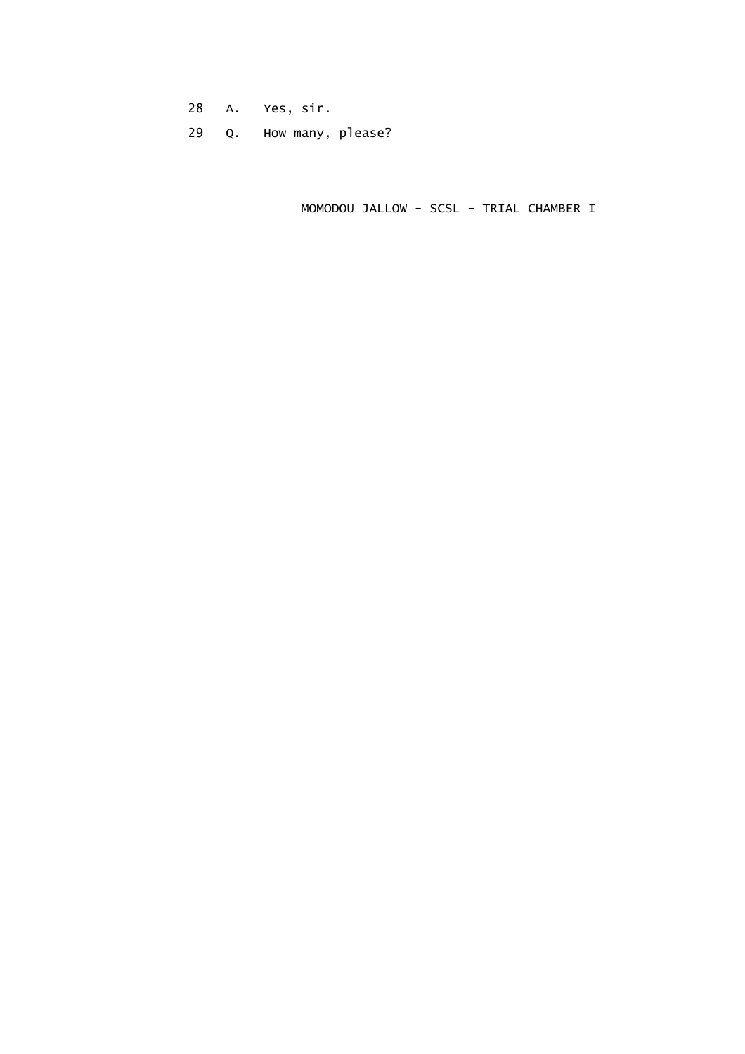- 28 A. Yes, sir.
- 29 Q. How many, please?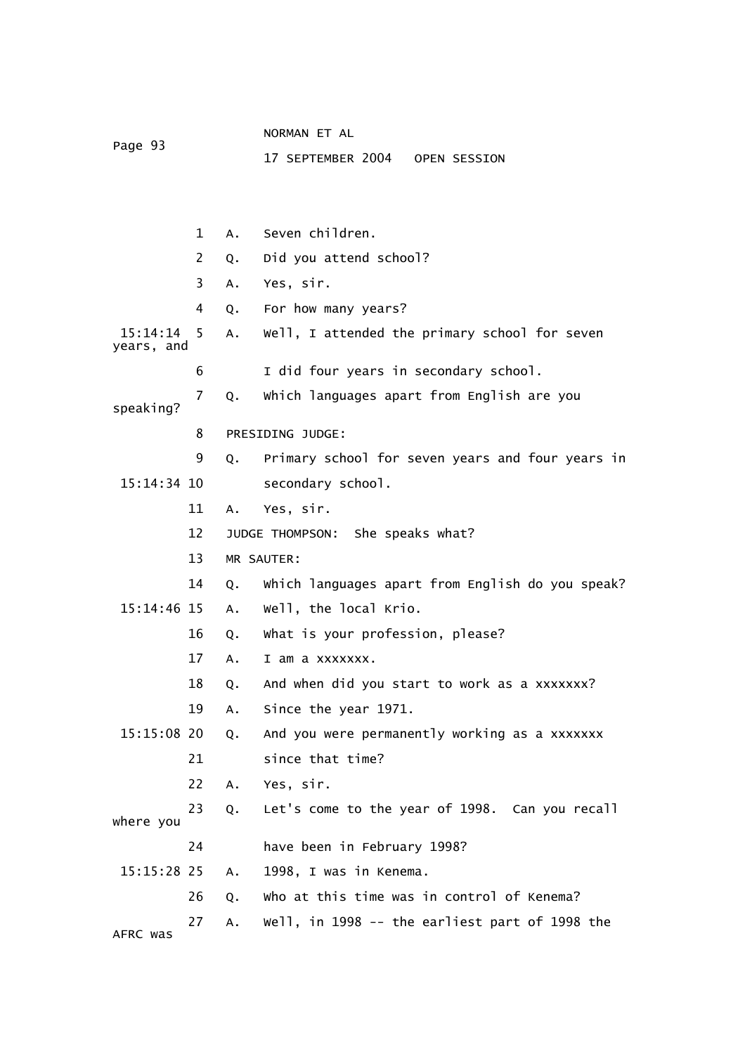|                        |    |                | NORMAN ET AL                                     |
|------------------------|----|----------------|--------------------------------------------------|
| Page 93                |    |                | 17 SEPTEMBER 2004 OPEN SESSION                   |
|                        |    |                |                                                  |
|                        |    |                |                                                  |
|                        | 1  | А.             | Seven children.                                  |
|                        | 2  | Q.             | Did you attend school?                           |
|                        | 3  | А.             | Yes, sir.                                        |
|                        | 4  | Q.             | For how many years?                              |
| 15:14:14<br>years, and | 5. | А.             | Well, I attended the primary school for seven    |
|                        | 6  |                | I did four years in secondary school.            |
| speaking?              | 7  | Q.             | Which languages apart from English are you       |
|                        | 8  |                | PRESIDING JUDGE:                                 |
|                        | 9  | Q.             | Primary school for seven years and four years in |
| 15:14:34 10            |    |                | secondary school.                                |
|                        | 11 | Α.             | Yes, sir.                                        |
|                        | 12 |                | JUDGE THOMPSON: She speaks what?                 |
|                        | 13 |                | MR SAUTER:                                       |
|                        | 14 | Q <sub>1</sub> | Which languages apart from English do you speak? |
| 15:14:46 15            |    | Α.             | Well, the local Krio.                            |
|                        | 16 | Q <sub>1</sub> | What is your profession, please?                 |
|                        | 17 | А.             | I am a xxxxxxx.                                  |
|                        | 18 | Q.             | And when did you start to work as a xxxxxxx?     |
|                        | 19 | Α.             | Since the year 1971.                             |
| 15:15:08 20            |    | Q.             | And you were permanently working as a xxxxxxx    |
|                        | 21 |                | since that time?                                 |
|                        | 22 | Α.             | Yes, sir.                                        |
| where you              | 23 | Q.             | Let's come to the year of 1998. Can you recall   |
|                        | 24 |                | have been in February 1998?                      |
| 15:15:28 25            |    | Α.             | 1998, I was in Kenema.                           |
|                        | 26 | Q.             | who at this time was in control of Kenema?       |
| AFRC was               | 27 | А.             | Well, in 1998 -- the earliest part of 1998 the   |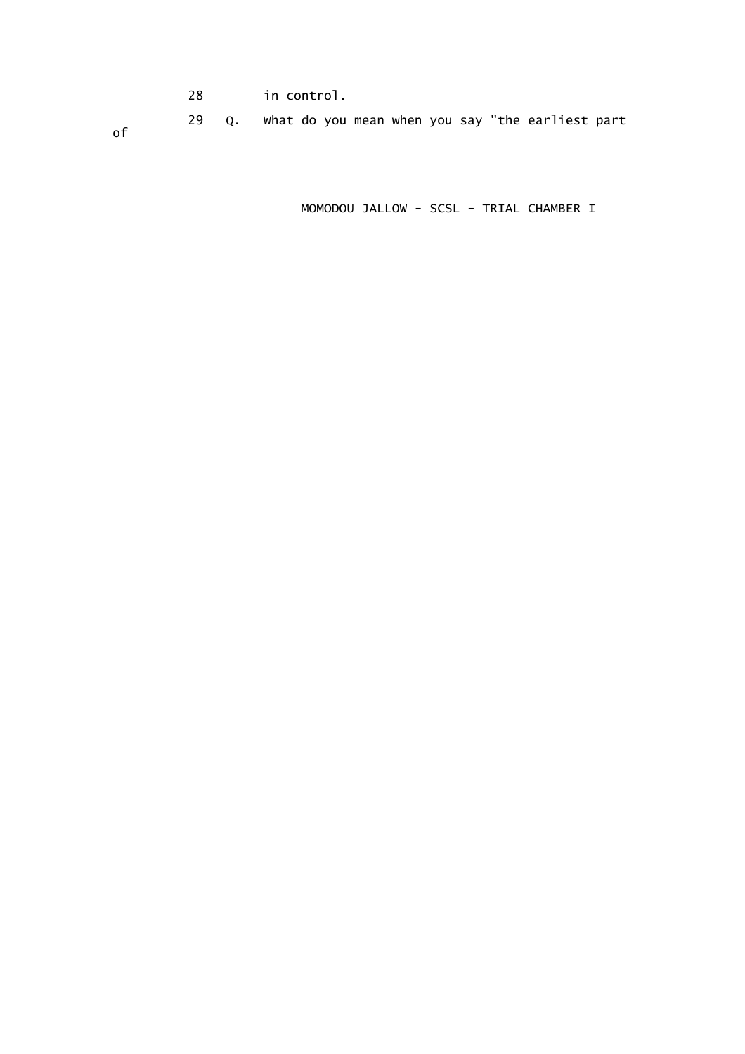| in control.<br>28 |
|-------------------|
|-------------------|

|  |  |  |  |  | 29 Q. What do you mean when you say "the earliest part |  |
|--|--|--|--|--|--------------------------------------------------------|--|
|  |  |  |  |  |                                                        |  |

of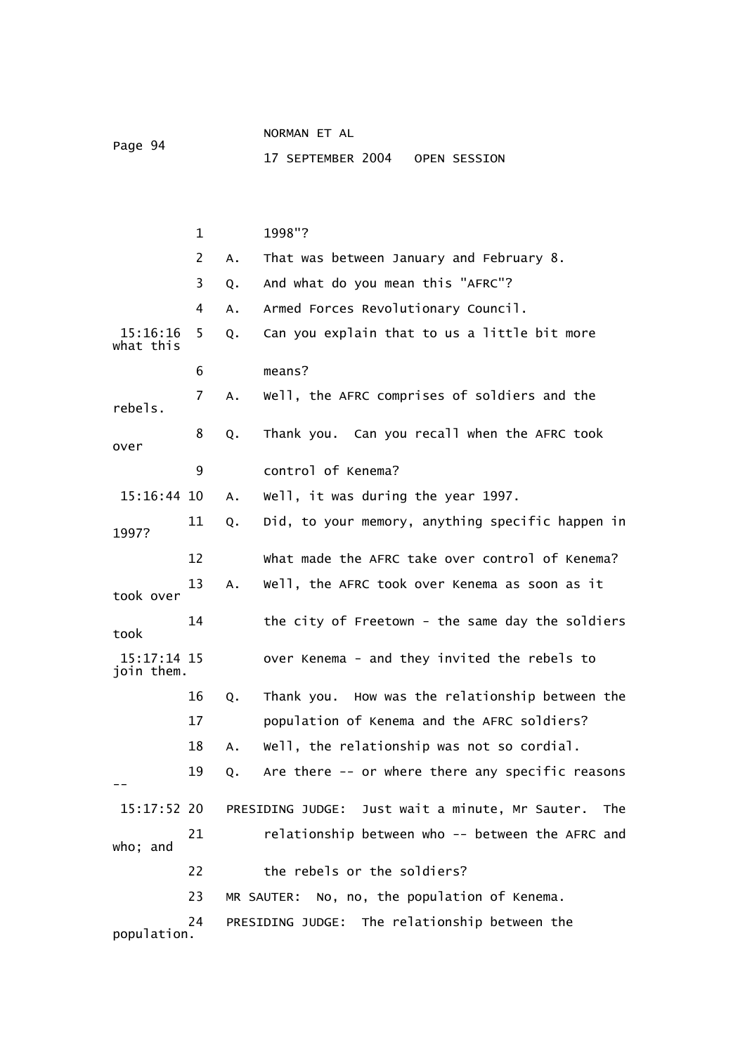|         | NORMAN ET AL                   |  |
|---------|--------------------------------|--|
| Page 94 | 17 SEPTEMBER 2004 OPEN SESSION |  |

|                             | $\mathbf 1$ |    | 1998"?                                              |
|-----------------------------|-------------|----|-----------------------------------------------------|
|                             | 2           | А. | That was between January and February 8.            |
|                             | 3           | Q. | And what do you mean this "AFRC"?                   |
|                             | 4           | А. | Armed Forces Revolutionary Council.                 |
| 15:16:16<br>what this       | 5           | Q. | Can you explain that to us a little bit more        |
|                             | 6           |    | means?                                              |
| rebels.                     | 7           | Α. | Well, the AFRC comprises of soldiers and the        |
| over                        | 8           | Q. | Thank you. Can you recall when the AFRC took        |
|                             | 9           |    | control of Kenema?                                  |
| $15:16:44$ 10               |             | А. | well, it was during the year 1997.                  |
| 1997?                       | 11          | Q. | Did, to your memory, anything specific happen in    |
|                             | 12          |    | What made the AFRC take over control of Kenema?     |
| took over                   | 13          | Α. | Well, the AFRC took over Kenema as soon as it       |
| took                        | 14          |    | the city of Freetown - the same day the soldiers    |
| $15:17:14$ 15<br>join them. |             |    | over Kenema - and they invited the rebels to        |
|                             | 16          | Q. | Thank you. How was the relationship between the     |
|                             | 17          |    | population of Kenema and the AFRC soldiers?         |
|                             | 18          | А. | Well, the relationship was not so cordial.          |
|                             | 19          | Q. | Are there -- or where there any specific reasons    |
| 15:17:52 20                 |             |    | PRESIDING JUDGE: Just wait a minute, Mr Sauter. The |
| who; and                    | 21          |    | relationship between who -- between the AFRC and    |
|                             | 22          |    | the rebels or the soldiers?                         |
|                             | 23          |    | No, no, the population of Kenema.<br>MR SAUTER:     |
| population.                 | 24          |    | PRESIDING JUDGE: The relationship between the       |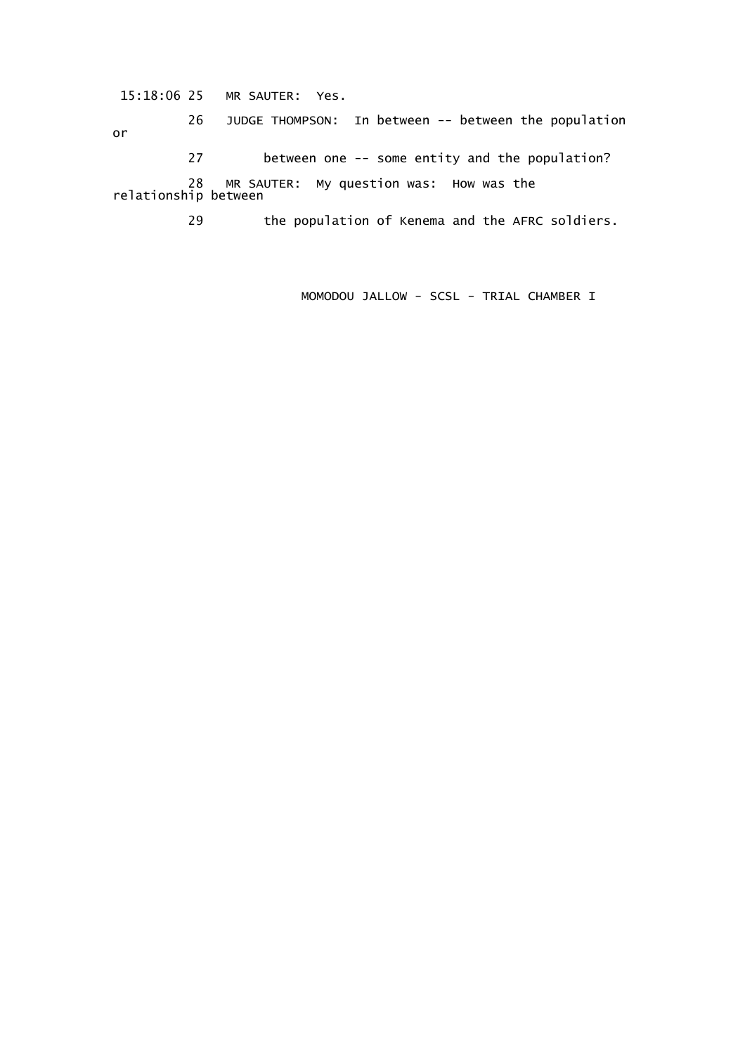15:18:06 25 MR SAUTER: Yes. 26 JUDGE THOMPSON: In between -- between the population or 27 between one -- some entity and the population? 28 MR SAUTER: My question was: How was the relationship between 29 the population of Kenema and the AFRC soldiers.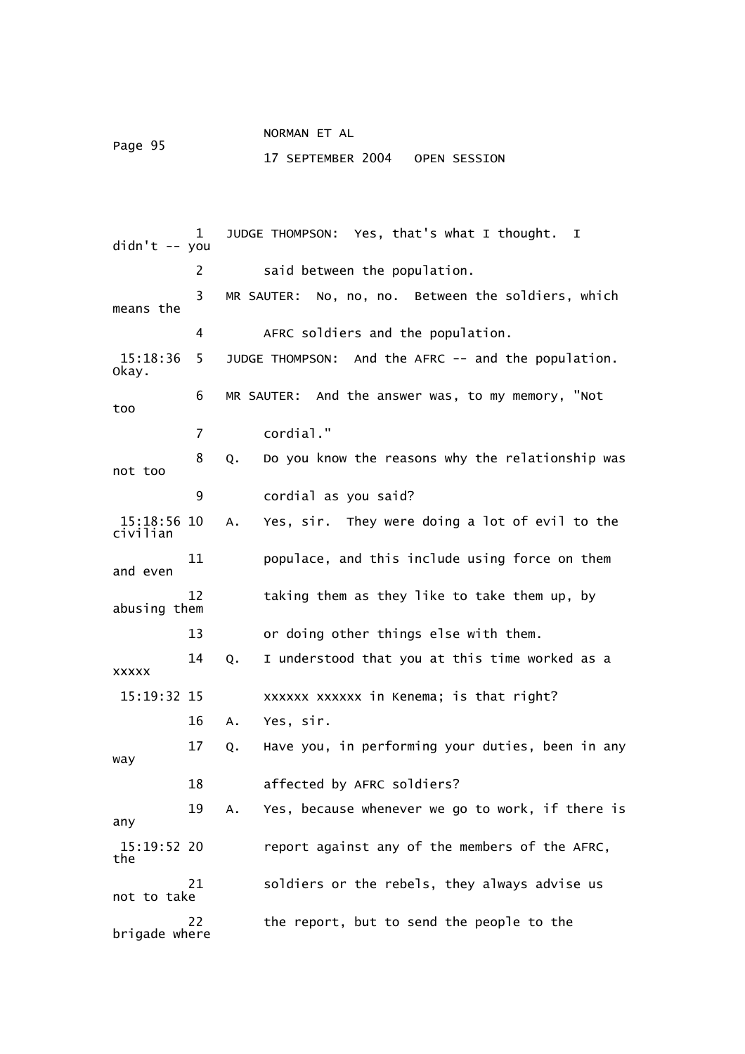NORMAN ET AL Page 95 17 SEPTEMBER 2004 OPEN SESSION

 1 JUDGE THOMPSON: Yes, that's what I thought. I didn't -- you 2 said between the population. 3 MR SAUTER: No, no, no. Between the soldiers, which means the 4 AFRC soldiers and the population. 15:18:36 5 JUDGE THOMPSON: And the AFRC -- and the population. Okay. 6 MR SAUTER: And the answer was, to my memory, "Not too 7 cordial." 8 Q. Do you know the reasons why the relationship was not too 9 cordial as you said? 15:18:56 10 A. Yes, sir. They were doing a lot of evil to the civilian 11 populace, and this include using force on them and even 12 taking them as they like to take them up, by abusing them 13 or doing other things else with them. 14 Q. I understood that you at this time worked as a xxxxx 15:19:32 15 xxxxxx xxxxxx in Kenema; is that right? 16 A. Yes, sir. 17 Q. Have you, in performing your duties, been in any way 18 affected by AFRC soldiers? 19 A. Yes, because whenever we go to work, if there is any 15:19:52 20 report against any of the members of the AFRC, the 21 soldiers or the rebels, they always advise us not to take 22 the report, but to send the people to the brigade where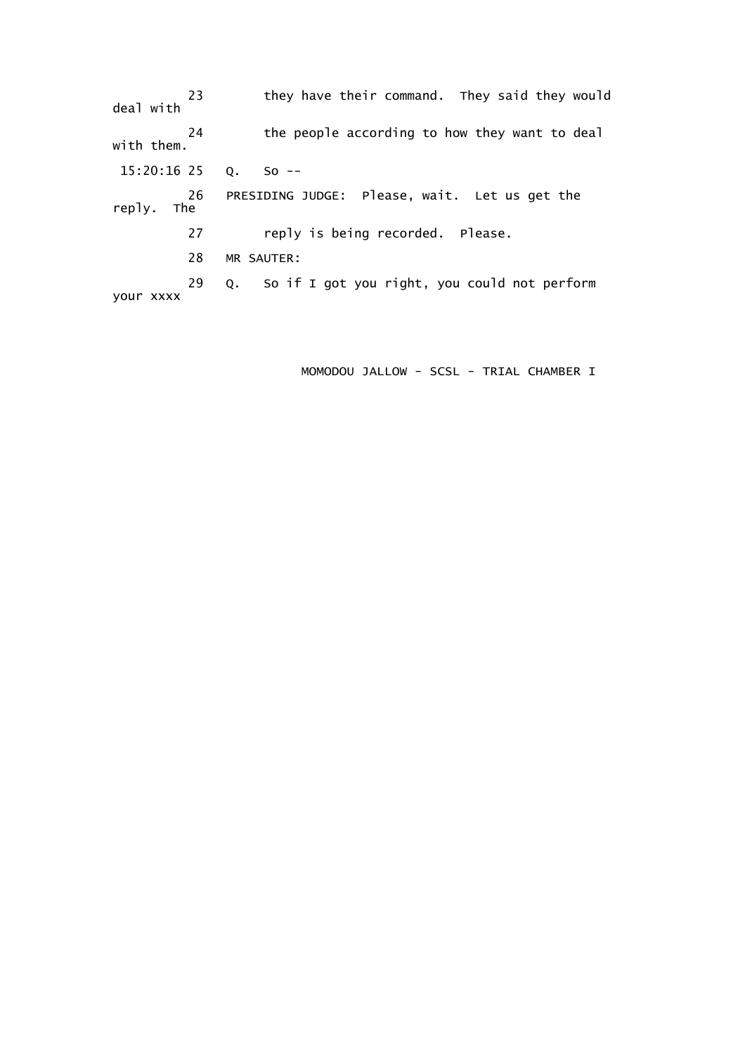they have their command. They said they would deal with 24 the people according to how they want to deal with them. 15:20:16 25 Q. So -- 26 PRESIDING JUDGE: Please, wait. Let us get the reply. The 27 reply is being recorded. Please. 28 MR SAUTER: 29 Q. So if I got you right, you could not perform your xxxx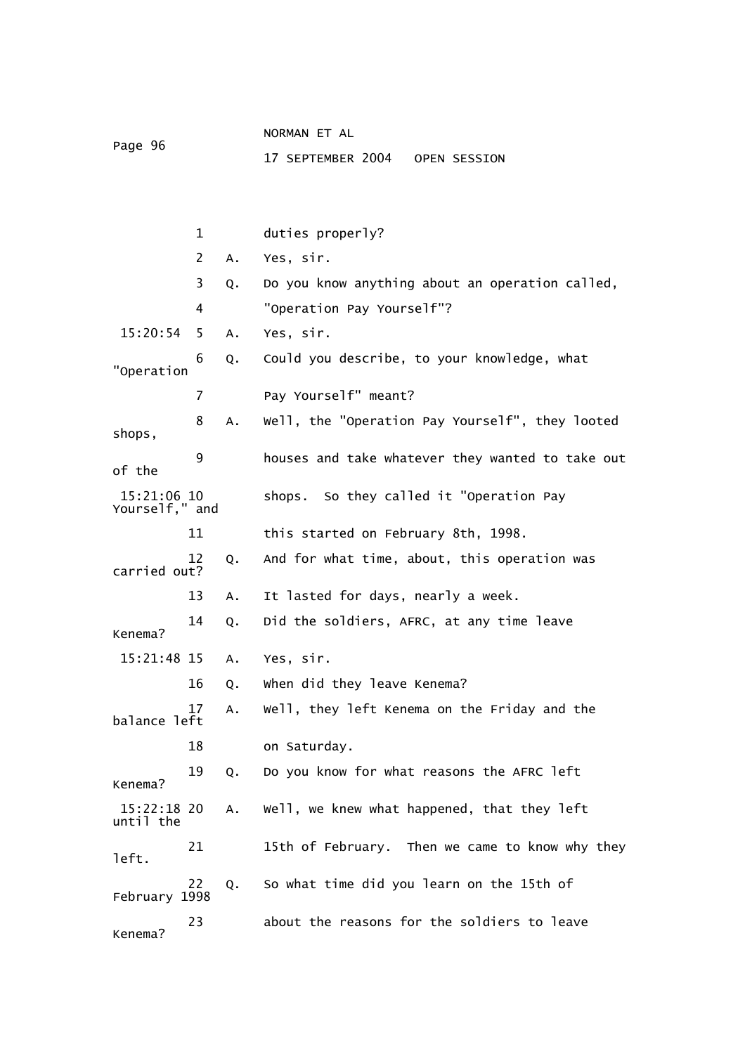| Page 96                       |    |    | 17 SEPTEMBER 2004 OPEN SESSION                   |
|-------------------------------|----|----|--------------------------------------------------|
|                               |    |    |                                                  |
|                               | 1  |    | duties properly?                                 |
|                               | 2  | А. | Yes, sir.                                        |
|                               | 3  | Q. | Do you know anything about an operation called,  |
|                               | 4  |    | "Operation Pay Yourself"?                        |
| 15:20:54                      | 5. | А. | Yes, sir.                                        |
| "Operation                    | 6  | Q. | Could you describe, to your knowledge, what      |
|                               | 7  |    | Pay Yourself" meant?                             |
| shops,                        | 8  | А. | Well, the "Operation Pay Yourself", they looted  |
| of the                        | 9  |    | houses and take whatever they wanted to take out |
| 15:21:06 10<br>Yourself," and |    |    | shops. So they called it "Operation Pay          |
|                               | 11 |    | this started on February 8th, 1998.              |
| carried out?                  | 12 | Q. | And for what time, about, this operation was     |
|                               | 13 | Α. | It lasted for days, nearly a week.               |
| Kenema?                       | 14 | Q. | Did the soldiers, AFRC, at any time leave        |
| 15:21:48 15                   |    | А. | Yes, sir.                                        |
|                               | 16 | Q. | When did they leave Kenema?                      |
| balance left                  | 17 | Α. | Well, they left Kenema on the Friday and the     |
|                               | 18 |    | on Saturday.                                     |
| Kenema?                       | 19 | Q. | Do you know for what reasons the AFRC left       |
| 15:22:18 20<br>until the      |    | А. | Well, we knew what happened, that they left      |
| left.                         | 21 |    | 15th of February. Then we came to know why they  |
| February 1998                 | 22 | Q. | So what time did you learn on the 15th of        |
| Kenema?                       | 23 |    | about the reasons for the soldiers to leave      |

NORMAN ET AL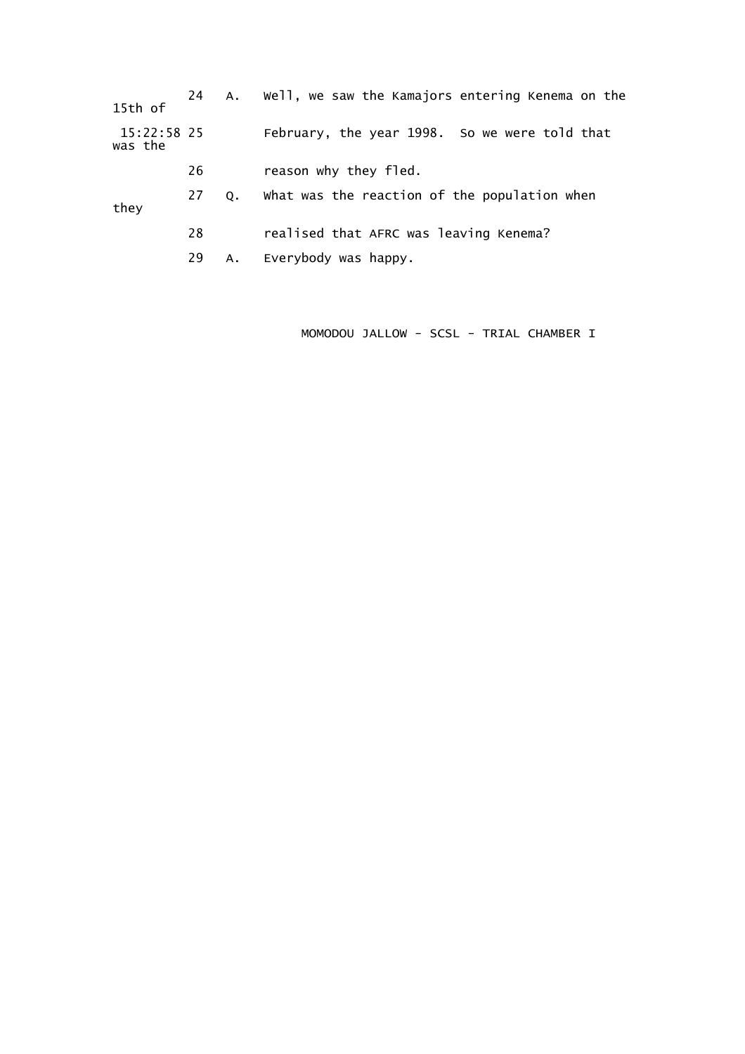| 15th of                | 24 |    | A. Well, we saw the Kamajors entering Kenema on the |
|------------------------|----|----|-----------------------------------------------------|
| 15:22:58 25<br>was the |    |    | February, the year 1998. So we were told that       |
|                        | 26 |    | reason why they fled.                               |
| they                   | 27 | 0. | What was the reaction of the population when        |
|                        | 28 |    | realised that AFRC was leaving Kenema?              |
|                        | 29 | А. | Everybody was happy.                                |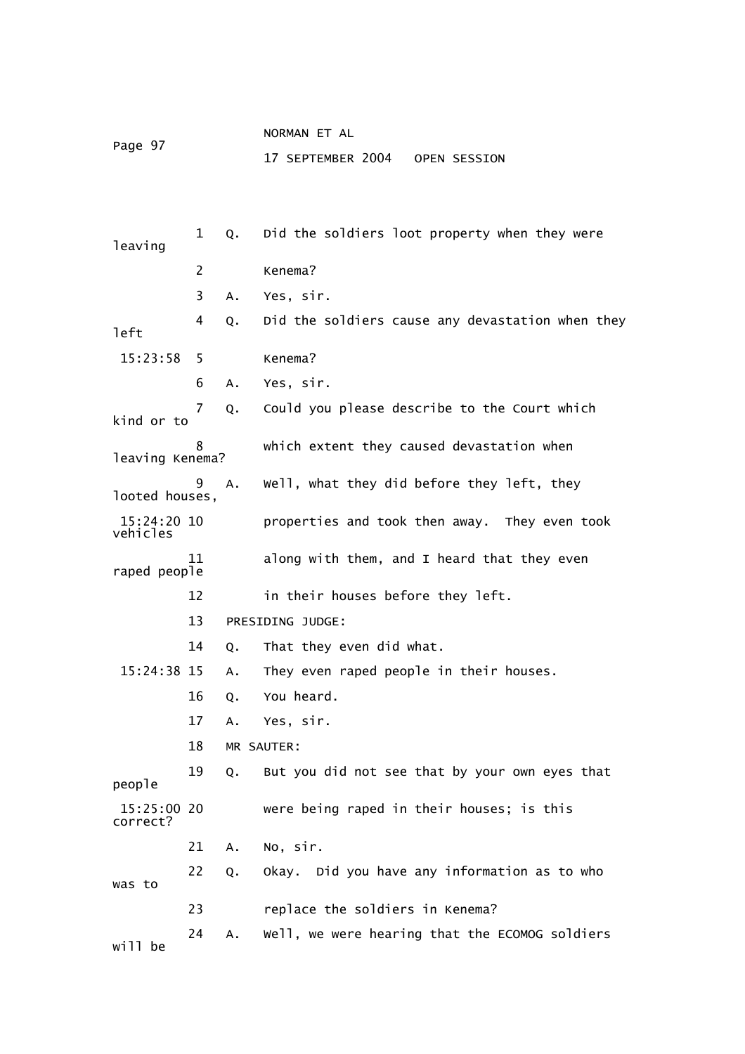|                         |    |                | NORMAN ET AL                                     |
|-------------------------|----|----------------|--------------------------------------------------|
| Page 97                 |    |                | 17 SEPTEMBER 2004<br><b>OPEN SESSION</b>         |
|                         |    |                |                                                  |
|                         |    |                |                                                  |
| leaving                 | 1  | Q.             | Did the soldiers loot property when they were    |
|                         | 2  |                | Kenema?                                          |
|                         | 3  | Α.             | Yes, sir.                                        |
| left                    | 4  | Q.             | Did the soldiers cause any devastation when they |
| 15:23:58                | 5  |                | Kenema?                                          |
|                         | 6  | Α.             | Yes, sir.                                        |
| kind or to              | 7  | Q.             | Could you please describe to the Court which     |
| leaving Kenema?         | 8  |                | which extent they caused devastation when        |
| looted houses,          | 9  | Α.             | well, what they did before they left, they       |
| 15:24:20 10<br>vehicles |    |                | properties and took then away. They even took    |
| raped people            | 11 |                | along with them, and I heard that they even      |
|                         | 12 |                | in their houses before they left.                |
|                         | 13 |                | PRESIDING JUDGE:                                 |
|                         | 14 | Q.             | That they even did what.                         |
| 15:24:38 15             |    | А.             | They even raped people in their houses.          |
|                         | 16 | Q.             | You heard.                                       |
|                         | 17 | Α.             | Yes, sir.                                        |
|                         | 18 |                | MR SAUTER:                                       |
| people                  | 19 | Q <sub>1</sub> | But you did not see that by your own eyes that   |
| 15:25:00 20<br>correct? |    |                | were being raped in their houses; is this        |
|                         | 21 | Α.             | No, sir.                                         |
| was to                  | 22 | Q.             | Okay. Did you have any information as to who     |
|                         | 23 |                | replace the soldiers in Kenema?                  |
| will be                 | 24 | А.             | Well, we were hearing that the ECOMOG soldiers   |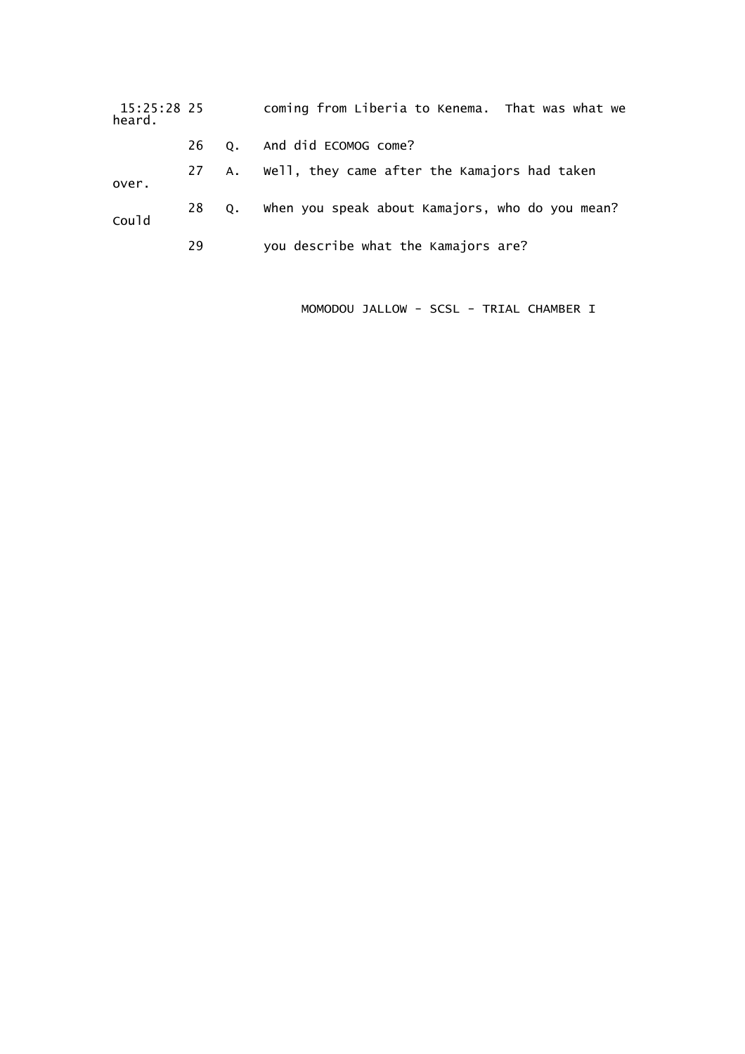| 15:25:28 25<br>heard. |    |                | coming from Liberia to Kenema. That was what we |
|-----------------------|----|----------------|-------------------------------------------------|
|                       | 26 | $\mathsf{O}$ . | And did ECOMOG come?                            |
| over.                 | 27 |                | A. Well, they came after the Kamajors had taken |
| Could                 | 28 | Q.             | When you speak about Kamajors, who do you mean? |
|                       | 29 |                | you describe what the Kamajors are?             |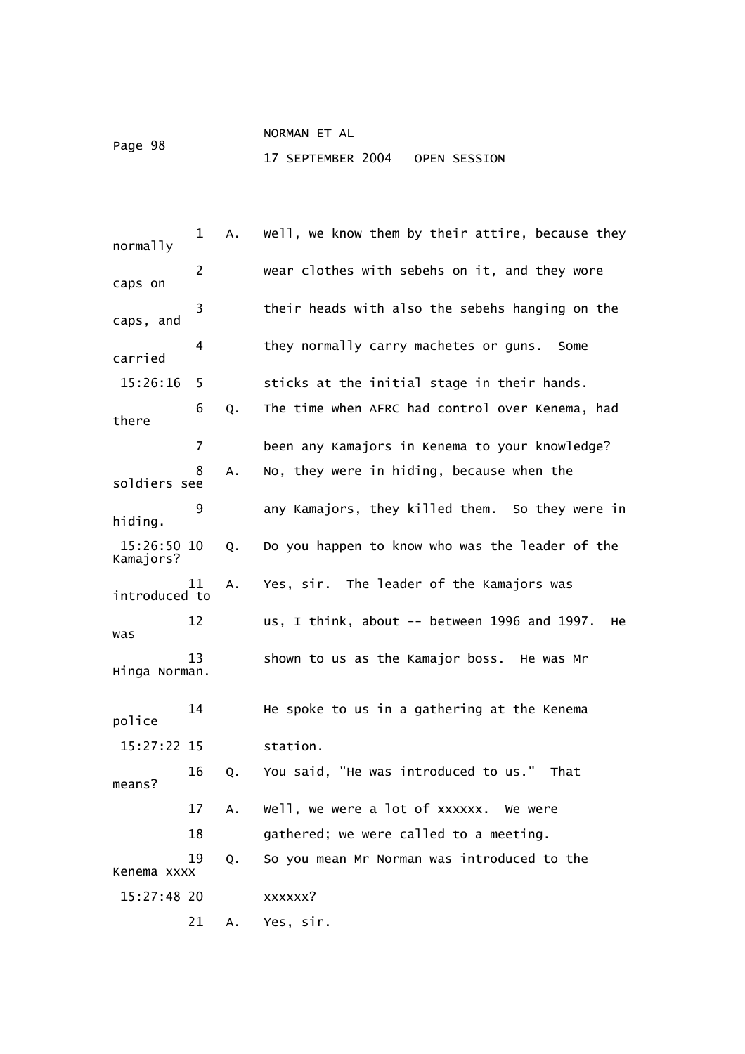NORMAN ET AL Page 98 17 SEPTEMBER 2004 OPEN SESSION

| normally                 | 1              | Α. | Well, we know them by their attire, because they    |
|--------------------------|----------------|----|-----------------------------------------------------|
| caps on                  | $\overline{2}$ |    | wear clothes with sebehs on it, and they wore       |
| caps, and                | 3              |    | their heads with also the sebehs hanging on the     |
| carried                  | 4              |    | they normally carry machetes or guns. Some          |
| 15:26:16                 | 5              |    | sticks at the initial stage in their hands.         |
| there                    | 6              | Q. | The time when AFRC had control over Kenema, had     |
|                          | 7              |    | been any Kamajors in Kenema to your knowledge?      |
| soldiers see             | 8              | А. | No, they were in hiding, because when the           |
| hiding.                  | 9              |    | any Kamajors, they killed them. So they were in     |
| 15:26:50 10<br>Kamajors? |                | Q. | Do you happen to know who was the leader of the     |
| introduced to            | 11             | А. | Yes, sir. The leader of the Kamajors was            |
| was                      | 12             |    | us, I think, about -- between 1996 and 1997.<br>He. |
| Hinga Norman.            | 13             |    | shown to us as the Kamajor boss. He was Mr          |
| police                   | 14             |    | He spoke to us in a gathering at the Kenema         |
| 15:27:22 15              |                |    | station.                                            |
| means?                   | 16             | Q. | You said, "He was introduced to us."<br>That        |
|                          | 17             | A. | Well, we were a lot of xxxxxx. We were              |
|                          | 18             |    | gathered; we were called to a meeting.              |
| Kenema xxxx              | 19             | Q. | So you mean Mr Norman was introduced to the         |
| 15:27:48 20              |                |    | xxxxxx?                                             |
|                          | 21             | А. | Yes, sir.                                           |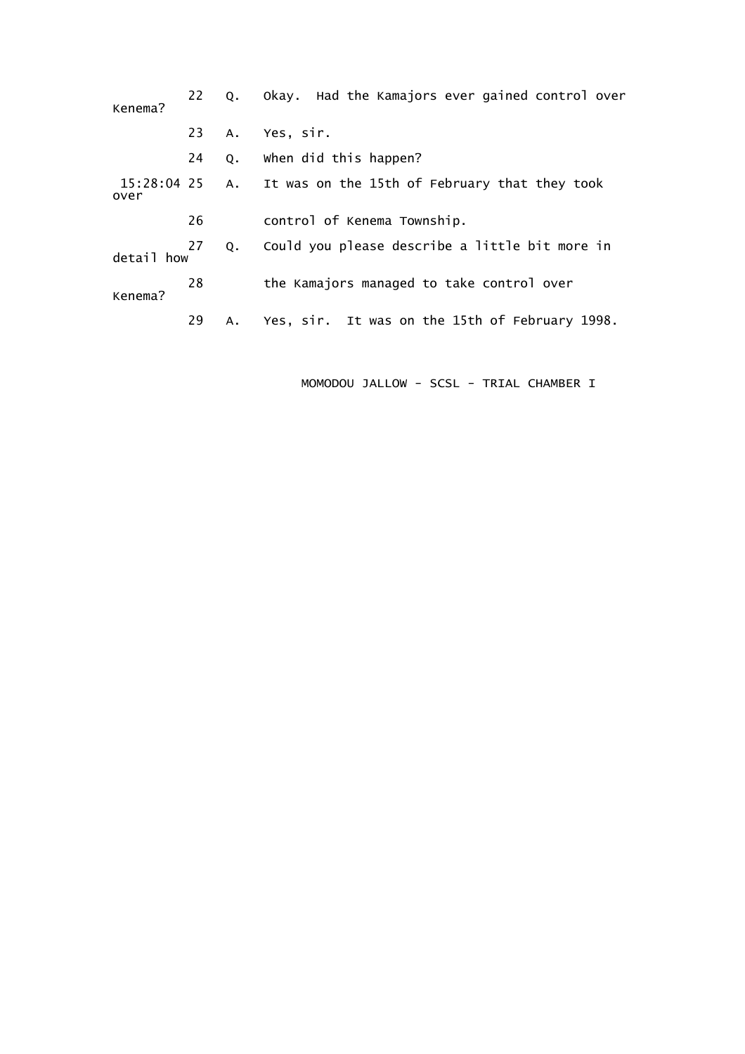| Kenema?    | 22 |             | Q. Okay. Had the Kamajors ever gained control over           |
|------------|----|-------------|--------------------------------------------------------------|
|            | 23 |             | A. Yes, sir.                                                 |
|            | 24 | Q.          | when did this happen?                                        |
| over       |    |             | 15:28:04 25 A. It was on the 15th of February that they took |
|            | 26 |             | control of Kenema Township.                                  |
| detail how | 27 | $Q_{\star}$ | Could you please describe a little bit more in               |
| Kenema?    | 28 |             | the Kamajors managed to take control over                    |
|            | 29 | А.          | Yes, sir. It was on the 15th of February 1998.               |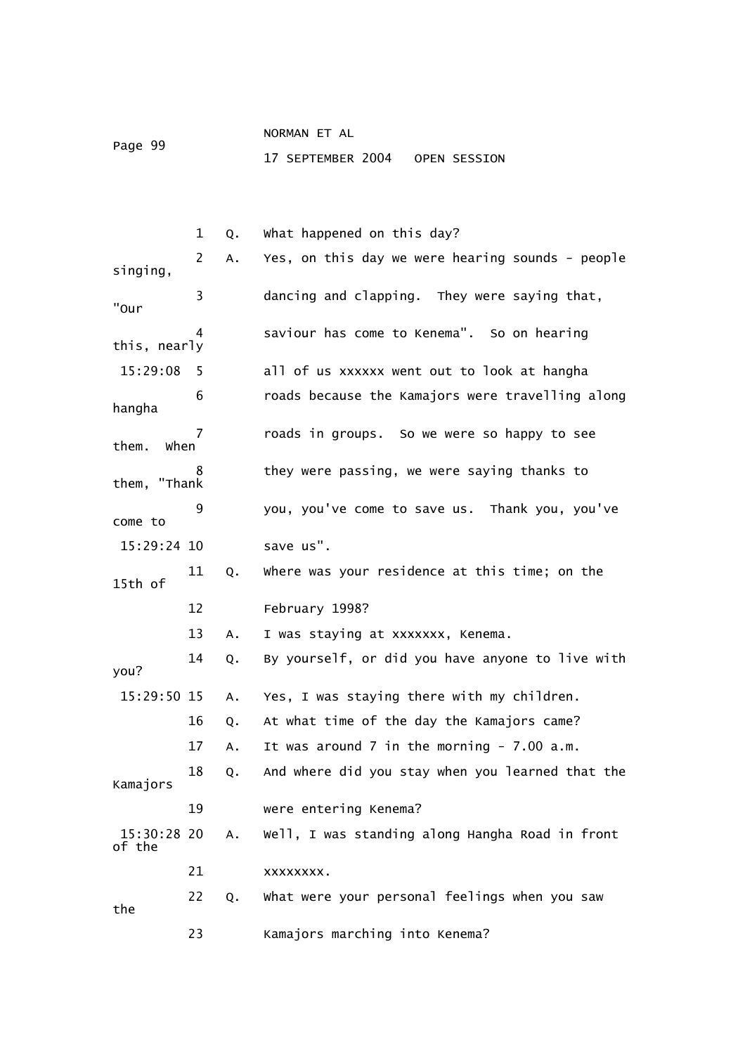NORMAN ET AL

17 SEPTEMBER 2004 OPEN SESSION

|                       | 1  | Q. | What happened on this day?                       |
|-----------------------|----|----|--------------------------------------------------|
| singing,              | 2  | А. | Yes, on this day we were hearing sounds - people |
| "Our                  | 3  |    | dancing and clapping. They were saying that,     |
| this, nearly          | 4  |    | saviour has come to Kenema". So on hearing       |
| $15:29:08$ 5          |    |    | all of us xxxxxx went out to look at hangha      |
| hangha                | 6  |    | roads because the Kamajors were travelling along |
| when<br>them.         | 7  |    | roads in groups. So we were so happy to see      |
| them, "Thank          | 8  |    | they were passing, we were saying thanks to      |
| come to               | 9  |    | you, you've come to save us. Thank you, you've   |
| 15:29:24 10           |    |    | save us".                                        |
| 15th of               | 11 | Q. | where was your residence at this time; on the    |
|                       | 12 |    | February 1998?                                   |
|                       | 13 | Α. | I was staying at xxxxxxx, Kenema.                |
| you?                  | 14 | Q. | By yourself, or did you have anyone to live with |
| 15:29:50 15           |    | Α. | Yes, I was staying there with my children.       |
|                       | 16 | Q. | At what time of the day the Kamajors came?       |
|                       | 17 | А. | It was around 7 in the morning $-7.00$ a.m.      |
| Kamajors              | 18 | Q. | And where did you stay when you learned that the |
|                       | 19 |    | were entering Kenema?                            |
| 15:30:28 20<br>of the |    | Α. | Well, I was standing along Hangha Road in front  |
|                       | 21 |    | XXXXXXXX.                                        |
| the                   | 22 | Q. | What were your personal feelings when you saw    |
|                       | 23 |    | Kamajors marching into Kenema?                   |

Page 99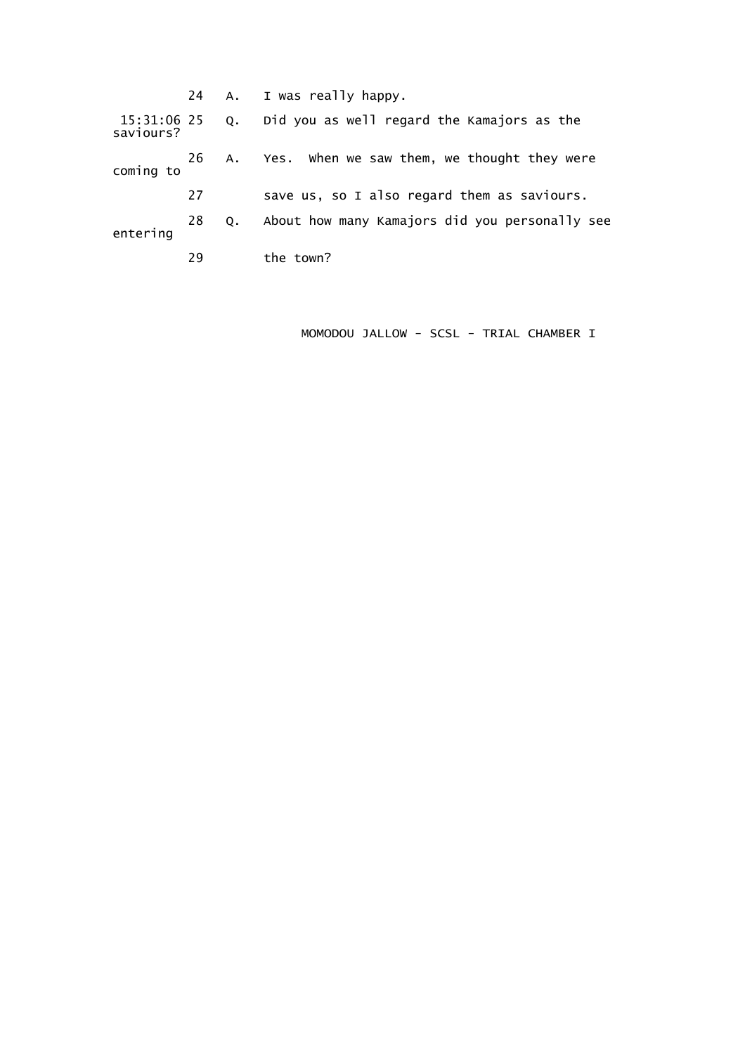24 A. I was really happy. 15:31:06 25 Q. Did you as well regard the Kamajors as the saviours? 26 A. Yes. When we saw them, we thought they were coming to 27 save us, so I also regard them as saviours. 28 Q. About how many Kamajors did you personally see entering 29 the town?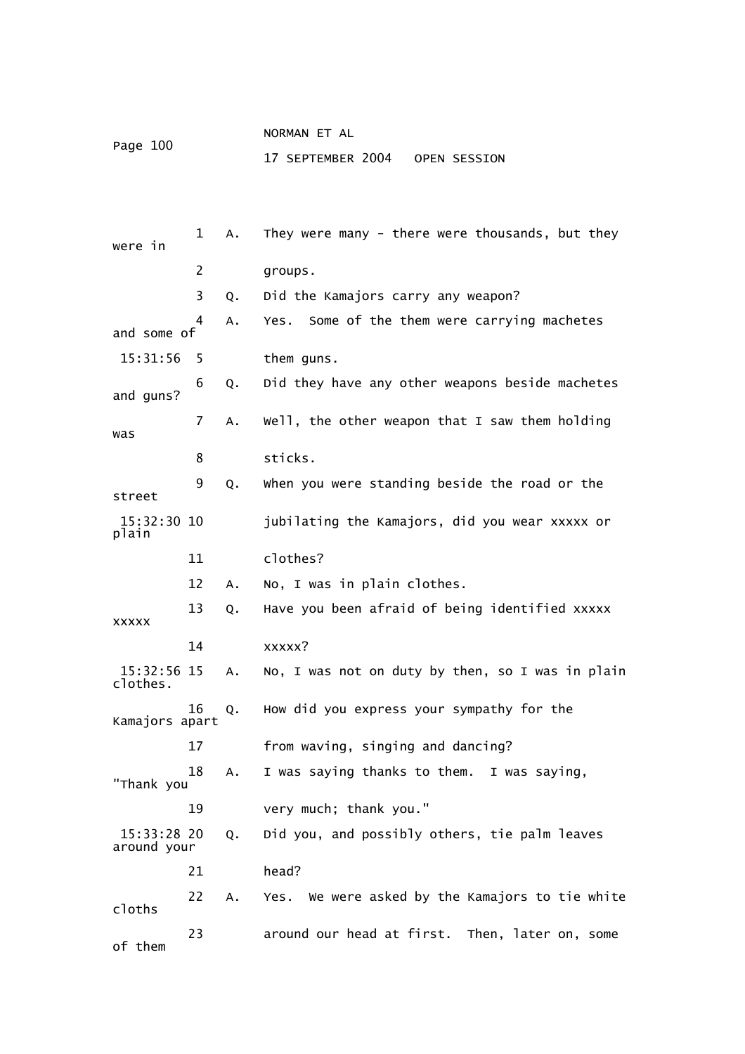|          | NORMAN ET AL                   |  |
|----------|--------------------------------|--|
| Page 100 | 17 SEPTEMBER 2004 OPEN SESSION |  |

| were in                    | 1              | Α. | They were many - there were thousands, but they  |
|----------------------------|----------------|----|--------------------------------------------------|
|                            | $\overline{2}$ |    | groups.                                          |
|                            | 3              | Q. | Did the Kamajors carry any weapon?               |
| and some of                | 4              | А. | Yes. Some of the them were carrying machetes     |
| 15:31:56                   | 5              |    | them guns.                                       |
| and guns?                  | 6              | Q. | Did they have any other weapons beside machetes  |
| was                        | 7              | А. | Well, the other weapon that I saw them holding   |
|                            | 8              |    | sticks.                                          |
| street                     | 9              | Q. | When you were standing beside the road or the    |
| 15:32:30 10<br>plain       |                |    | jubilating the Kamajors, did you wear xxxxx or   |
|                            | 11             |    | clothes?                                         |
|                            | 12             | А. | No, I was in plain clothes.                      |
| <b>XXXXX</b>               | 13             | Q. | Have you been afraid of being identified xxxxx   |
|                            | 14             |    | xxxxx?                                           |
| 15:32:56 15<br>clothes.    |                | Α. | No, I was not on duty by then, so I was in plain |
| Kamajors apart             | 16             | Q. | How did you express your sympathy for the        |
|                            | 17             |    | from waving, singing and dancing?                |
| "Thank you                 | 18             | А. | I was saying thanks to them. I was saying,       |
|                            | 19             |    | very much; thank you."                           |
| 15:33:28 20<br>around your |                | Q. | Did you, and possibly others, tie palm leaves    |
|                            | 21             |    | head?                                            |
| cloths                     | 22             | Α. | Yes. We were asked by the Kamajors to tie white  |
| of them                    | 23             |    | around our head at first. Then, later on, some   |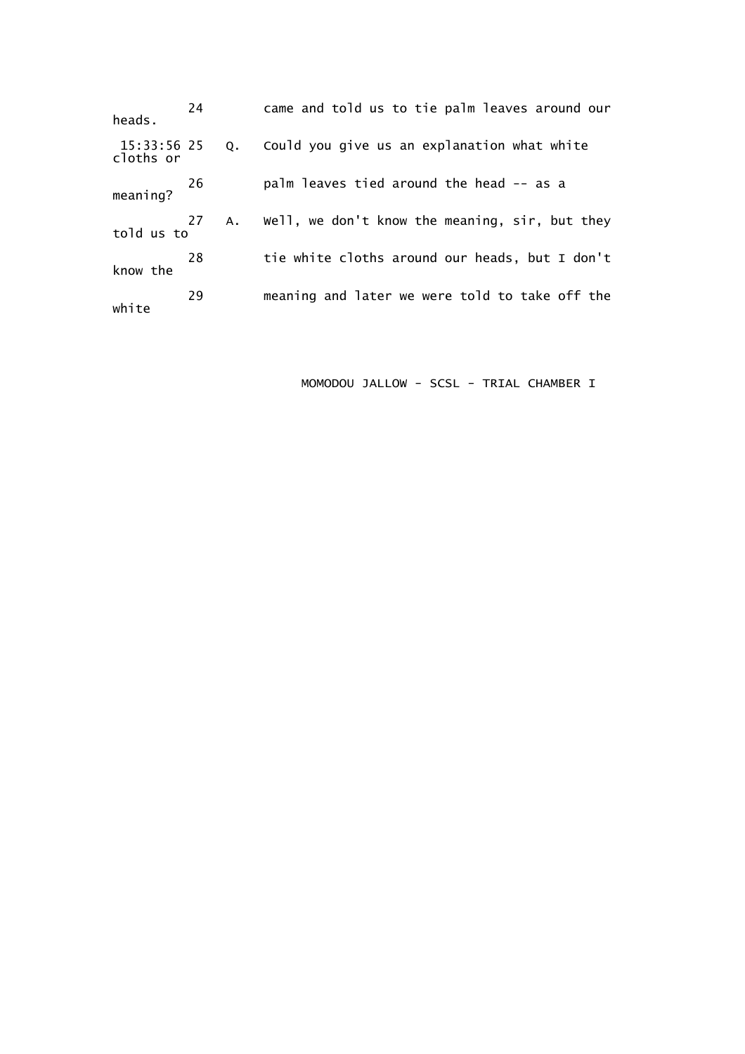24 came and told us to tie palm leaves around our heads. 15:33:56 25 Q. Could you give us an explanation what white cloths or 26 palm leaves tied around the head -- as a meaning? 27 A. Well, we don't know the meaning, sir, but they told us to 28 tie white cloths around our heads, but I don't know the 29 meaning and later we were told to take off the white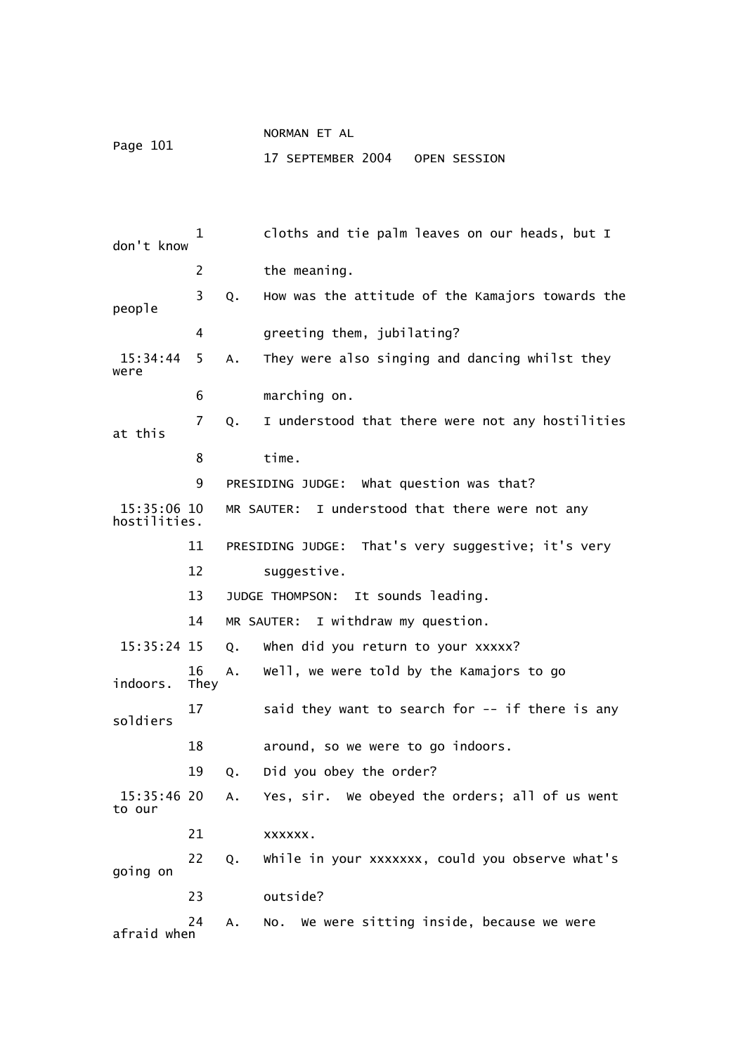|          | NORMAN ET AL                   |  |
|----------|--------------------------------|--|
| Page 101 | 17 SEPTEMBER 2004 OPEN SESSION |  |

 1 cloths and tie palm leaves on our heads, but I don't know 2 the meaning. 3 Q. How was the attitude of the Kamajors towards the people 4 greeting them, jubilating? 15:34:44 5 A. They were also singing and dancing whilst they were 6 marching on. 7 Q. I understood that there were not any hostilities at this 8 time. 9 PRESIDING JUDGE: What question was that? MR SAUTER: I understood that there were not any 15:35:06 10<br>hostilities. 11 PRESIDING JUDGE: That's very suggestive; it's very 12 suggestive. 13 JUDGE THOMPSON: It sounds leading. 14 MR SAUTER: I withdraw my question. 15:35:24 15 Q. When did you return to your xxxxx? 16 A. Well, we were told by the Kamajors to go indoors. 17 said they want to search for -- if there is any soldiers 18 around, so we were to go indoors. 19 Q. Did you obey the order? 15:35:46 20 A. Yes, sir. We obeyed the orders; all of us went to our 21 xxxxxx. 22 Q. While in your xxxxxxx, could you observe what's going on 23 outside? 24 A. No. We were sitting inside, because we were afraid when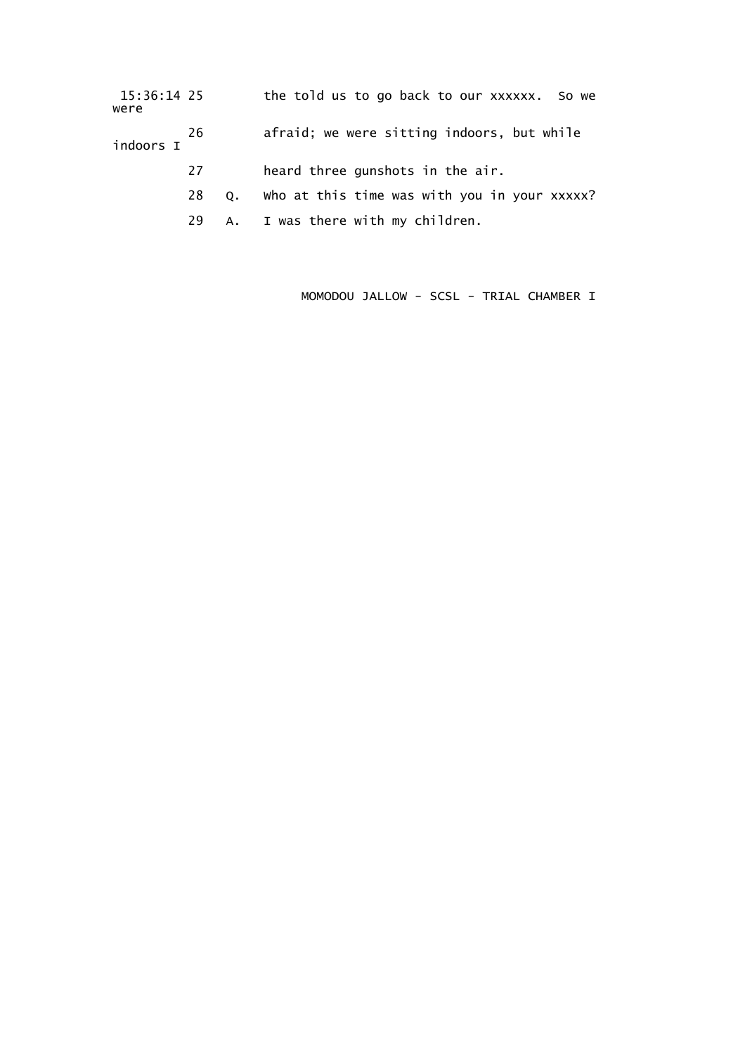| 15:36:14 25<br>were |    |    | the told us to go back to our xxxxxx. So we  |
|---------------------|----|----|----------------------------------------------|
| indoors I           | 26 |    | afraid; we were sitting indoors, but while   |
|                     | 27 |    | heard three gunshots in the air.             |
|                     | 28 | 0. | who at this time was with you in your xxxxx? |
|                     | 29 |    | A. I was there with my children.             |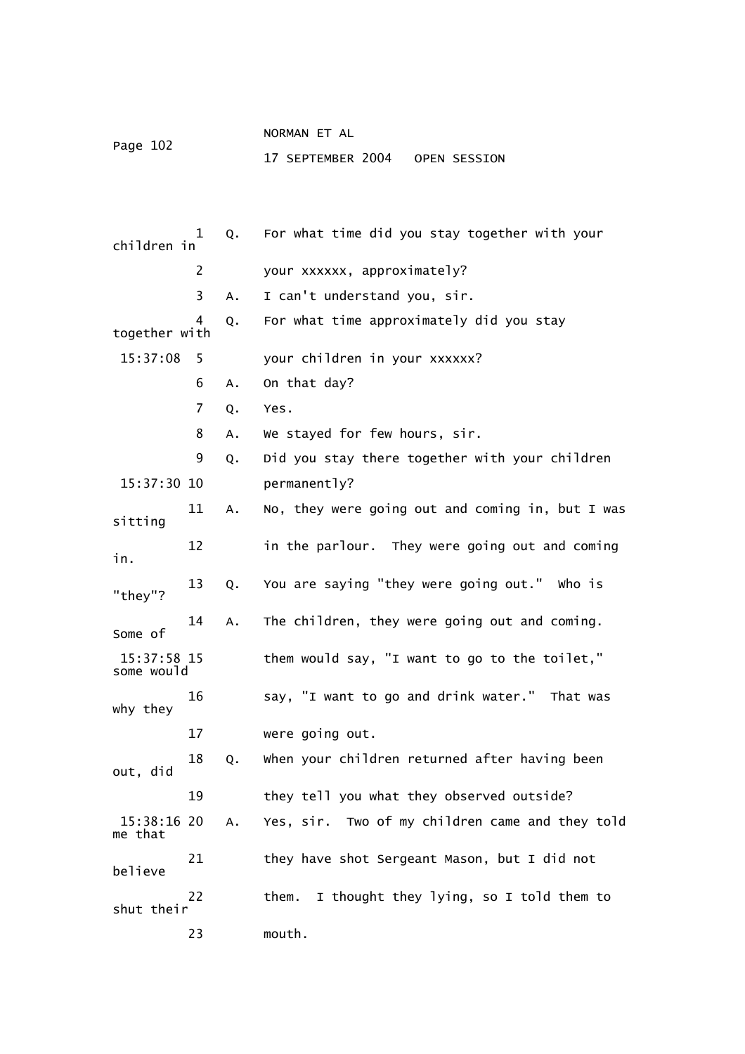|          | NORMAN ET AL                   |  |
|----------|--------------------------------|--|
| Page 102 | 17 SEPTEMBER 2004 OPEN SESSION |  |

| children in               | $\mathbf{1}$ | Q. | For what time did you stay together with your    |
|---------------------------|--------------|----|--------------------------------------------------|
|                           | 2            |    | your xxxxxx, approximately?                      |
|                           | 3            | Α. | I can't understand you, sir.                     |
| together with             | 4            | Q. | For what time approximately did you stay         |
| $15:37:08$ 5              |              |    | your children in your xxxxxx?                    |
|                           | 6            | А. | On that day?                                     |
|                           | 7            | Q. | Yes.                                             |
|                           | 8            | Α. | We stayed for few hours, sir.                    |
|                           | 9            | Q. | Did you stay there together with your children   |
| 15:37:30 10               |              |    | permanently?                                     |
| sitting                   | 11           | Α. | No, they were going out and coming in, but I was |
| in.                       | 12           |    | in the parlour. They were going out and coming   |
| "they"?                   | 13           | Q. | You are saying "they were going out." Who is     |
| Some of                   | 14           | Α. | The children, they were going out and coming.    |
| 15:37:58 15<br>some would |              |    | them would say, "I want to go to the toilet,"    |
| why they                  | 16           |    | say, "I want to go and drink water." That was    |
|                           | 17           |    | were going out.                                  |
| out, did                  | 18           | Q. | When your children returned after having been    |
|                           | 19           |    | they tell you what they observed outside?        |
| 15:38:16 20<br>me that    |              | Α. | Yes, sir. Two of my children came and they told  |
| believe                   | 21           |    | they have shot Sergeant Mason, but I did not     |
| shut their                | 22           |    | I thought they lying, so I told them to<br>them. |
|                           | 23           |    | mouth.                                           |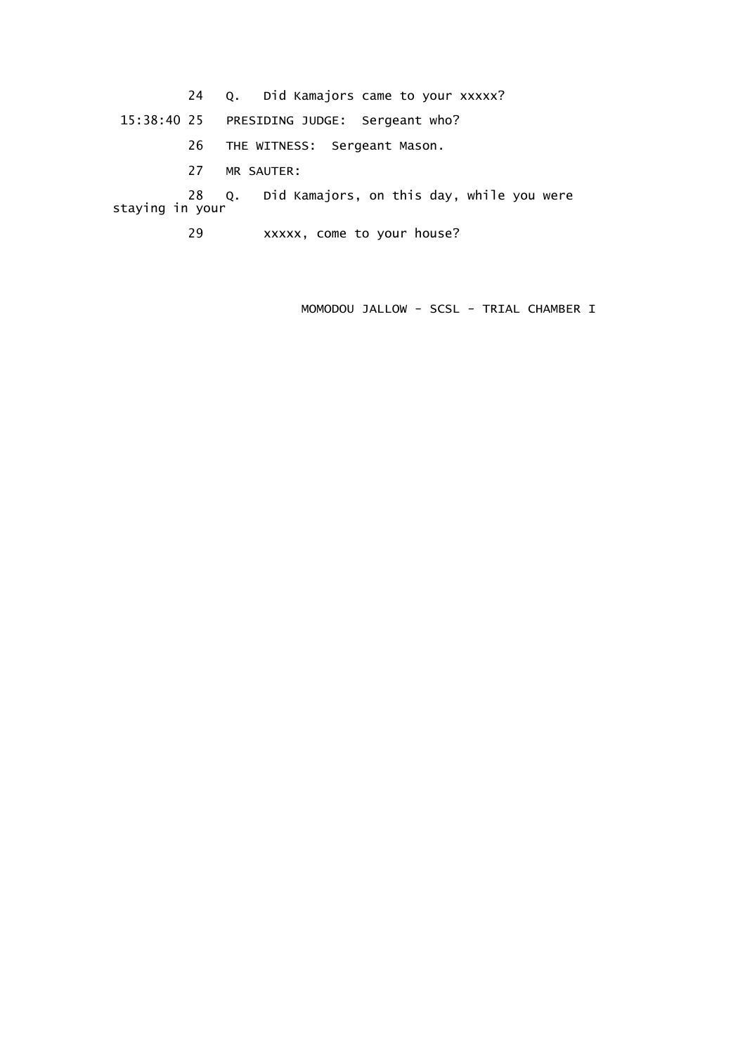24 Q. Did Kamajors came to your xxxxx?

15:38:40 25 PRESIDING JUDGE: Sergeant who?

- 26 THE WITNESS: Sergeant Mason.
- 27 MR SAUTER:

 28 Q. Did Kamajors, on this day, while you were staying in your

29 xxxxx, come to your house?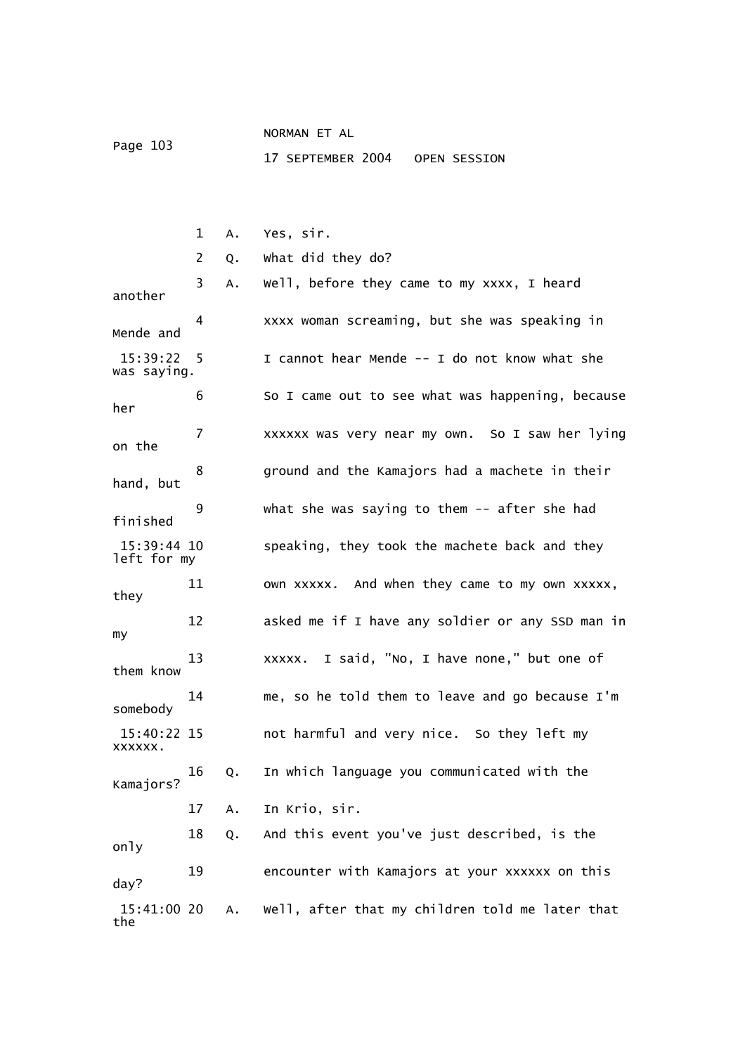| Page 103 | NORMAN ET AL                   |  |
|----------|--------------------------------|--|
|          | 17 SEPTEMBER 2004 OPEN SESSION |  |

 1 A. Yes, sir. 2 Q. What did they do? 3 A. Well, before they came to my xxxx, I heard another 4 xxxx woman screaming, but she was speaking in Mende and 15:39:22 5 I cannot hear Mende -- I do not know what she was saying. 6 So I came out to see what was happening, because her 7 xxxxxx was very near my own. So I saw her lying on the 8 ground and the Kamajors had a machete in their hand, but 9 what she was saying to them -- after she had finished 15:39:44 10 speaking, they took the machete back and they left for my 11 own xxxxx. And when they came to my own xxxxx, they 12 asked me if I have any soldier or any SSD man in my 13 xxxxx. I said, "No, I have none," but one of them know 14 me, so he told them to leave and go because I'm somebody 15:40:22 15 not harmful and very nice. So they left my xxxxxx. 16 Q. In which language you communicated with the Kamajors? 17 A. In Krio, sir. 18 Q. And this event you've just described, is the only 19 encounter with Kamajors at your xxxxxx on this day? 15:41:00 20 A. Well, after that my children told me later that the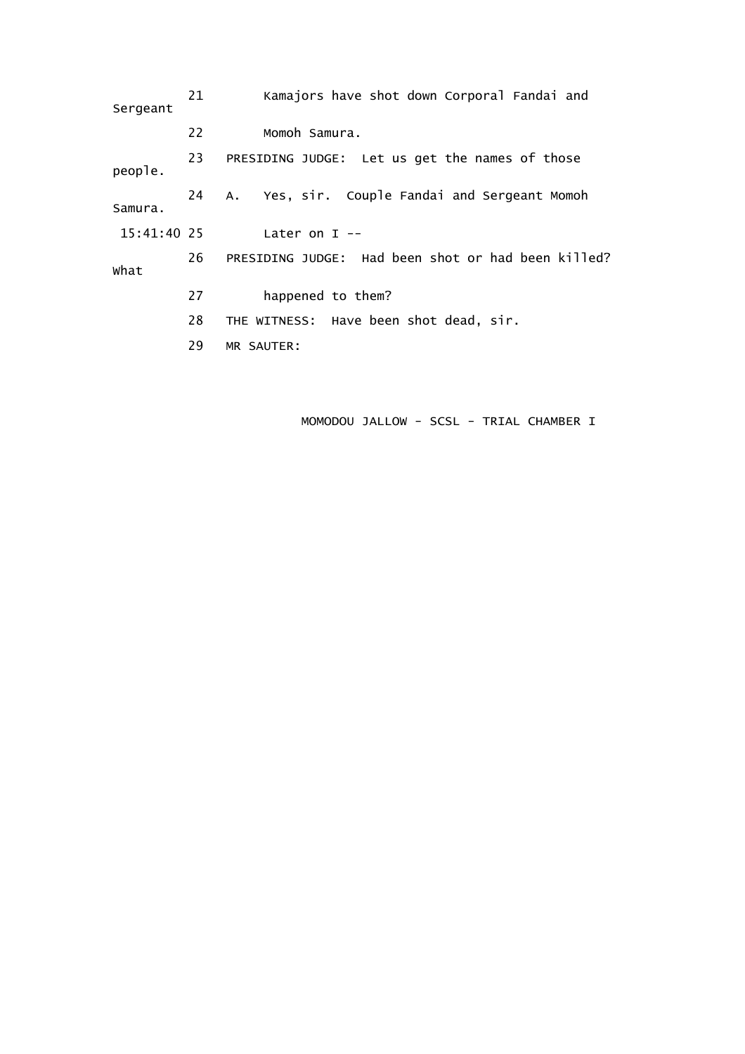| Sergeant    | 21 | Kamajors have shot down Corporal Fandai and        |
|-------------|----|----------------------------------------------------|
|             | 22 | Momoh Samura.                                      |
| people.     | 23 | PRESIDING JUDGE: Let us get the names of those     |
| Samura.     | 24 | A. Yes, sir. Couple Fandai and Sergeant Momoh      |
| 15:41:40 25 |    | Later on $I$ --                                    |
| what        | 26 | PRESIDING JUDGE: Had been shot or had been killed? |
|             | 27 | happened to them?                                  |
|             | 28 | THE WITNESS: Have been shot dead, sir.             |

29 MR SAUTER: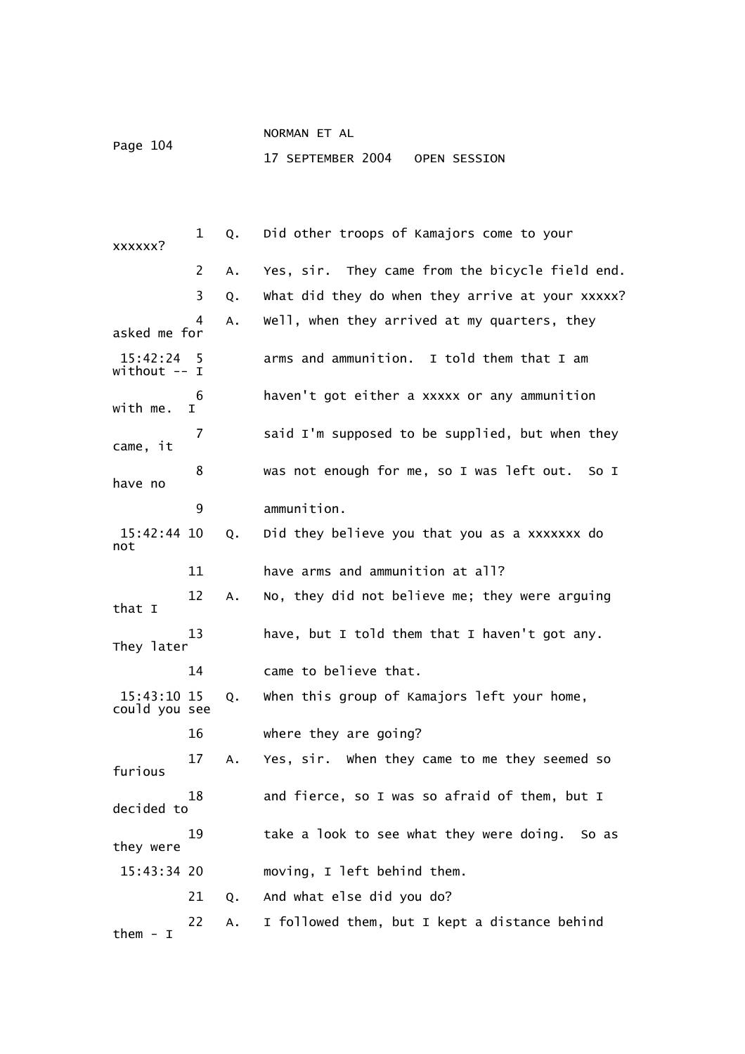|          | NORMAN ET AL                   |  |
|----------|--------------------------------|--|
| Page 104 | 17 SEPTEMBER 2004 OPEN SESSION |  |

| xxxxxx?                      | 1       | Q. | Did other troops of Kamajors come to your         |
|------------------------------|---------|----|---------------------------------------------------|
|                              | 2       | А. | Yes, sir. They came from the bicycle field end.   |
|                              | 3       | Q. | What did they do when they arrive at your xxxxx?  |
| asked me for                 | 4       | А. | Well, when they arrived at my quarters, they      |
| 15:42:24<br>without $--$ I   | 5       |    | arms and ammunition. I told them that I am        |
| with me.                     | 6<br>I. |    | haven't got either a xxxxx or any ammunition      |
| came, it                     | 7       |    | said I'm supposed to be supplied, but when they   |
| have no                      | 8       |    | was not enough for me, so I was left out.<br>So I |
|                              | 9       |    | ammunition.                                       |
| 15:42:44 10<br>not           |         | Q. | Did they believe you that you as a xxxxxxx do     |
|                              | 11      |    | have arms and ammunition at all?                  |
| that I                       | 12      | А. | No, they did not believe me; they were arguing    |
| They later                   | 13      |    | have, but I told them that I haven't got any.     |
|                              | 14      |    | came to believe that.                             |
| 15:43:10 15<br>could you see |         | Q. | when this group of Kamajors left your home,       |
|                              | 16      |    | where they are going?                             |
| furious                      | 17      | А. | Yes, sir. When they came to me they seemed so     |
| decided to                   | 18      |    | and fierce, so I was so afraid of them, but I     |
| they were                    | 19      |    | take a look to see what they were doing. So as    |
| 15:43:34 20                  |         |    | moving, I left behind them.                       |
|                              | 21      | Q. | And what else did you do?                         |
| $then - I$                   | 22      | А. | I followed them, but I kept a distance behind     |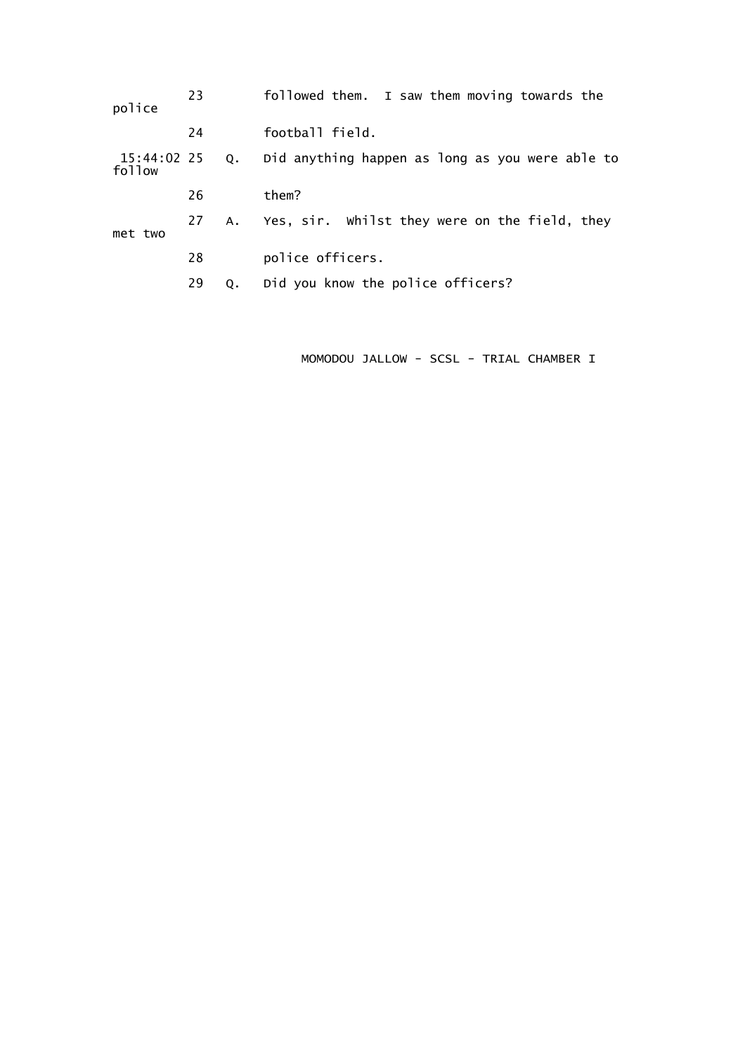| police                   | 23 |    | followed them. I saw them moving towards the    |
|--------------------------|----|----|-------------------------------------------------|
|                          | 24 |    | football field.                                 |
| 15:44:02 25 Q.<br>follow |    |    | Did anything happen as long as you were able to |
|                          | 26 |    | them?                                           |
| met two                  | 27 | A. | Yes, sir. Whilst they were on the field, they   |
|                          | 28 |    | police officers.                                |
|                          | 29 | 0. | Did you know the police officers?               |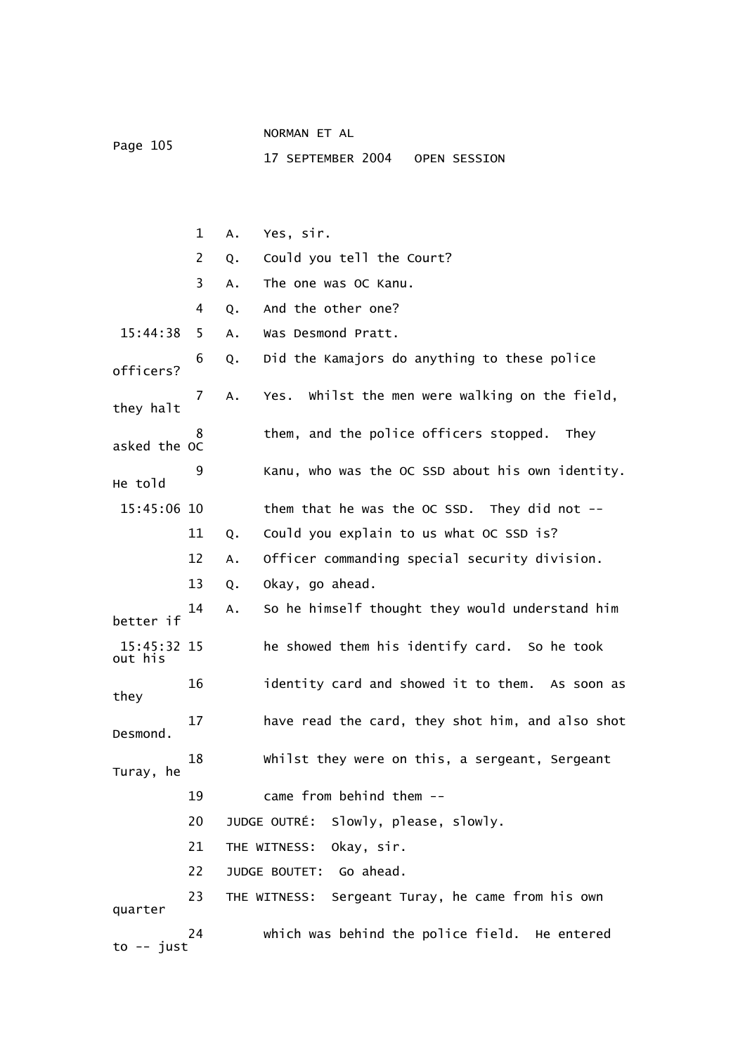| Page 105 | NORMAN ET AL                   |  |
|----------|--------------------------------|--|
|          | 17 SEPTEMBER 2004 OPEN SESSION |  |

|                        | 1  | Α. | Yes, sir.                                         |
|------------------------|----|----|---------------------------------------------------|
|                        | 2  | Q. | Could you tell the Court?                         |
|                        | 3  | А. | The one was OC Kanu.                              |
|                        | 4  | Q. | And the other one?                                |
| 15:44:38               | 5  | А. | Was Desmond Pratt.                                |
| officers?              | 6  | Q. | Did the Kamajors do anything to these police      |
| they halt              | 7  | Α. | Yes. Whilst the men were walking on the field,    |
| asked the OC           | 8  |    | them, and the police officers stopped.<br>They    |
| He told                | 9  |    | Kanu, who was the OC SSD about his own identity.  |
| 15:45:06 10            |    |    | them that he was the OC SSD. They did not --      |
|                        | 11 | Q. | Could you explain to us what OC SSD is?           |
|                        | 12 | Α. | Officer commanding special security division.     |
|                        | 13 | Q. | Okay, go ahead.                                   |
| better if              | 14 | А. | So he himself thought they would understand him   |
| 15:45:32 15<br>out his |    |    | he showed them his identify card. So he took      |
| they                   | 16 |    | identity card and showed it to them. As soon as   |
| Desmond.               | 17 |    | have read the card, they shot him, and also shot  |
| Turay, he              | 18 |    | whilst they were on this, a sergeant, Sergeant    |
|                        | 19 |    | came from behind them --                          |
|                        | 20 |    | slowly, please, slowly.<br>JUDGE OUTRÉ:           |
|                        | 21 |    | Okay, sir.<br>THE WITNESS:                        |
|                        | 22 |    | JUDGE BOUTET: Go ahead.                           |
| quarter                | 23 |    | THE WITNESS: Sergeant Turay, he came from his own |
| to $-$ just            | 24 |    | which was behind the police field. He entered     |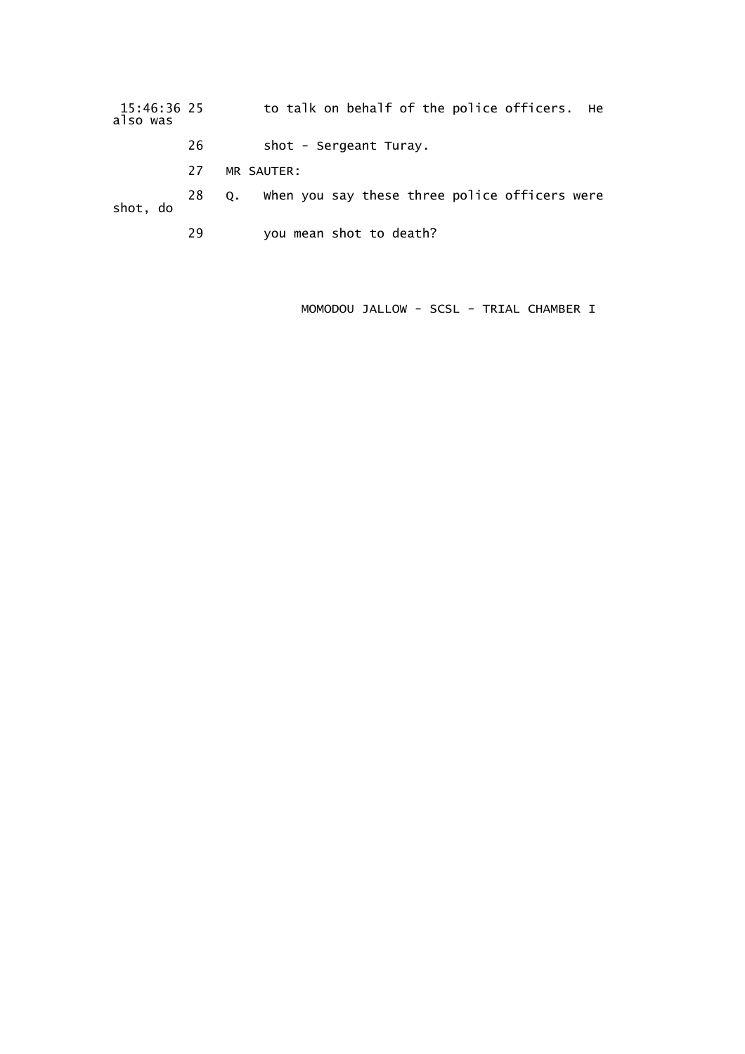to talk on behalf of the police officers. He 15:46:36 25<br>also was 26 shot - Sergeant Turay. 27 MR SAUTER: 28 Q. When you say these three police officers were shot, do 29 you mean shot to death?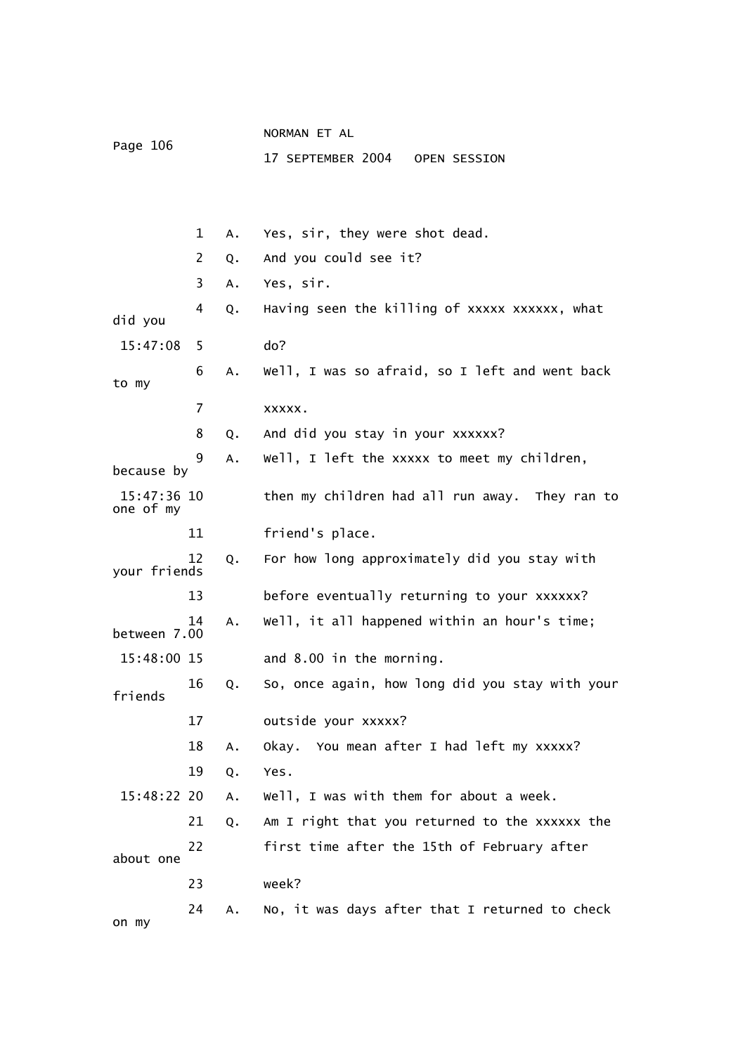|                          |    |    | NORMAN ET AL                                    |
|--------------------------|----|----|-------------------------------------------------|
| Page 106                 |    |    | 17 SEPTEMBER 2004 OPEN SESSION                  |
|                          |    |    |                                                 |
|                          |    |    |                                                 |
|                          | 1  | А. | Yes, sir, they were shot dead.                  |
|                          | 2  | Q. | And you could see it?                           |
|                          | 3  | А. | Yes, sir.                                       |
| did you                  | 4  | Q. | Having seen the killing of xxxxx xxxxxx, what   |
| 15:47:08                 | 5  |    | do?                                             |
| to my                    | 6  | А. | Well, I was so afraid, so I left and went back  |
|                          | 7  |    | XXXXX.                                          |
|                          | 8  | Q. | And did you stay in your xxxxxx?                |
| because by               | 9  | А. | Well, I left the xxxxx to meet my children,     |
| 15:47:36 10<br>one of my |    |    | then my children had all run away. They ran to  |
|                          | 11 |    | friend's place.                                 |
| your friends             | 12 | Q. | For how long approximately did you stay with    |
|                          | 13 |    | before eventually returning to your xxxxxx?     |
| between 7.00             | 14 | А. | well, it all happened within an hour's time;    |
| 15:48:00 15              |    |    | and 8.00 in the morning.                        |
| friends                  | 16 | Q. | So, once again, how long did you stay with your |
|                          | 17 |    | outside your xxxxx?                             |
|                          | 18 | А. | Okay. You mean after I had left my xxxxx?       |
|                          | 19 | Q. | Yes.                                            |
| 15:48:22 20              |    | A. | Well, I was with them for about a week.         |
|                          | 21 | Q. | Am I right that you returned to the xxxxxx the  |
| about one                | 22 |    | first time after the 15th of February after     |
|                          | 23 |    | week?                                           |
| on my                    | 24 | А. | No, it was days after that I returned to check  |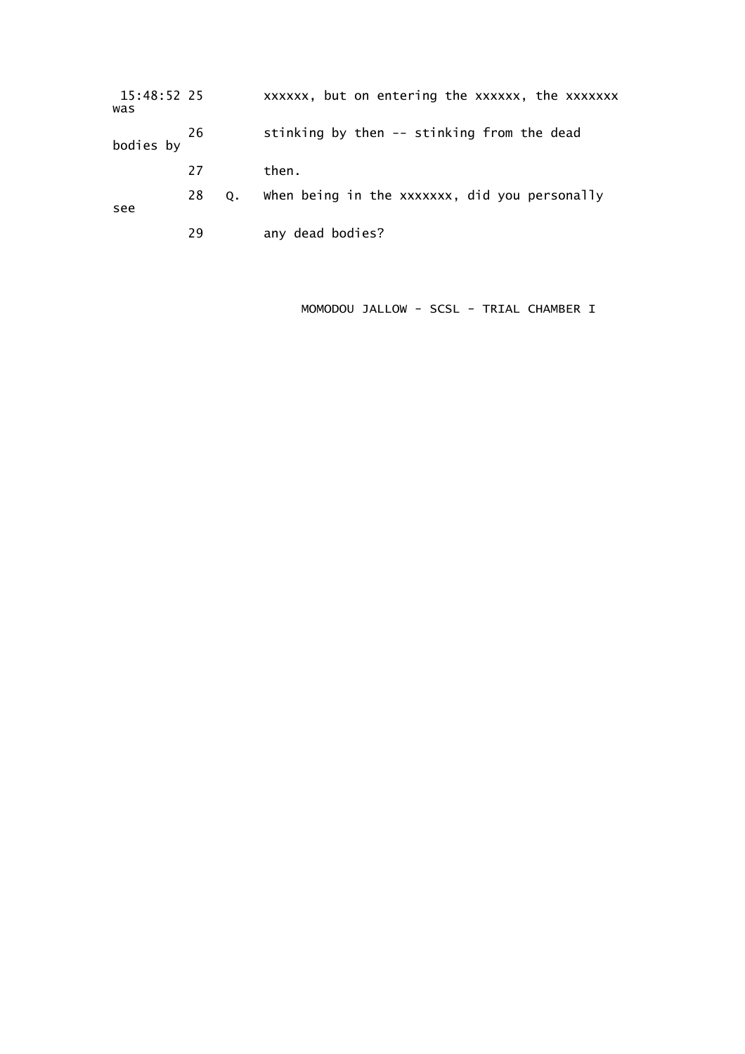| 15:48:52 25<br>was |    |    | xxxxxx, but on entering the xxxxxx, the xxxxxxx |
|--------------------|----|----|-------------------------------------------------|
| bodies by          | 26 |    | stinking by then -- stinking from the dead      |
|                    | 27 |    | then.                                           |
| see                | 28 | Q. | when being in the xxxxxxx, did you personally   |
|                    | 29 |    | any dead bodies?                                |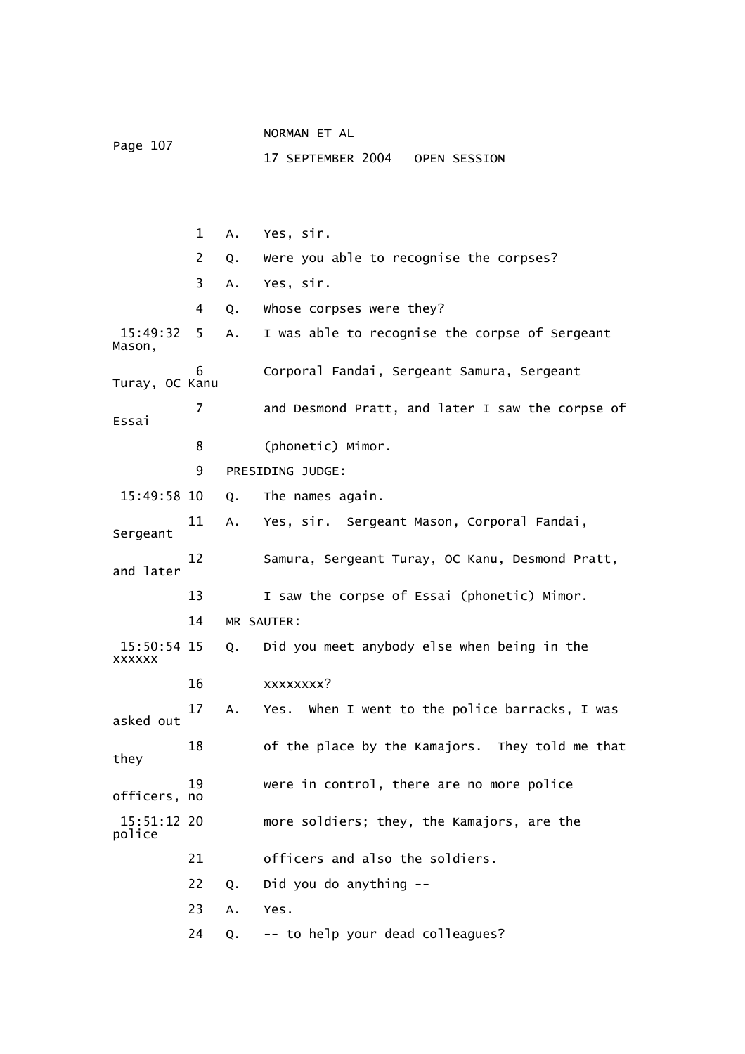|                              |              |    | NORMAN ET AL                                     |
|------------------------------|--------------|----|--------------------------------------------------|
| Page 107                     |              |    | 17 SEPTEMBER 2004 OPEN SESSION                   |
|                              |              |    |                                                  |
|                              |              |    |                                                  |
|                              | $\mathbf{1}$ |    | A. Yes, sir.                                     |
|                              | 2            | Q. | Were you able to recognise the corpses?          |
|                              | 3            | Α. | Yes, sir.                                        |
|                              | 4            | Q. | whose corpses were they?                         |
| 15:49:32 5<br>Mason,         |              | A. | I was able to recognise the corpse of Sergeant   |
| Turay, OC Kanu               | 6            |    | Corporal Fandai, Sergeant Samura, Sergeant       |
| Essai                        | 7            |    | and Desmond Pratt, and later I saw the corpse of |
|                              | 8            |    | (phonetic) Mimor.                                |
|                              | 9            |    | PRESIDING JUDGE:                                 |
| 15:49:58 10                  |              | Q. | The names again.                                 |
| Sergeant                     | 11           | А. | Yes, sir.  Sergeant Mason, Corporal Fandai,      |
| and later                    | 12           |    | Samura, Sergeant Turay, OC Kanu, Desmond Pratt,  |
|                              | 13           |    | I saw the corpse of Essai (phonetic) Mimor.      |
|                              | 14           |    | MR SAUTER:                                       |
| 15:50:54 15<br><b>XXXXXX</b> |              | Q. | Did you meet anybody else when being in the      |
|                              | 16           |    | xxxxxxxx?                                        |
| asked out                    | 17           | Α. | Yes. When I went to the police barracks, I was   |
| they                         | 18           |    | of the place by the Kamajors. They told me that  |
| officers, no                 | 19           |    | were in control, there are no more police        |
| 15:51:12 20<br>police        |              |    | more soldiers; they, the Kamajors, are the       |
|                              | 21           |    | officers and also the soldiers.                  |
|                              | 22           | Q. | Did you do anything --                           |
|                              | 23           | А. | Yes.                                             |
|                              | 24           | Q. | -- to help your dead colleagues?                 |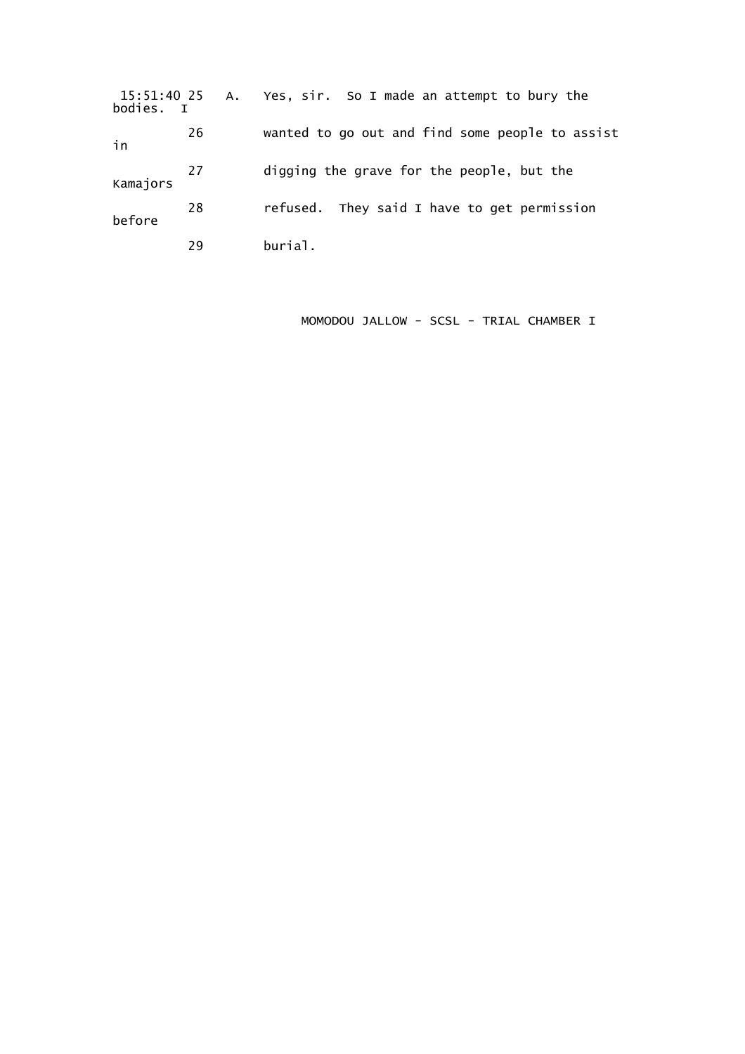| bodies. I |    | 15:51:40 25 A. Yes, sir. So I made an attempt to bury the |
|-----------|----|-----------------------------------------------------------|
| in        | 26 | wanted to go out and find some people to assist           |
| Kamajors  | 27 | digging the grave for the people, but the                 |
| before    | 28 | refused. They said I have to get permission               |
|           | 29 | burial.                                                   |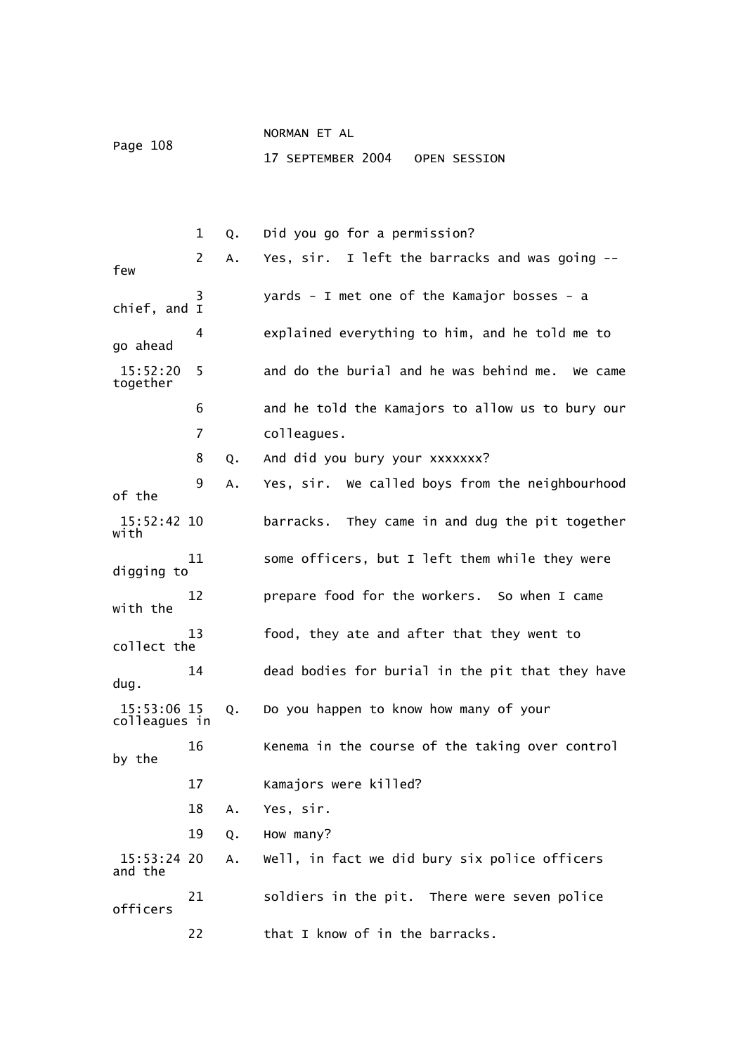NORMAN ET AL

Page 108 17 SEPTEMBER 2004 OPEN SESSION

|                              | 1  | Q. | Did you go for a permission?                     |
|------------------------------|----|----|--------------------------------------------------|
| few                          | 2  | А. | Yes, sir. I left the barracks and was going --   |
| chief, and I                 | 3  |    | yards - I met one of the Kamajor bosses - a      |
| go ahead                     | 4  |    | explained everything to him, and he told me to   |
| 15:52:20<br>together         | 5  |    | and do the burial and he was behind me. We came  |
|                              | 6  |    | and he told the Kamajors to allow us to bury our |
|                              | 7  |    | colleagues.                                      |
|                              | 8  | Q. | And did you bury your xxxxxxx?                   |
| of the                       | 9  | Α. | Yes, sir. We called boys from the neighbourhood  |
| 15:52:42 10<br>with          |    |    | barracks. They came in and dug the pit together  |
| digging to                   | 11 |    | some officers, but I left them while they were   |
| with the                     | 12 |    | prepare food for the workers. So when I came     |
| collect the                  | 13 |    | food, they ate and after that they went to       |
| dug.                         | 14 |    | dead bodies for burial in the pit that they have |
| 15:53:06 15<br>colleagues in |    | Q. | Do you happen to know how many of your           |
| by the                       | 16 |    | Kenema in the course of the taking over control  |
|                              | 17 |    | Kamajors were killed?                            |
|                              | 18 | Α. | Yes, sir.                                        |
|                              | 19 | Q. | How many?                                        |
| 15:53:24 20<br>and the       |    | Α. | Well, in fact we did bury six police officers    |
| officers                     | 21 |    | soldiers in the pit. There were seven police     |
|                              | 22 |    | that I know of in the barracks.                  |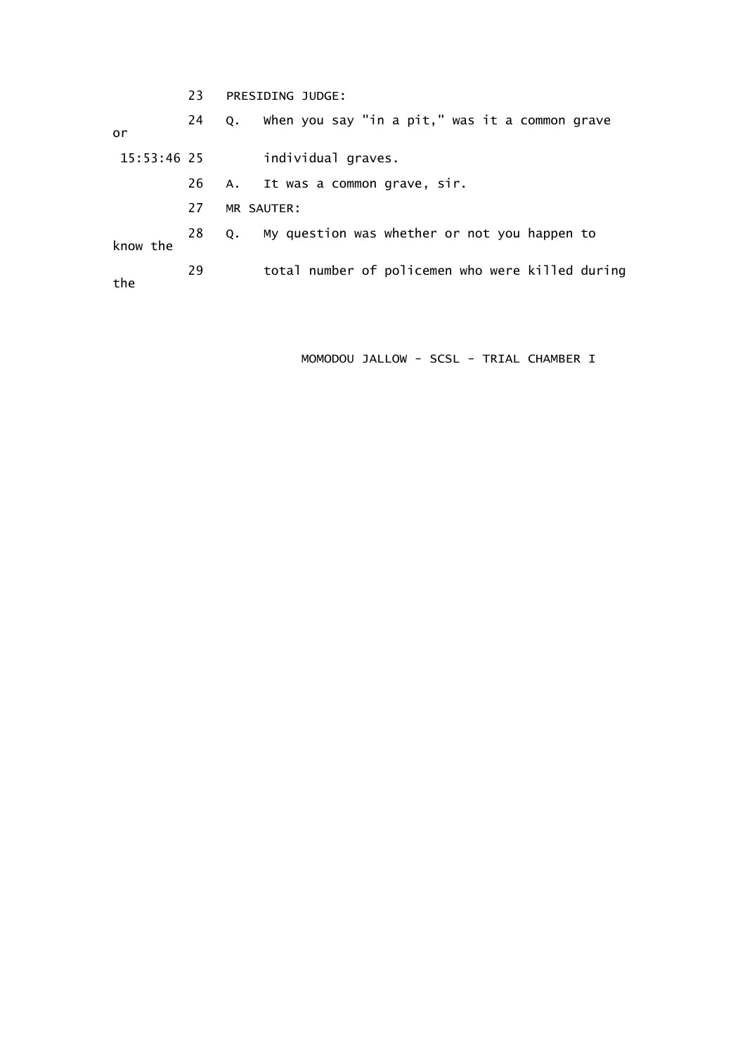|             | 23 | PRESIDING JUDGE:                                     |
|-------------|----|------------------------------------------------------|
| or          | 24 | when you say "in a pit," was it a common grave<br>0. |
| 15:53:46 25 |    | individual graves.                                   |
|             | 26 | A. It was a common grave, sir.                       |
|             | 27 | MR SAUTER:                                           |
| know the    | 28 | My question was whether or not you happen to<br>Q.   |
| the         | 29 | total number of policemen who were killed during     |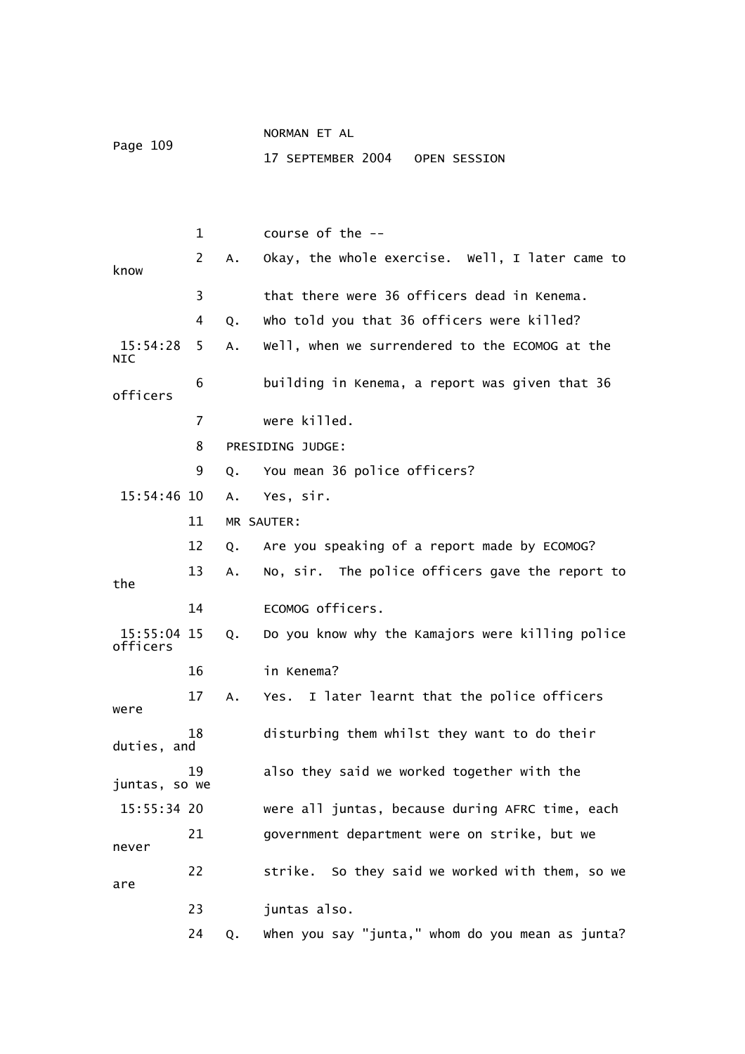|          | NORMAN ET AL                   |  |
|----------|--------------------------------|--|
| Page 109 | 17 SEPTEMBER 2004 OPEN SESSION |  |

|                         | 1  |    | course of the --                                 |
|-------------------------|----|----|--------------------------------------------------|
| know                    | 2  | Α. | Okay, the whole exercise. Well, I later came to  |
|                         | 3  |    | that there were 36 officers dead in Kenema.      |
|                         | 4  | Q. | who told you that 36 officers were killed?       |
| 15:54:28<br><b>NIC</b>  | 5  | Α. | Well, when we surrendered to the ECOMOG at the   |
| officers                | 6  |    | building in Kenema, a report was given that 36   |
|                         | 7  |    | were killed.                                     |
|                         | 8  |    | PRESIDING JUDGE:                                 |
|                         | 9  | Q. | You mean 36 police officers?                     |
| 15:54:46 10             |    | Α. | Yes, sir.                                        |
|                         | 11 |    | MR SAUTER:                                       |
|                         | 12 | Q. | Are you speaking of a report made by ECOMOG?     |
| the                     | 13 | Α. | No, sir. The police officers gave the report to  |
|                         | 14 |    | ECOMOG officers.                                 |
| 15:55:04 15<br>officers |    | Q. | Do you know why the Kamajors were killing police |
|                         | 16 |    | in Kenema?                                       |
| were                    | 17 | Α. | Yes. I later learnt that the police officers     |
| duties, and             | 18 |    | disturbing them whilst they want to do their     |
| juntas, so we           | 19 |    | also they said we worked together with the       |
| 15:55:34 20             |    |    | were all juntas, because during AFRC time, each  |
| never                   | 21 |    | government department were on strike, but we     |
| are                     | 22 |    | strike. So they said we worked with them, so we  |
|                         | 23 |    | juntas also.                                     |
|                         | 24 | Q. | when you say "junta," whom do you mean as junta? |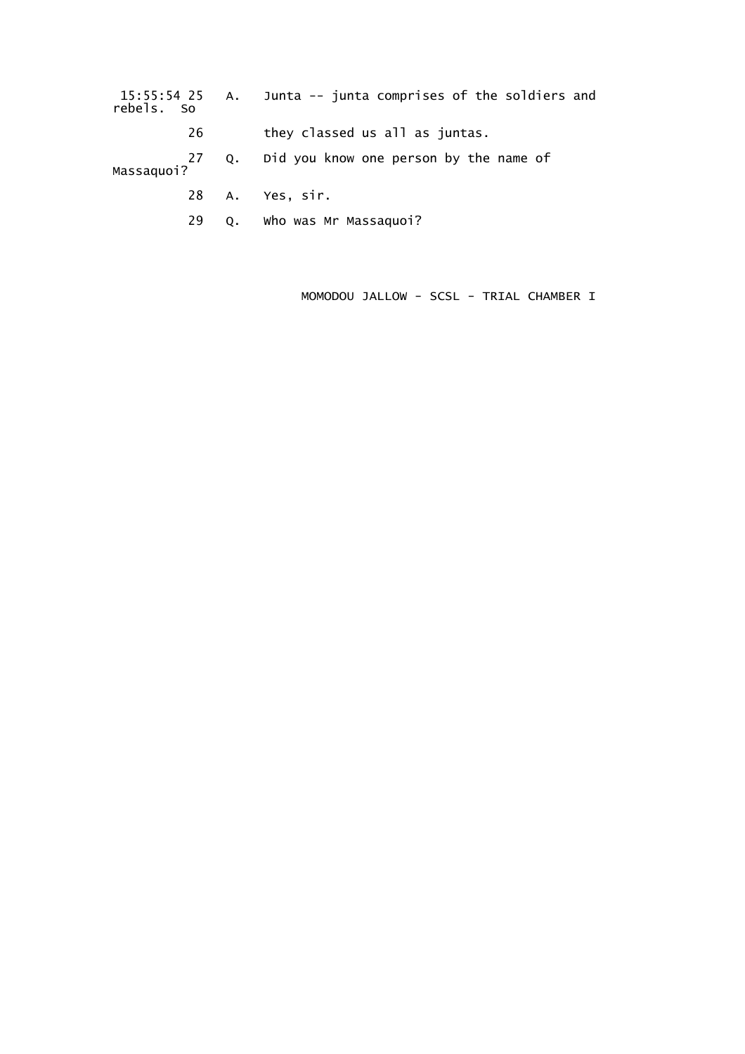| rebels. So |       | 15:55:54 25 A. Junta -- junta comprises of the soldiers and |
|------------|-------|-------------------------------------------------------------|
|            | 26    | they classed us all as juntas.                              |
| Massaquoi? | -27 - | Q. Did you know one person by the name of                   |
|            |       | 28 A. Yes sir.                                              |
|            | 29    | Q. Who was Mr Massaquoi?                                    |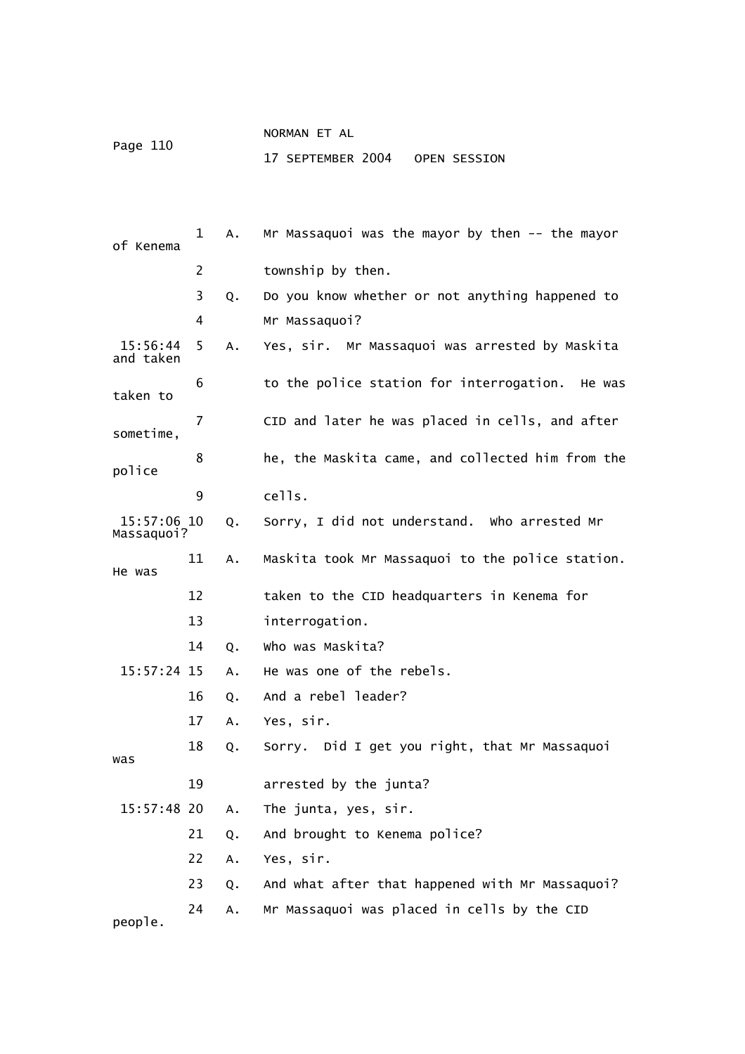|          | NORMAN ET AL                   |  |
|----------|--------------------------------|--|
| Page 110 | 17 SEPTEMBER 2004 OPEN SESSION |  |

| of Kenema                 | 1  | А. | Mr Massaquoi was the mayor by then -- the mayor  |
|---------------------------|----|----|--------------------------------------------------|
|                           | 2  |    | township by then.                                |
|                           | 3  | Q. | Do you know whether or not anything happened to  |
|                           | 4  |    | Mr Massaquoi?                                    |
| 15:56:44<br>and taken     | 5  | Α. | Yes, sir. Mr Massaquoi was arrested by Maskita   |
| taken to                  | 6  |    | to the police station for interrogation. He was  |
| sometime,                 | 7  |    | CID and later he was placed in cells, and after  |
| police                    | 8  |    | he, the Maskita came, and collected him from the |
|                           | 9  |    | cells.                                           |
| 15:57:06 10<br>Massaquoi? |    | Q. | Sorry, I did not understand. Who arrested Mr     |
| He was                    | 11 | А. | Maskita took Mr Massaquoi to the police station. |
|                           | 12 |    | taken to the CID headquarters in Kenema for      |
|                           | 13 |    | interrogation.                                   |
|                           | 14 | Q. | Who was Maskita?                                 |
| 15:57:24 15               |    | А. | He was one of the rebels.                        |
|                           | 16 | Q. | And a rebel leader?                              |
|                           | 17 | А. | Yes, sir.                                        |
| was                       | 18 | Q. | Sorry. Did I get you right, that Mr Massaquoi    |
|                           | 19 |    | arrested by the junta?                           |
| 15:57:48 20               |    | Α. | The junta, yes, sir.                             |
|                           | 21 | Q. | And brought to Kenema police?                    |
|                           | 22 | Α. | Yes, sir.                                        |
|                           | 23 | Q. | And what after that happened with Mr Massaquoi?  |
| people.                   | 24 | Α. | Mr Massaquoi was placed in cells by the CID      |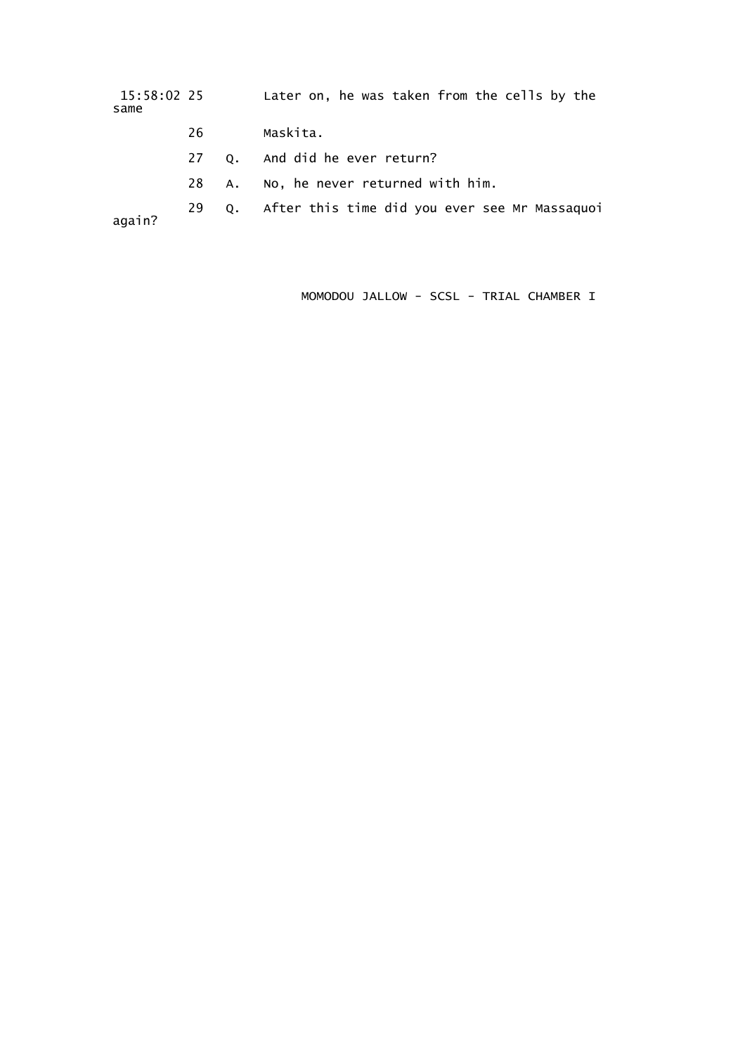15:58:02 25 Later on, he was taken from the cells by the same 26 Maskita. 27 Q. And did he ever return? 28 A. No, he never returned with him.

29 Q. After this time did you ever see Mr Massaquoi

again?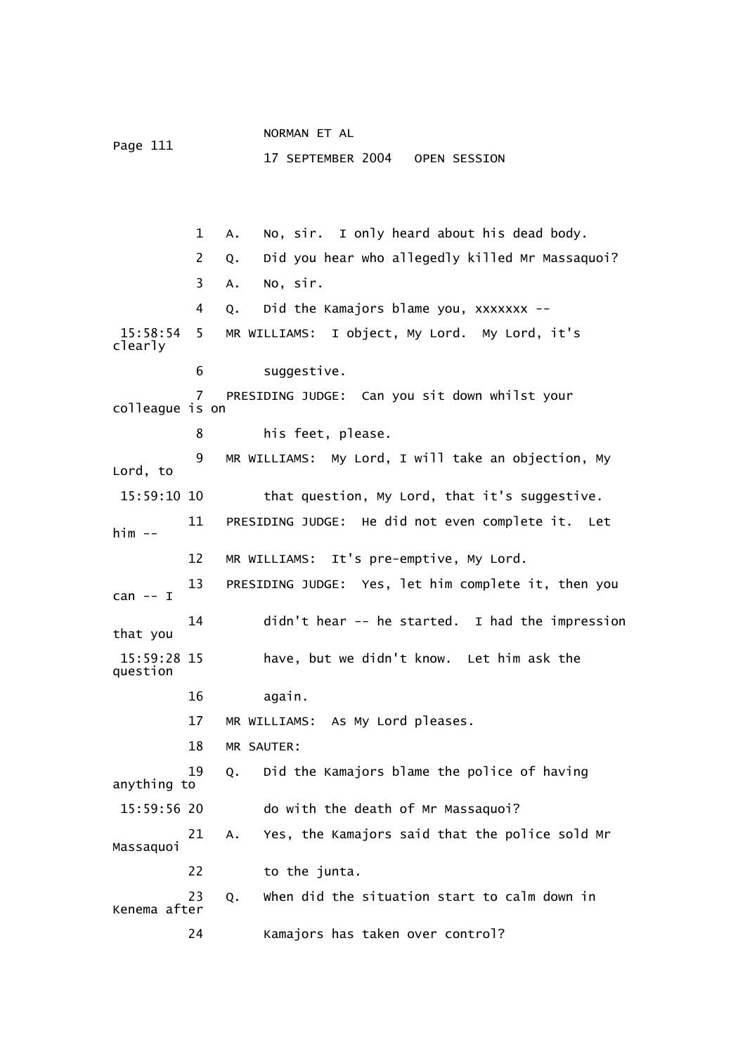NORMAN ET AL Page 111 17 SEPTEMBER 2004 OPEN SESSION 1 A. No, sir. I only heard about his dead body. 2 Q. Did you hear who allegedly killed Mr Massaquoi? 3 A. No, sir. 4 Q. Did the Kamajors blame you, xxxxxxx -- 15:58:54 5 MR WILLIAMS: I object, My Lord. My Lord, it's clearly 6 suggestive. 7 PRESIDING JUDGE: Can you sit down whilst your colleague is on 8 his feet, please. 9 MR WILLIAMS: My Lord, I will take an objection, My Lord, to 15:59:10 10 that question, My Lord, that it's suggestive. 11 PRESIDING JUDGE: He did not even complete it. Let him -- 12 MR WILLIAMS: It's pre-emptive, My Lord. 13 PRESIDING JUDGE: Yes, let him complete it, then you can -- I 14 didn't hear -- he started. I had the impression that you 15:59:28 15 have, but we didn't know. Let him ask the question 16 again. 17 MR WILLIAMS: As My Lord pleases. 18 MR SAUTER: 19 Q. Did the Kamajors blame the police of having anything to 15:59:56 20 do with the death of Mr Massaquoi? 21 A. Yes, the Kamajors said that the police sold Mr Massaquoi 22 to the junta. 23 Q. When did the situation start to calm down in Kenema after 24 Kamajors has taken over control?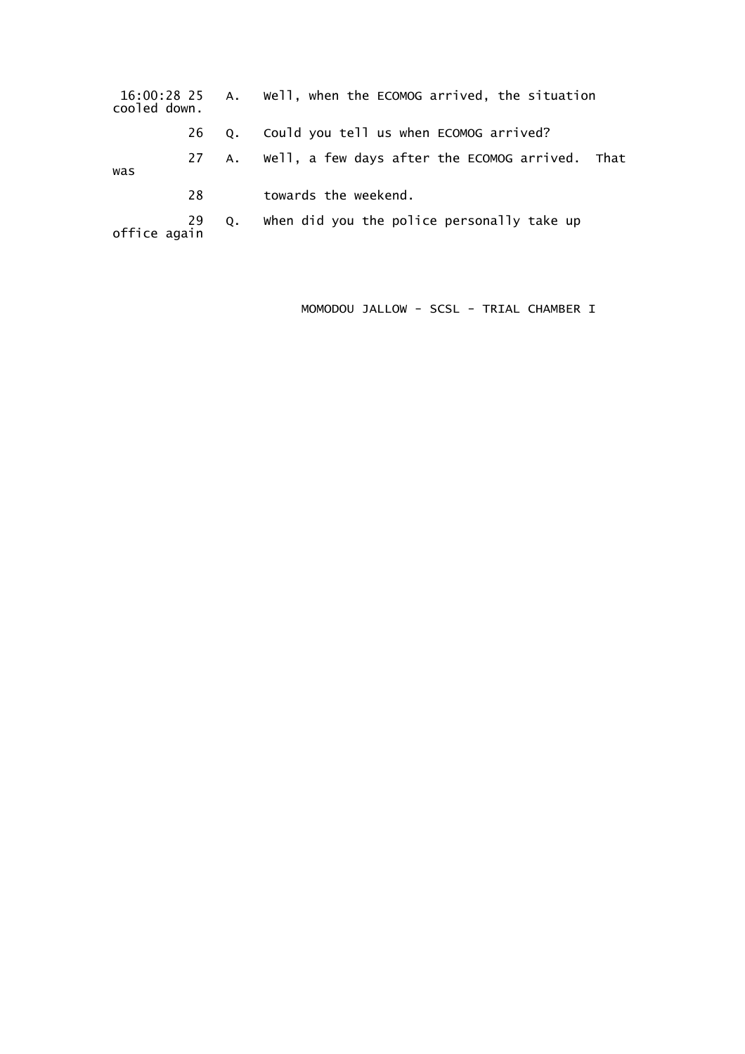| cooled down. |    |    | 16:00:28 25 A. Well, when the ECOMOG arrived, the situation |
|--------------|----|----|-------------------------------------------------------------|
|              | 26 |    | Q. Could you tell us when ECOMOG arrived?                   |
| was          | 27 |    | A. Well, a few days after the ECOMOG arrived. That          |
|              | 28 |    | towards the weekend.                                        |
| office again | 29 | Q. | when did you the police personally take up                  |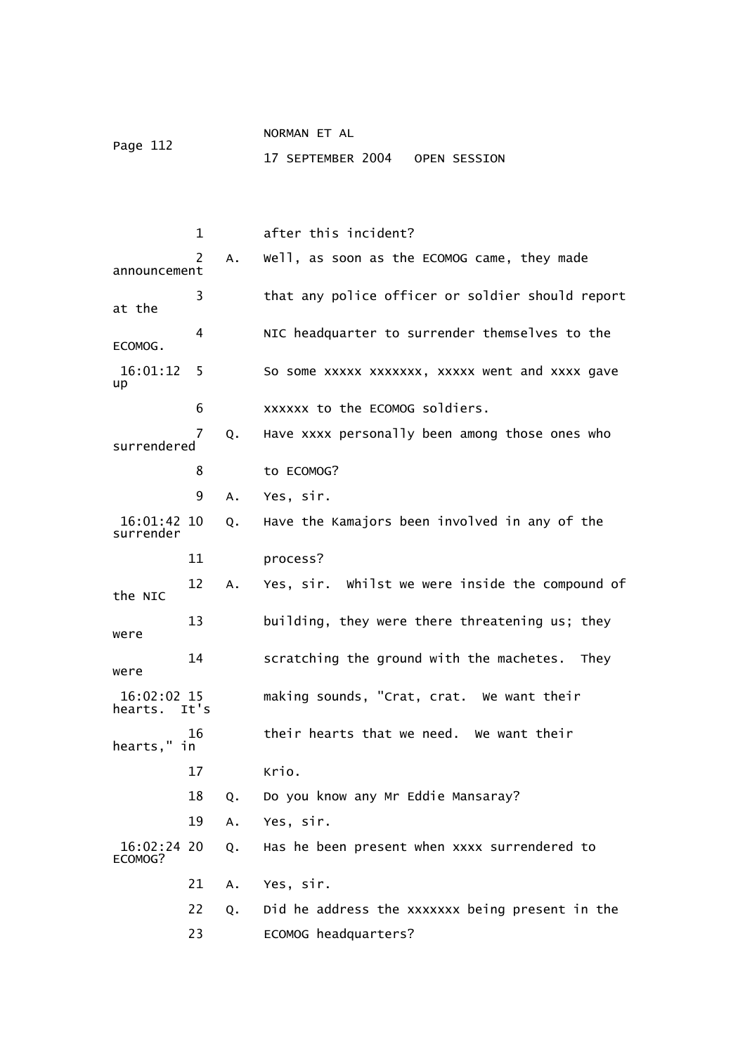|          | NORMAN ET AL                   |  |
|----------|--------------------------------|--|
| Page 112 | 17 SEPTEMBER 2004 OPEN SESSION |  |

|                          | 1    |    | after this incident?                             |
|--------------------------|------|----|--------------------------------------------------|
| announcement             | 2    | А. | Well, as soon as the ECOMOG came, they made      |
| at the                   | 3    |    | that any police officer or soldier should report |
| ECOMOG.                  | 4    |    | NIC headquarter to surrender themselves to the   |
| $16:01:12$ 5<br>up       |      |    | So some xxxxx xxxxxxx, xxxxx went and xxxx gave  |
|                          | 6    |    | xxxxxx to the ECOMOG soldiers.                   |
| surrendered              | 7    | Q. | Have xxxx personally been among those ones who   |
|                          | 8    |    | to ECOMOG?                                       |
|                          | 9    | А. | Yes, sir.                                        |
| 16:01:42 10<br>surrender |      | Q. | Have the Kamajors been involved in any of the    |
|                          | 11   |    | process?                                         |
| the NIC                  | 12   | Α. | Yes, sir. Whilst we were inside the compound of  |
| were                     | 13   |    | building, they were there threatening us; they   |
| were                     | 14   |    | scratching the ground with the machetes. They    |
| $16:02:02$ 15<br>hearts. | It's |    | making sounds, "Crat, crat. We want their        |
| hearts," in              | 16   |    | their hearts that we need. We want their         |
|                          | 17   |    | Krio.                                            |
|                          | 18   | Q. | Do you know any Mr Eddie Mansaray?               |
|                          | 19   | Α. | Yes, sir.                                        |
| 16:02:24 20<br>ECOMOG?   |      | Q. | Has he been present when xxxx surrendered to     |
|                          | 21   | Α. | Yes, sir.                                        |
|                          | 22   | Q. | Did he address the xxxxxxx being present in the  |
|                          | 23   |    | ECOMOG headquarters?                             |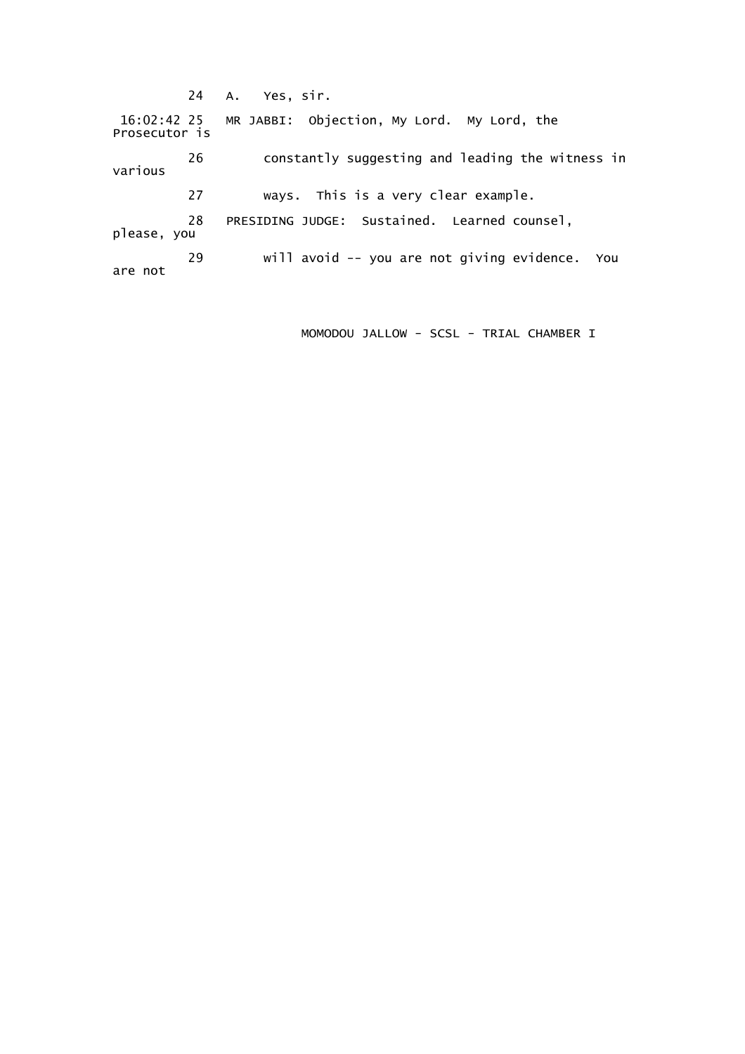24 A. Yes, sir. 16:02:42 25 MR JABBI: Objection, My Lord. My Lord, the Prosecutor is 26 constantly suggesting and leading the witness in various 27 ways. This is a very clear example. 28 PRESIDING JUDGE: Sustained. Learned counsel, please, you 29 will avoid -- you are not giving evidence. You are not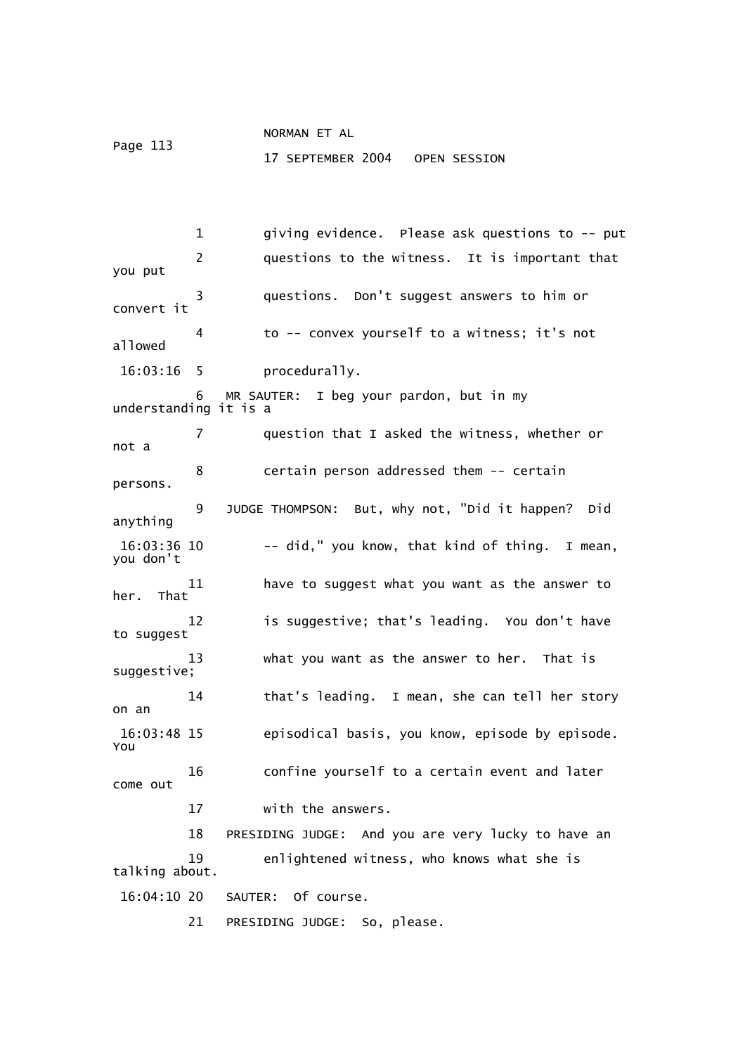NORMAN ET AL Page 113 17 SEPTEMBER 2004 OPEN SESSION

 1 giving evidence. Please ask questions to -- put 2 questions to the witness. It is important that you put 3 questions. Don't suggest answers to him or convert it to -- convex yourself to a witness; it's not allowed 16:03:16 5 procedurally. 6 MR SAUTER: I beg your pardon, but in my understanding it is a 7 question that I asked the witness, whether or not a 8 certain person addressed them -- certain persons. 9 JUDGE THOMPSON: But, why not, "Did it happen? Did anything 16:03:36 10 -- did," you know, that kind of thing. I mean, you don't 11 have to suggest what you want as the answer to her. That 12 is suggestive; that's leading. You don't have to suggest 13 what you want as the answer to her. That is suggestive; 14 that's leading. I mean, she can tell her story on an 16:03:48 15 episodical basis, you know, episode by episode. You 16 confine yourself to a certain event and later come out 17 with the answers. 18 PRESIDING JUDGE: And you are very lucky to have an 19 enlightened witness, who knows what she is talking about. 16:04:10 20 SAUTER: Of course.

21 PRESIDING JUDGE: So, please.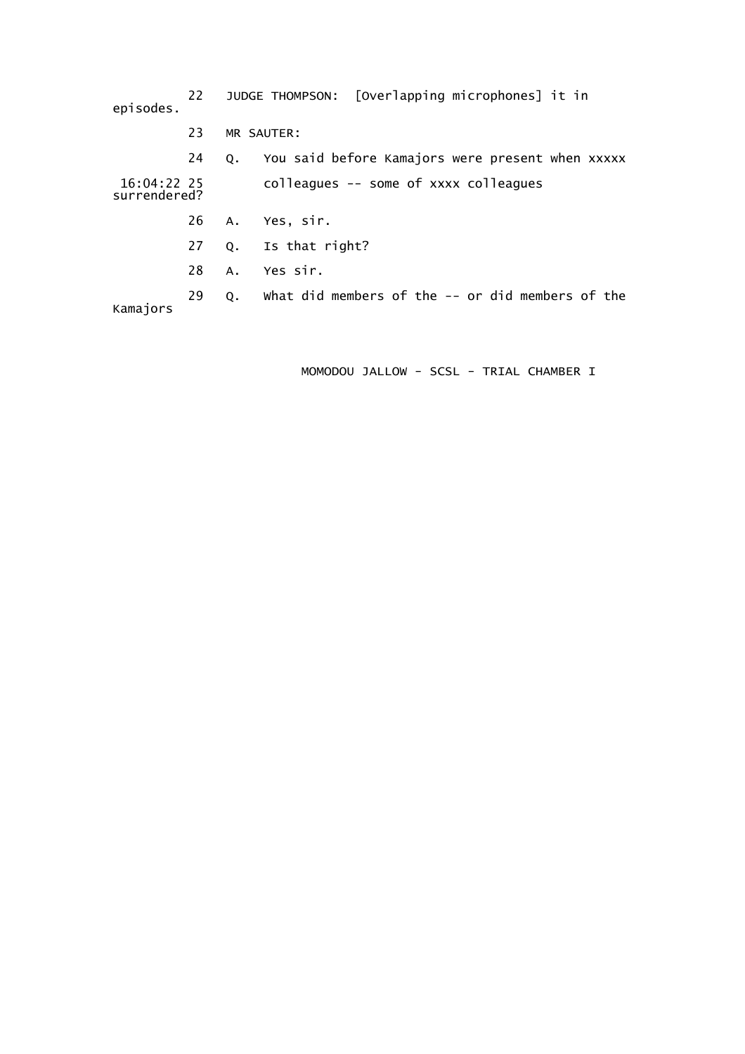22 JUDGE THOMPSON: [Overlapping microphones] it in episodes. 23 MR SAUTER: 24 Q. You said before Kamajors were present when xxxxx colleagues -- some of xxxx colleagues 16:04:22 25<br>surrendered? 26 A. Yes, sir. 27 Q. Is that right? 28 A. Yes sir. 29 Q. What did members of the -- or did members of the Kamajors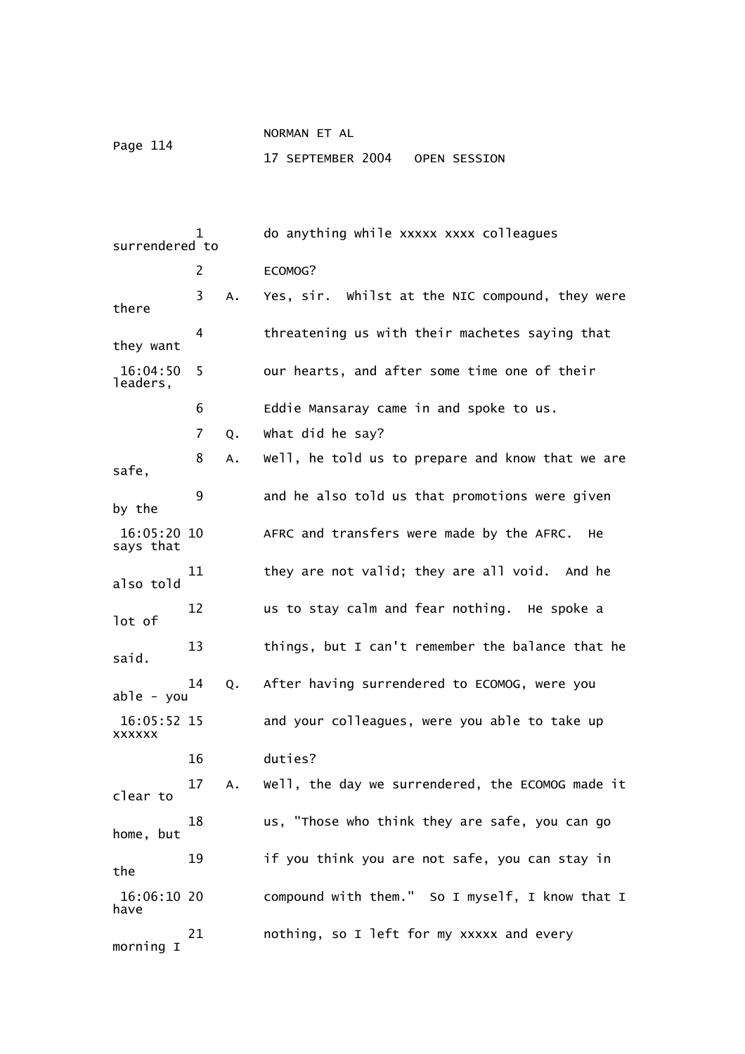|          | NORMAN ET AL                   |  |
|----------|--------------------------------|--|
| Page 114 | 17 SEPTEMBER 2004 OPEN SESSION |  |

| surrendered to               | 1              |    | do anything while xxxxx xxxx colleagues           |
|------------------------------|----------------|----|---------------------------------------------------|
|                              | $\overline{2}$ |    | ECOMOG?                                           |
| there                        | 3              | А. | Yes, sir. Whilst at the NIC compound, they were   |
| they want                    | 4              |    | threatening us with their machetes saying that    |
| 16:04:50<br>leaders,         | 5              |    | our hearts, and after some time one of their      |
|                              | 6              |    | Eddie Mansaray came in and spoke to us.           |
|                              | 7              | Q. | what did he say?                                  |
| safe,                        | 8              | А. | well, he told us to prepare and know that we are  |
| by the                       | 9              |    | and he also told us that promotions were given    |
| 16:05:20 10<br>says that     |                |    | AFRC and transfers were made by the AFRC.<br>- не |
| also told                    | 11             |    | they are not valid; they are all void. And he     |
| lot of                       | 12             |    | us to stay calm and fear nothing. He spoke a      |
| said.                        | 13             |    | things, but I can't remember the balance that he  |
| able - you                   | 14             | Q. | After having surrendered to ECOMOG, were you      |
| 16:05:52 15<br><b>XXXXXX</b> |                |    | and your colleagues, were you able to take up     |
|                              | 16             |    | duties?                                           |
| clear to                     | 17             | A. | well, the day we surrendered, the ECOMOG made it  |
| home, but                    | 18             |    | us, "Those who think they are safe, you can go    |
| the                          | 19             |    | if you think you are not safe, you can stay in    |
| 16:06:10 20<br>have          |                |    | compound with them." So I myself, I know that I   |
| morning I                    | 21             |    | nothing, so I left for my xxxxx and every         |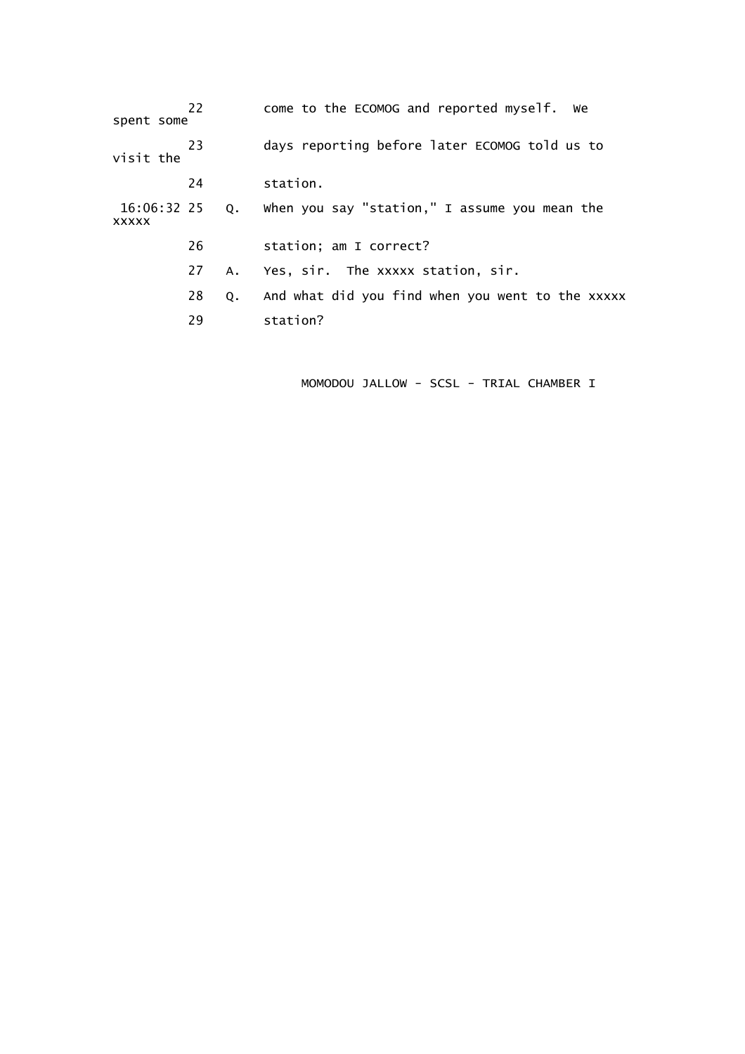| spent some   | 22 |    | come to the ECOMOG and reported myself. We                   |
|--------------|----|----|--------------------------------------------------------------|
| visit the    | 23 |    | days reporting before later ECOMOG told us to                |
|              | 24 |    | station.                                                     |
| <b>XXXXX</b> |    |    | 16:06:32 25 Q. When you say "station," I assume you mean the |
|              | 26 |    | station; am I correct?                                       |
|              | 27 |    | A. Yes, sir. The xxxxx station, sir.                         |
|              | 28 | 0. | And what did you find when you went to the xxxxx             |
|              | 29 |    | station?                                                     |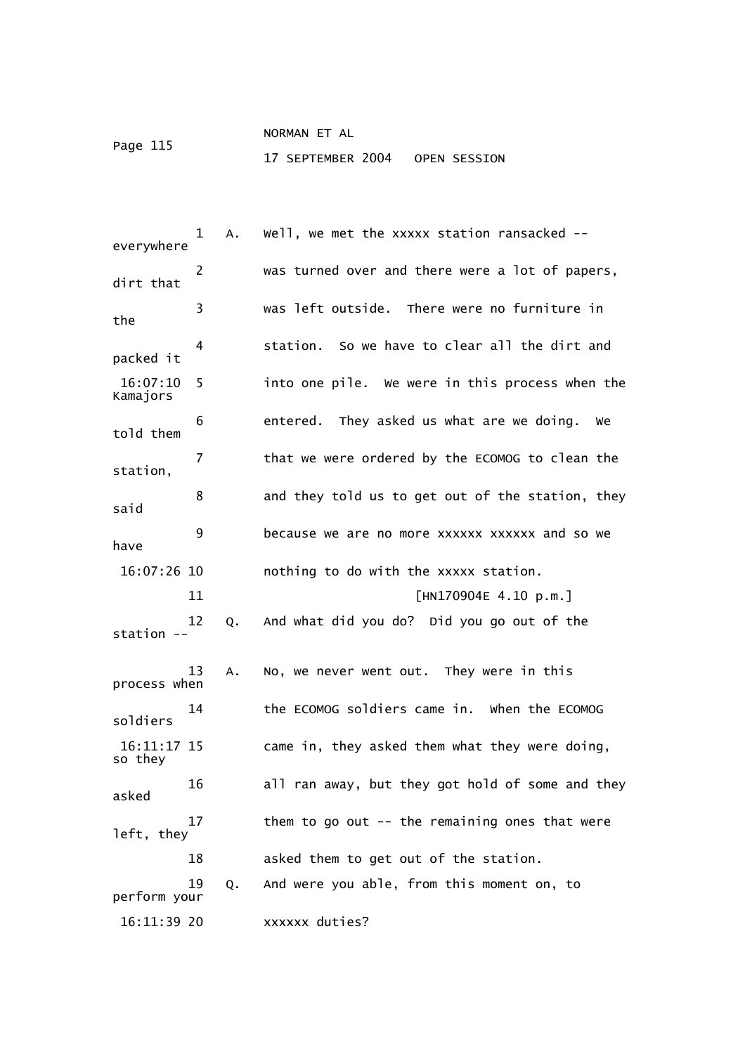## NORMAN ET AL Page 115 17 SEPTEMBER 2004 OPEN SESSION

| everywhere             | 1  | Α. | Well, we met the $xxxx$ station ransacked $-$     |
|------------------------|----|----|---------------------------------------------------|
| dirt that              | 2  |    | was turned over and there were a lot of papers,   |
| the                    | 3  |    | was left outside. There were no furniture in      |
| packed it              | 4  |    | station. So we have to clear all the dirt and     |
| 16:07:10<br>Kamajors   | 5  |    | into one pile. We were in this process when the   |
| told them              | 6  |    | entered. They asked us what are we doing. We      |
| station,               | 7  |    | that we were ordered by the ECOMOG to clean the   |
| said                   | 8  |    | and they told us to get out of the station, they  |
| have                   | 9  |    | because we are no more xxxxxx xxxxxx and so we    |
| 16:07:26 10            |    |    | nothing to do with the xxxxx station.             |
|                        | 11 |    | [HM170904E 4.10 p.m.]                             |
| station --             | 12 | Q. | And what did you do? Did you go out of the        |
| process when           | 13 | А. | No, we never went out. They were in this          |
| soldiers               | 14 |    | the ECOMOG soldiers came in. When the ECOMOG      |
| 16:11:17 15<br>so they |    |    | came in, they asked them what they were doing,    |
| asked                  | 16 |    | all ran away, but they got hold of some and they  |
| left, they             | 17 |    | them to go out $-$ - the remaining ones that were |
|                        | 18 |    | asked them to get out of the station.             |
| perform your           | 19 | Q. | And were you able, from this moment on, to        |
| 16:11:39 20            |    |    | xxxxxx duties?                                    |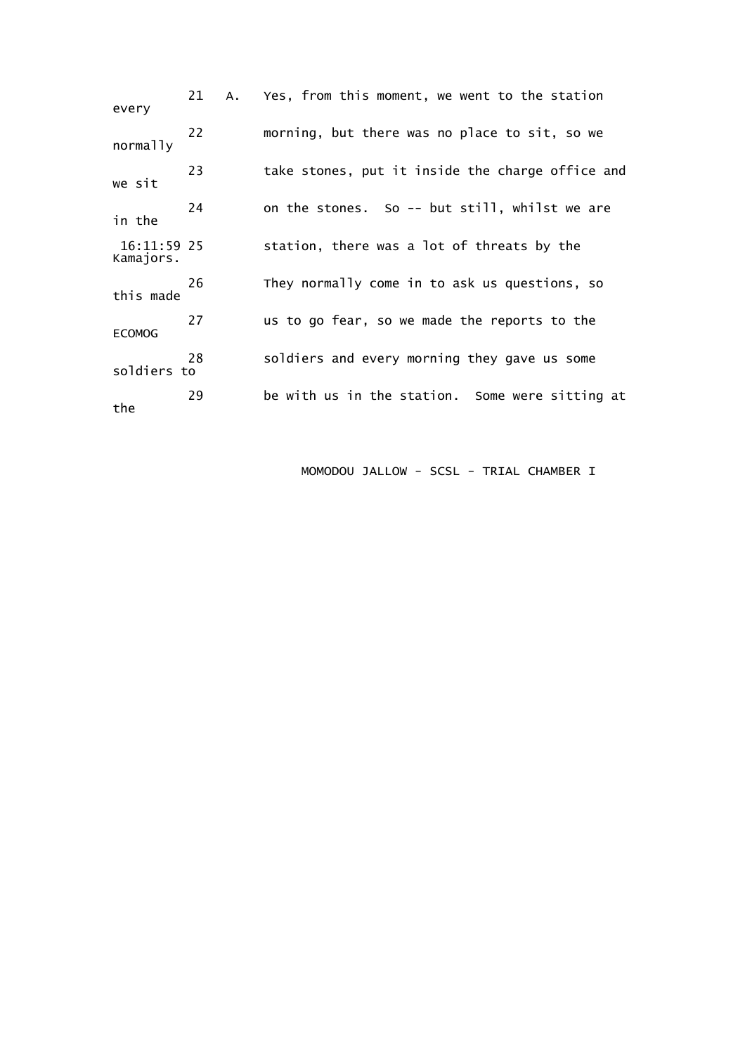| every                      | 21 | A. Yes, from this moment, we went to the station |
|----------------------------|----|--------------------------------------------------|
| normally                   | 22 | morning, but there was no place to sit, so we    |
| we sit                     | 23 | take stones, put it inside the charge office and |
| in the                     | 24 | on the stones. So -- but still, whilst we are    |
| $16:11:59$ 25<br>Kamajors. |    | station, there was a lot of threats by the       |
| this made                  | 26 | They normally come in to ask us questions, so    |
| <b>ECOMOG</b>              | 27 | us to go fear, so we made the reports to the     |
| soldiers to                | 28 | soldiers and every morning they gave us some     |
| the                        | 29 | be with us in the station. Some were sitting at  |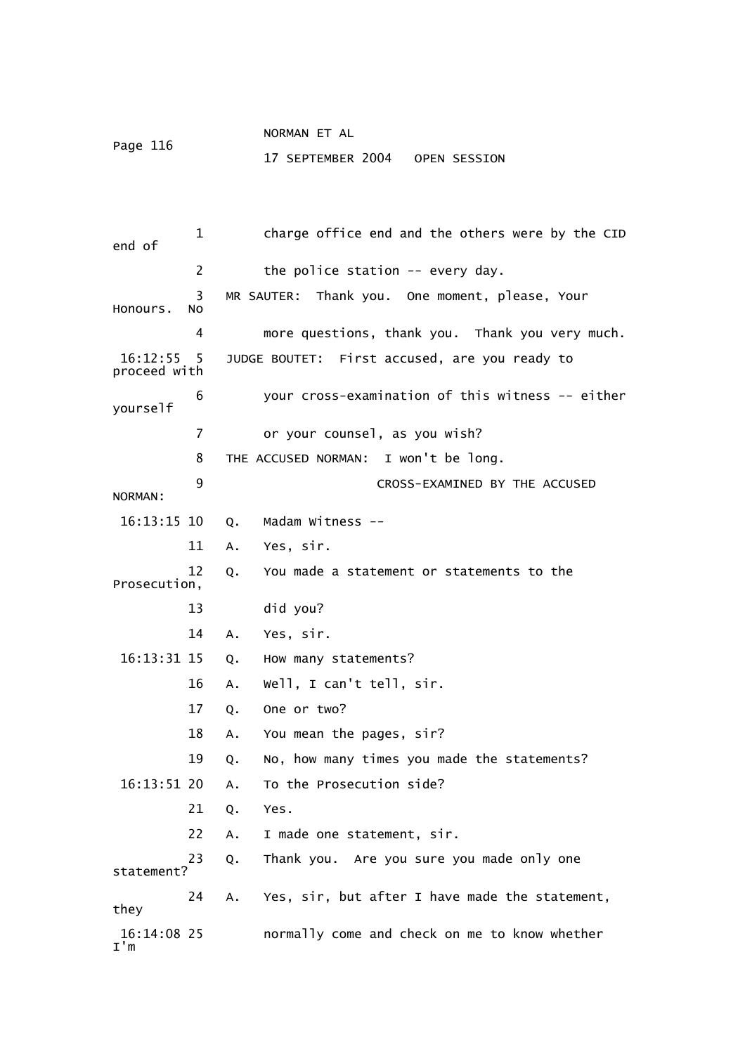## NORMAN ET AL Page 116 17 SEPTEMBER 2004 OPEN SESSION

 1 charge office end and the others were by the CID end of 2 the police station -- every day. 3 MR SAUTER: Thank you. One moment, please, Your Honours. 4 more questions, thank you. Thank you very much. 16:12:55 5 JUDGE BOUTET: First accused, are you ready to proceed with 6 your cross-examination of this witness -- either yourself 7 or your counsel, as you wish? 8 THE ACCUSED NORMAN: I won't be long. 9 CROSS-EXAMINED BY THE ACCUSED NORMAN: 16:13:15 10 Q. Madam Witness -- 11 A. Yes, sir. 12 0. You made a statement or statements to the Prosecution, 13 did you? 14 A. Yes, sir. 16:13:31 15 Q. How many statements? 16 A. Well, I can't tell, sir. 17 Q. One or two? 18 A. You mean the pages, sir? 19 Q. No, how many times you made the statements? 16:13:51 20 A. To the Prosecution side? 21 Q. Yes. 22 A. I made one statement, sir. 23 Q. Thank you. Are you sure you made only one statement? 24 A. Yes, sir, but after I have made the statement, they 16:14:08 25 normally come and check on me to know whether  $\overline{I}$ <sup>'</sup>m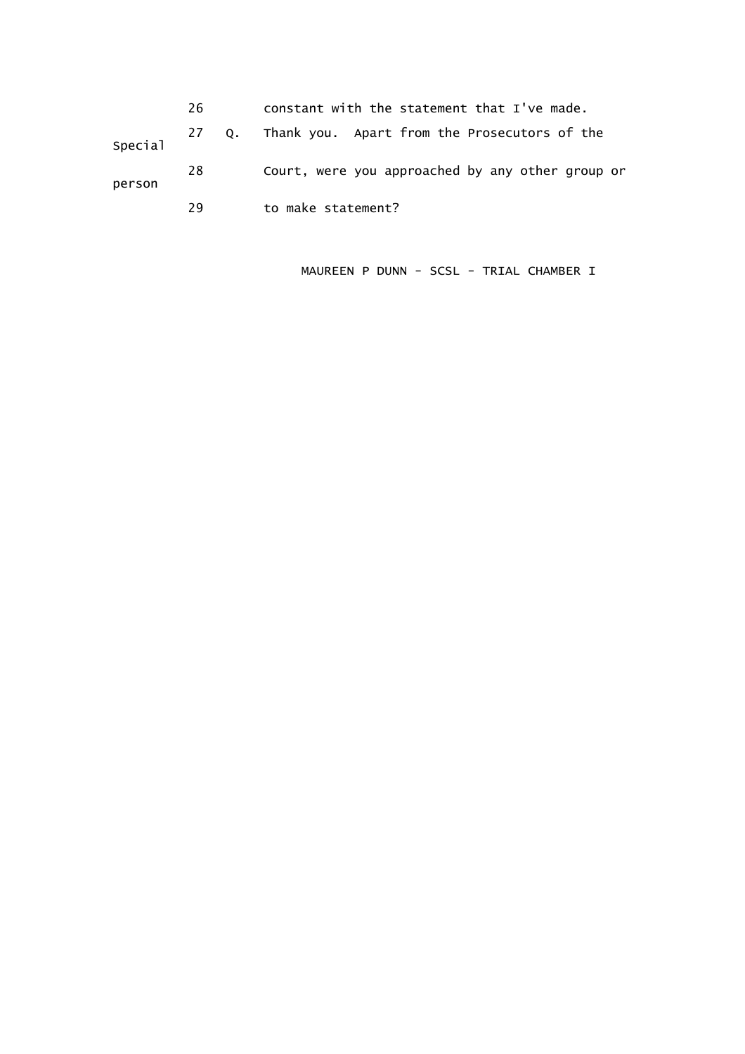26 constant with the statement that I've made. 27 Q. Thank you. Apart from the Prosecutors of the Special 28 Court, were you approached by any other group or person 29 to make statement?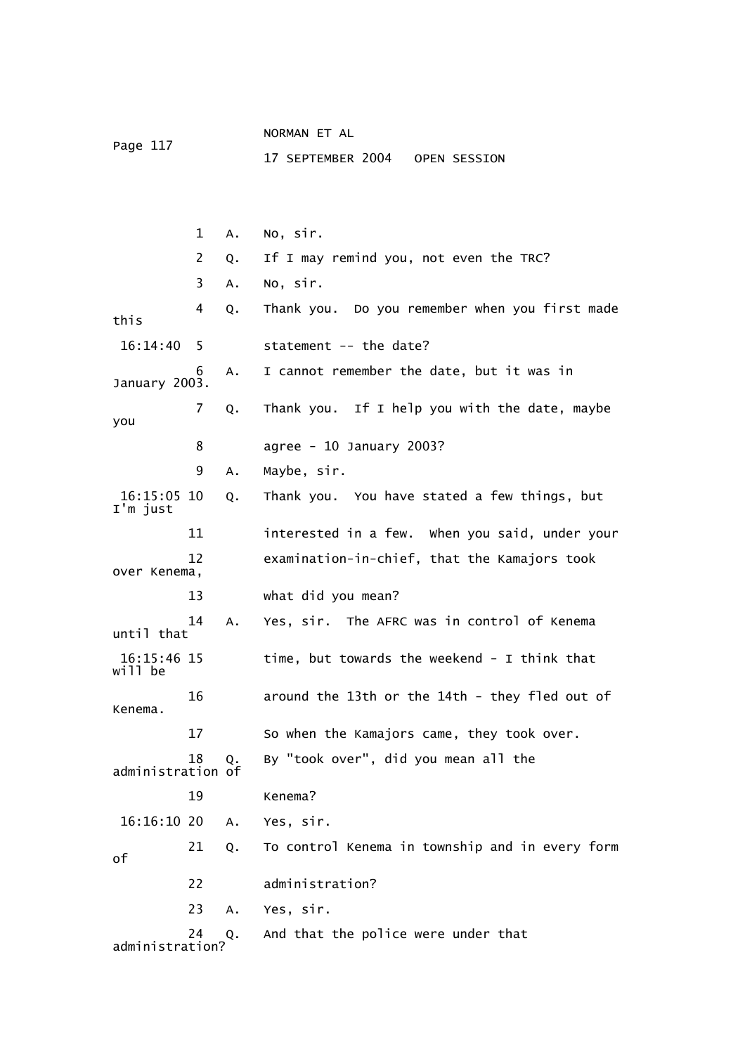|          | NORMAN ET AL                   |  |
|----------|--------------------------------|--|
| Page 117 | 17 SEPTEMBER 2004 OPEN SESSION |  |

|                         | 1  | А. | No, sir.                                        |
|-------------------------|----|----|-------------------------------------------------|
|                         | 2  | Q. | If I may remind you, not even the TRC?          |
|                         | 3  | А. | No, sir.                                        |
| this                    | 4  | Q. | Thank you. Do you remember when you first made  |
| $16:14:40$ 5            |    |    | statement -- the date?                          |
| January 2003.           | 6  | А. | I cannot remember the date, but it was in       |
| you                     | 7  | Q. | Thank you. If I help you with the date, maybe   |
|                         | 8  |    | agree - 10 January 2003?                        |
|                         | 9  | Α. | Maybe, sir.                                     |
| 16:15:05 10<br>I'm just |    | Q. | Thank you. You have stated a few things, but    |
|                         | 11 |    | interested in a few. When you said, under your  |
| over Kenema,            | 12 |    | examination-in-chief, that the Kamajors took    |
|                         | 13 |    | what did you mean?                              |
| until that              | 14 | Α. | Yes, sir. The AFRC was in control of Kenema     |
| 16:15:46 15<br>will be  |    |    | time, but towards the weekend - I think that    |
| Kenema.                 | 16 |    | around the 13th or the 14th - they fled out of  |
|                         | 17 |    | So when the Kamajors came, they took over.      |
| administration of       | 18 | Ο. | By "took over", did you mean all the            |
|                         | 19 |    | Kenema?                                         |
| 16:16:10 20             |    | Α. | Yes, sir.                                       |
| оf                      | 21 | Q. | To control Kenema in township and in every form |
|                         | 22 |    | administration?                                 |
|                         | 23 | Α. | Yes, sir.                                       |
| administration?         | 24 | Q. | And that the police were under that             |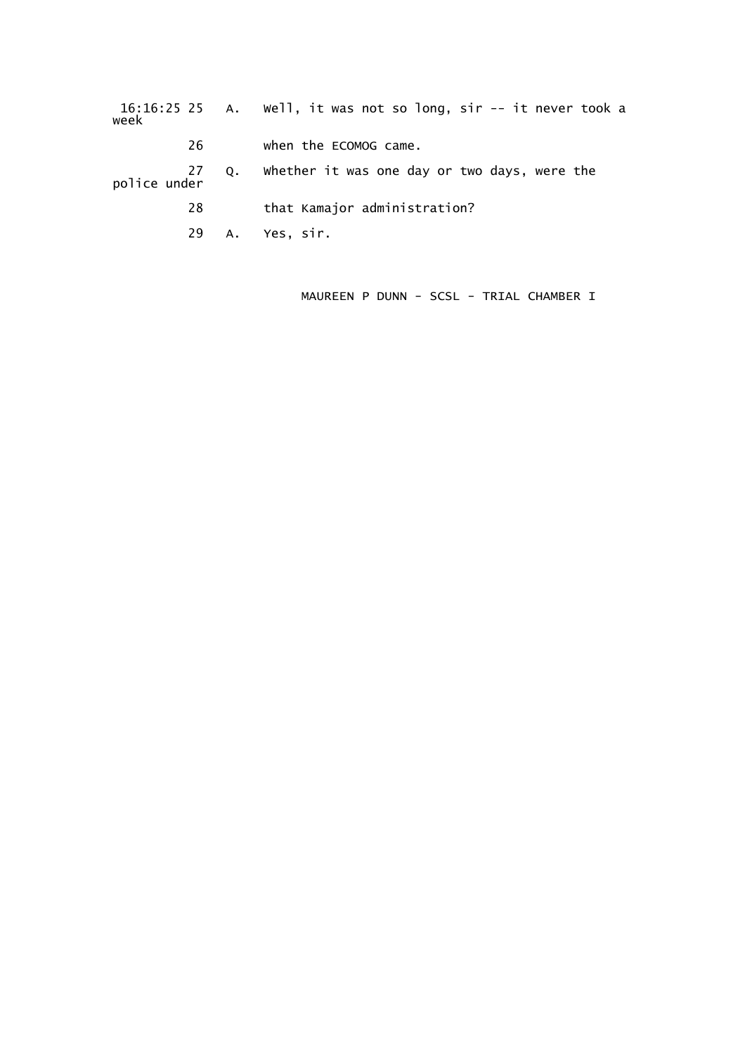| week         |     | 16:16:25 25 A. Well, it was not so long, sir $-$ - it never took a |
|--------------|-----|--------------------------------------------------------------------|
|              | 26  | when the ECOMOG came.                                              |
| police under | -27 | Q. Whether it was one day or two days, were the                    |
|              | 28  | that Kamajor administration?                                       |
|              |     | 29 A. Yes sir.                                                     |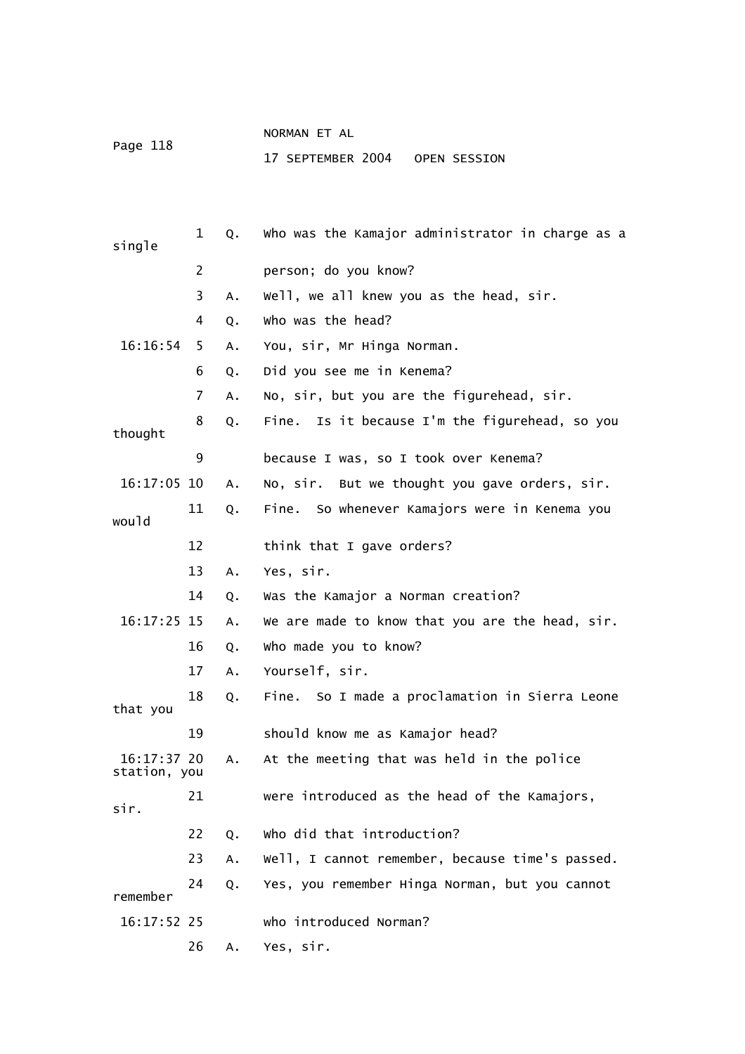|          | NORMAN ET AL                   |  |
|----------|--------------------------------|--|
| Page 118 | 17 SEPTEMBER 2004 OPEN SESSION |  |

| single                      | 1  | Q. | Who was the Kamajor administrator in charge as a |
|-----------------------------|----|----|--------------------------------------------------|
|                             | 2  |    | person; do you know?                             |
|                             | 3  | А. | Well, we all knew you as the head, sir.          |
|                             | 4  | Q. | who was the head?                                |
| 16:16:54                    | 5  | Α. | You, sir, Mr Hinga Norman.                       |
|                             | 6  | Q. | Did you see me in Kenema?                        |
|                             | 7  | А. | No, sir, but you are the figurehead, sir.        |
| thought                     | 8  | Q. | Fine. Is it because I'm the figurehead, so you   |
|                             | 9  |    | because I was, so I took over Kenema?            |
| 16:17:05 10                 |    | Α. | No, sir. But we thought you gave orders, sir.    |
| would                       | 11 | Q. | Fine. So whenever Kamajors were in Kenema you    |
|                             | 12 |    | think that I gave orders?                        |
|                             | 13 | Α. | Yes, sir.                                        |
|                             | 14 | Q. | Was the Kamajor a Norman creation?               |
| 16:17:25 15                 |    | А. | We are made to know that you are the head, sir.  |
|                             | 16 | Q. | who made you to know?                            |
|                             | 17 | А. | Yourself, sir.                                   |
| that you                    | 18 | Q. | Fine. So I made a proclamation in Sierra Leone   |
|                             | 19 |    | should know me as Kamajor head?                  |
| 16:17:37 20<br>station, you |    | А. | At the meeting that was held in the police       |
| sir.                        | 21 |    | were introduced as the head of the Kamajors,     |
|                             | 22 | Q. | who did that introduction?                       |
|                             | 23 | A. | Well, I cannot remember, because time's passed.  |
| remember                    | 24 | Q. | Yes, you remember Hinga Norman, but you cannot   |
| 16:17:52 25                 |    |    | who introduced Norman?                           |
|                             | 26 | Α. | Yes, sir.                                        |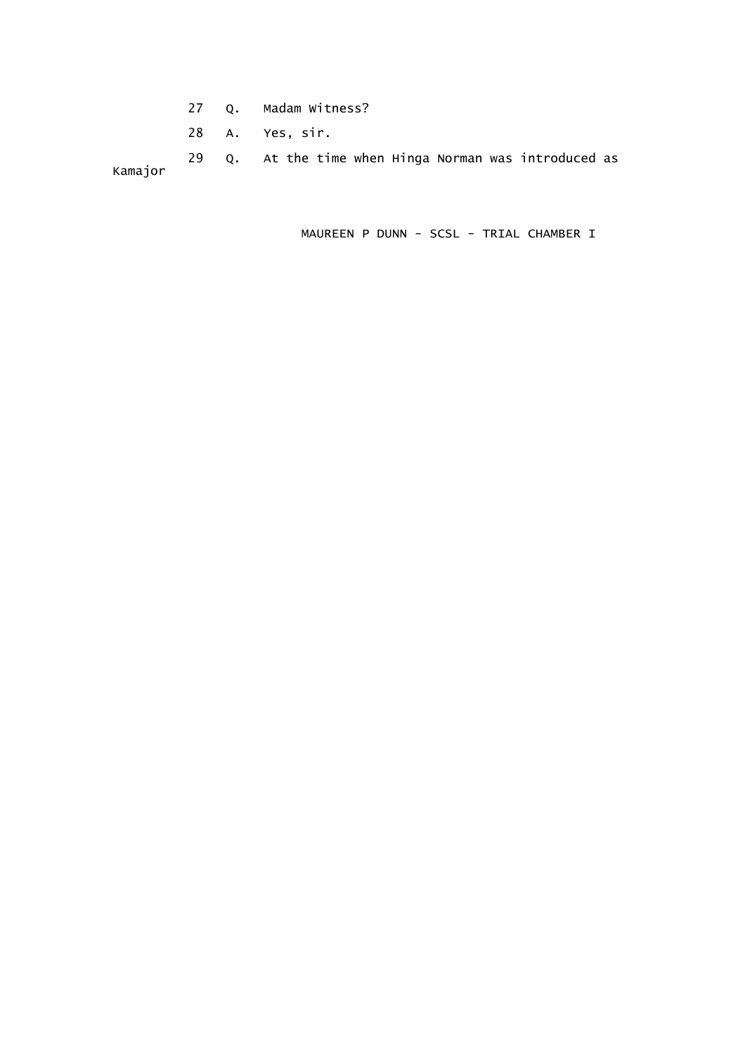- 27 Q. Madam Witness?
- 28 A. Yes, sir.

 29 Q. At the time when Hinga Norman was introduced as Kamajor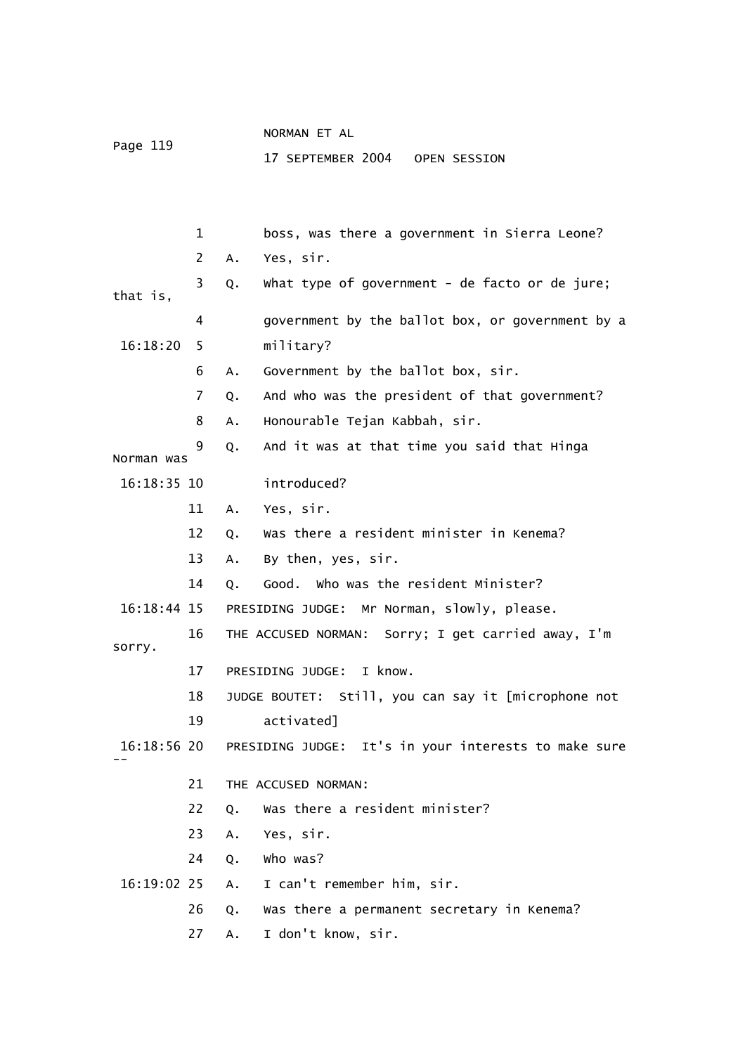|          | NORMAN ET AL                   |  |
|----------|--------------------------------|--|
| Page 119 | 17 SEPTEMBER 2004 OPEN SESSION |  |

|             | 1  |                | boss, was there a government in Sierra Leone?        |
|-------------|----|----------------|------------------------------------------------------|
|             | 2  | Α.             | Yes, sir.                                            |
| that is,    | 3  | Q.             | what type of government - de facto or de jure;       |
|             | 4  |                | government by the ballot box, or government by a     |
| 16:18:20    | 5  |                | military?                                            |
|             | 6  | А.             | Government by the ballot box, sir.                   |
|             | 7  | Q.             | And who was the president of that government?        |
|             | 8  | Α.             | Honourable Tejan Kabbah, sir.                        |
| Norman was  | 9  | Q.             | And it was at that time you said that Hinga          |
| 16:18:35 10 |    |                | introduced?                                          |
|             | 11 | Α.             | Yes, sir.                                            |
|             | 12 | Q.             | Was there a resident minister in Kenema?             |
|             | 13 | А.             | By then, yes, sir.                                   |
|             | 14 | Q.             | Good. Who was the resident Minister?                 |
| 16:18:44 15 |    |                | PRESIDING JUDGE: Mr Norman, slowly, please.          |
| sorry.      | 16 |                | THE ACCUSED NORMAN: Sorry; I get carried away, I'm   |
|             | 17 |                | PRESIDING JUDGE: I know.                             |
|             | 18 |                | JUDGE BOUTET: Still, you can say it [microphone not  |
|             | 19 |                | activated]                                           |
| 16:18:56 20 |    |                | PRESIDING JUDGE: It's in your interests to make sure |
|             | 21 |                | THE ACCUSED NORMAN:                                  |
|             | 22 | Q.             | Was there a resident minister?                       |
|             | 23 | Α.             | Yes, sir.                                            |
|             | 24 | Q <sub>1</sub> | who was?                                             |
| 16:19:02 25 |    | А.             | I can't remember him, sir.                           |
|             | 26 | Q.             | Was there a permanent secretary in Kenema?           |
|             | 27 | А.             | I don't know, sir.                                   |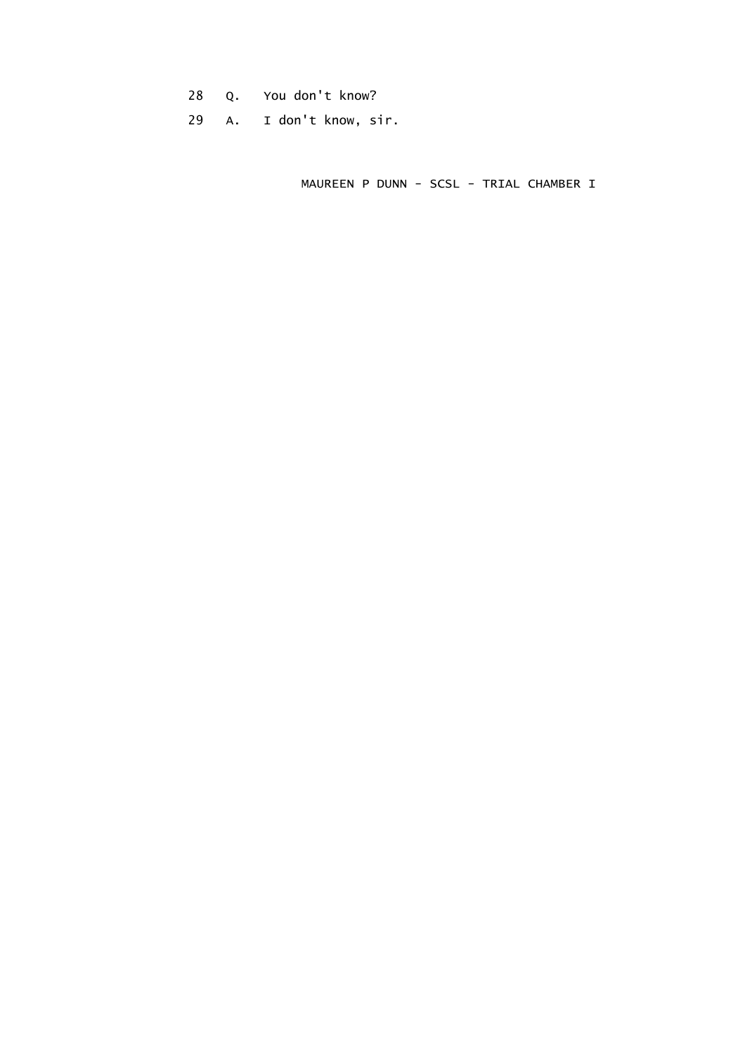- 28 Q. You don't know?
- 29 A. I don't know, sir.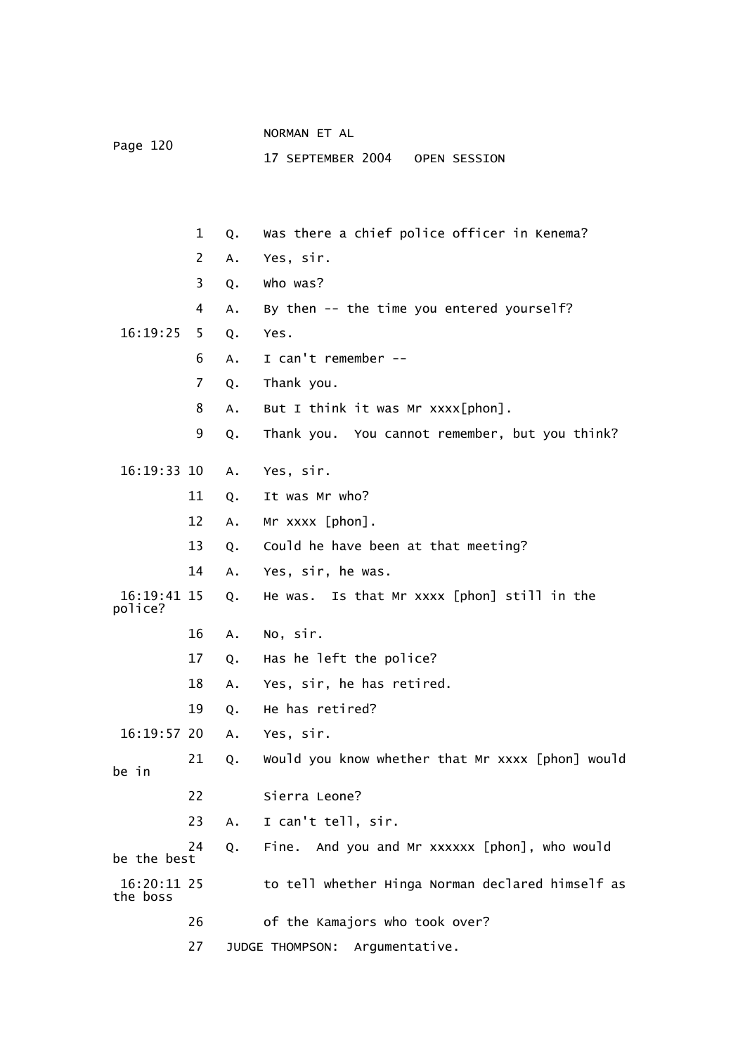|                         |    |                | NORMAN ET AL                                     |
|-------------------------|----|----------------|--------------------------------------------------|
| Page 120                |    |                | 17 SEPTEMBER 2004 OPEN SESSION                   |
|                         |    |                |                                                  |
|                         |    |                |                                                  |
|                         | 1  | Q.             | Was there a chief police officer in Kenema?      |
|                         | 2  | А.             | Yes, sir.                                        |
|                         | 3  | Q.             | who was?                                         |
|                         | 4  | А.             | By then -- the time you entered yourself?        |
| $16:19:25$ 5            |    | Q.             | Yes.                                             |
|                         | 6  | А.             | I can't remember --                              |
|                         | 7  | Q.             | Thank you.                                       |
|                         | 8  | А.             | But I think it was Mr xxxx[phon].                |
|                         | 9  | Q.             | Thank you. You cannot remember, but you think?   |
| 16:19:33 10             |    | А.             | Yes, sir.                                        |
|                         | 11 | Q.             | It was Mr who?                                   |
|                         | 12 | А.             | Mr xxxx [phon].                                  |
|                         | 13 | Q.             | Could he have been at that meeting?              |
|                         | 14 | Α.             | Yes, sir, he was.                                |
| 16:19:41 15             |    | Q.             | He was. Is that Mr xxxx [phon] still in the      |
| police?                 |    |                |                                                  |
|                         | 16 | А.             | No, sir.                                         |
|                         | 17 | Q <sub>1</sub> | Has he left the police?                          |
|                         | 18 |                | A. Yes, sir, he has retired.                     |
|                         | 19 | Q.             | He has retired?                                  |
| 16:19:57 20             |    | Α.             | Yes, sir.                                        |
| be in                   | 21 | Q.             | Would you know whether that Mr xxxx [phon] would |
|                         | 22 |                | Sierra Leone?                                    |
|                         | 23 | А.             | I can't tell, sir.                               |
| be the best             | 24 | Q.             | Fine. And you and Mr xxxxxx [phon], who would    |
| 16:20:11 25<br>the boss |    |                | to tell whether Hinga Norman declared himself as |
|                         | 26 |                | of the Kamajors who took over?                   |
|                         | 27 |                | JUDGE THOMPSON: Argumentative.                   |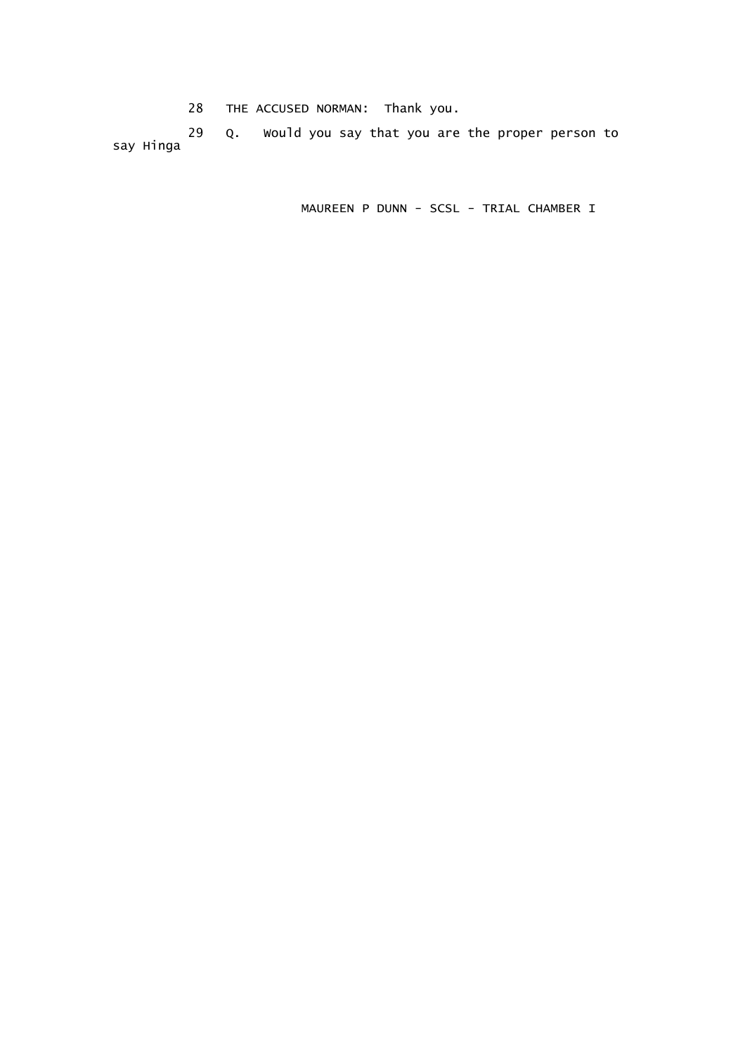28 THE ACCUSED NORMAN: Thank you.

 29 Q. Would you say that you are the proper person to say Hinga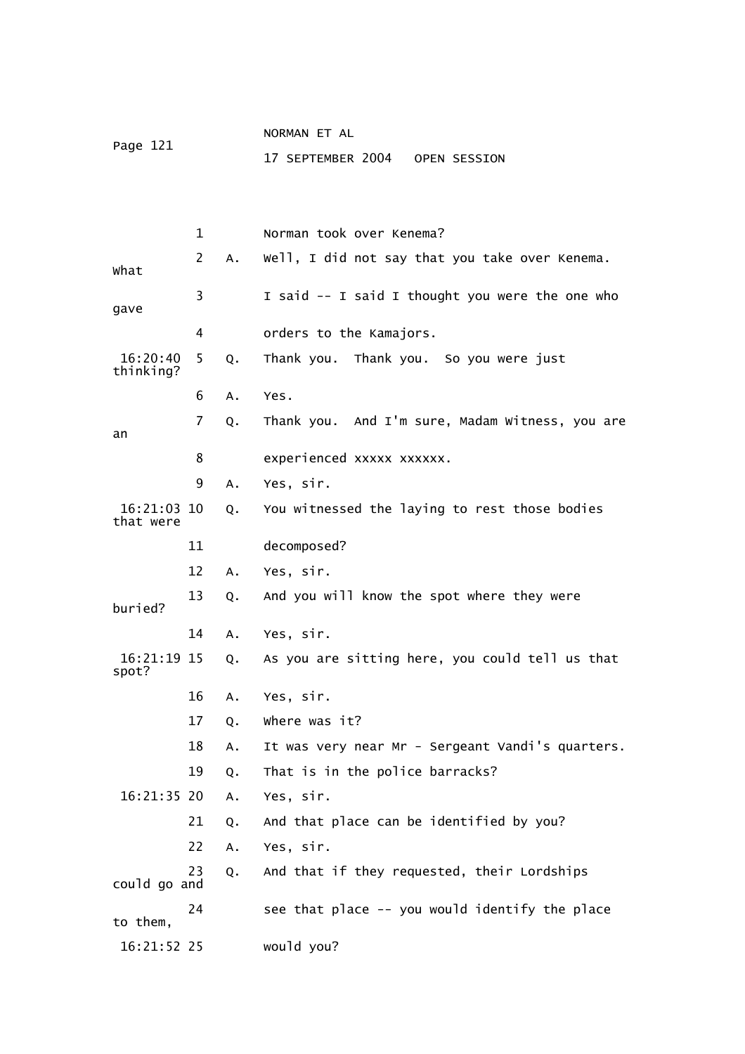NORMAN ET AL Page 121 17 SEPTEMBER 2004 OPEN SESSION

|                          | 1  |    | Norman took over Kenema?                         |
|--------------------------|----|----|--------------------------------------------------|
| what                     | 2  | Α. | Well, I did not say that you take over Kenema.   |
| gave                     | 3  |    | I said -- I said I thought you were the one who  |
|                          | 4  |    | orders to the Kamajors.                          |
| 16:20:40<br>thinking?    | 5  | Q. | Thank you. Thank you. So you were just           |
|                          | 6  | Α. | Yes.                                             |
| an                       | 7  | Q. | Thank you. And I'm sure, Madam Witness, you are  |
|                          | 8  |    | experienced xxxxx xxxxxx.                        |
|                          | 9  | Α. | Yes, sir.                                        |
| 16:21:03 10<br>that were |    | Q. | You witnessed the laying to rest those bodies    |
|                          | 11 |    | decomposed?                                      |
|                          | 12 | Α. | Yes, sir.                                        |
| buried?                  | 13 | Q. | And you will know the spot where they were       |
|                          | 14 | Α. | Yes, sir.                                        |
| 16:21:19 15<br>spot?     |    | Q. | As you are sitting here, you could tell us that  |
|                          | 16 | A. | Yes, sir.                                        |
|                          | 17 | Q. | where was it?                                    |
|                          | 18 | Α. | It was very near Mr - Sergeant Vandi's quarters. |
|                          | 19 | Q. | That is in the police barracks?                  |
| 16:21:35 20              |    | Α. | Yes, sir.                                        |
|                          | 21 | Q. | And that place can be identified by you?         |
|                          | 22 | Α. | Yes, sir.                                        |
| could go and             | 23 | Q. | And that if they requested, their Lordships      |
| to them,                 | 24 |    | see that place -- you would identify the place   |
| 16:21:52 25              |    |    | would you?                                       |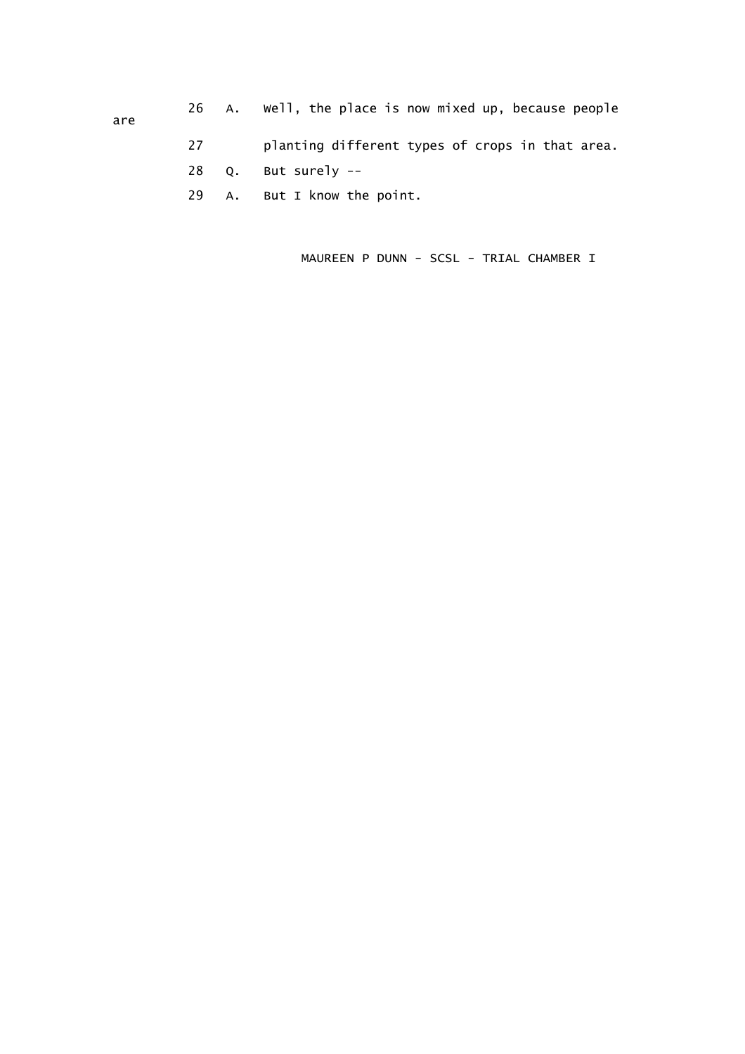| are | 26 A. | well, the place is now mixed up, because people |
|-----|-------|-------------------------------------------------|
|     | 27 a  | planting different types of crops in that area. |
|     |       | $28$ Q. But surely $-$                          |

29 A. But I know the point.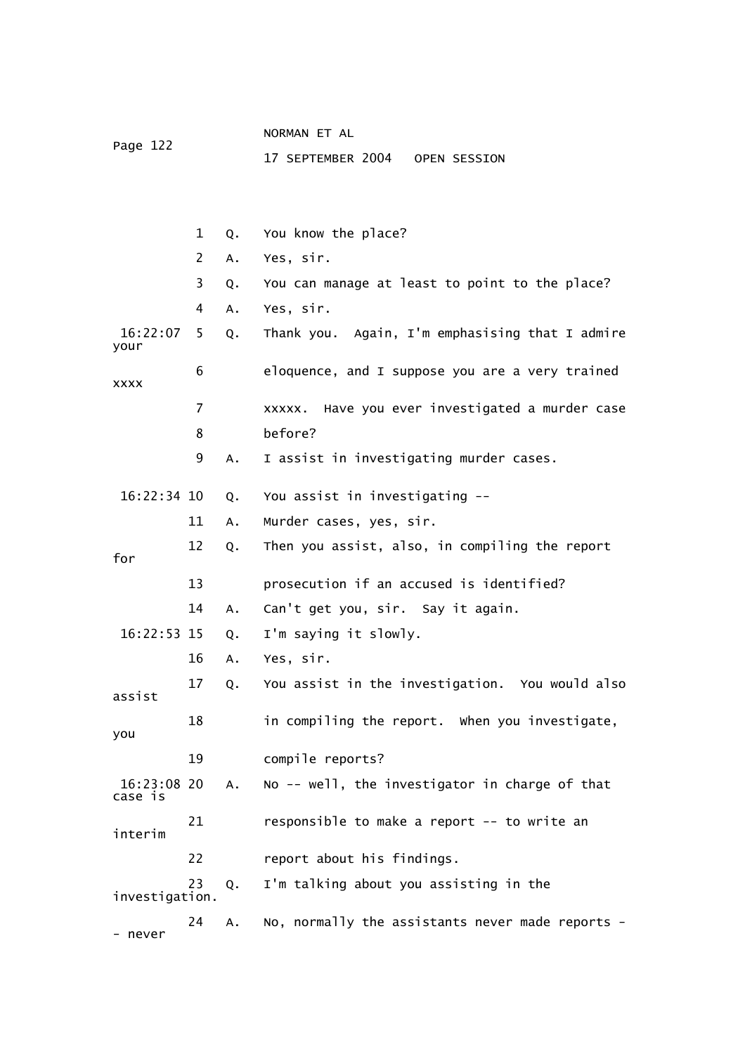|          | NORMAN ET AL                   |  |
|----------|--------------------------------|--|
| Page 122 | 17 SEPTEMBER 2004 OPEN SESSION |  |

|                        | 1  | Q. | You know the place?                               |
|------------------------|----|----|---------------------------------------------------|
|                        | 2  | Α. | Yes, sir.                                         |
|                        | 3  | Q. | You can manage at least to point to the place?    |
|                        | 4  | Α. | Yes, sir.                                         |
| 16:22:07<br>your       | 5  | Q. | Thank you. Again, I'm emphasising that I admire   |
| <b>XXXX</b>            | 6  |    | eloquence, and I suppose you are a very trained   |
|                        | 7  |    | xxxxx. Have you ever investigated a murder case   |
|                        | 8  |    | before?                                           |
|                        | 9  | A. | I assist in investigating murder cases.           |
| 16:22:34 10            |    | Q. | You assist in investigating --                    |
|                        | 11 | Α. | Murder cases, yes, sir.                           |
| for                    | 12 | Q. | Then you assist, also, in compiling the report    |
|                        | 13 |    | prosecution if an accused is identified?          |
|                        | 14 | Α. | Can't get you, sir. Say it again.                 |
| 16:22:53 15            |    | Q. | I'm saying it slowly.                             |
|                        | 16 | Α. | Yes, sir.                                         |
| assist                 | 17 | Q. | You assist in the investigation. You would also   |
| you                    | 18 |    | in compiling the report. When you investigate,    |
|                        | 19 |    | compile reports?                                  |
| 16:23:08 20<br>case is |    |    | A. No -- well, the investigator in charge of that |
| interim                | 21 |    | responsible to make a report -- to write an       |
|                        | 22 |    | report about his findings.                        |
| investigation.         | 23 | Q. | I'm talking about you assisting in the            |
| - never                | 24 | A. | No, normally the assistants never made reports -  |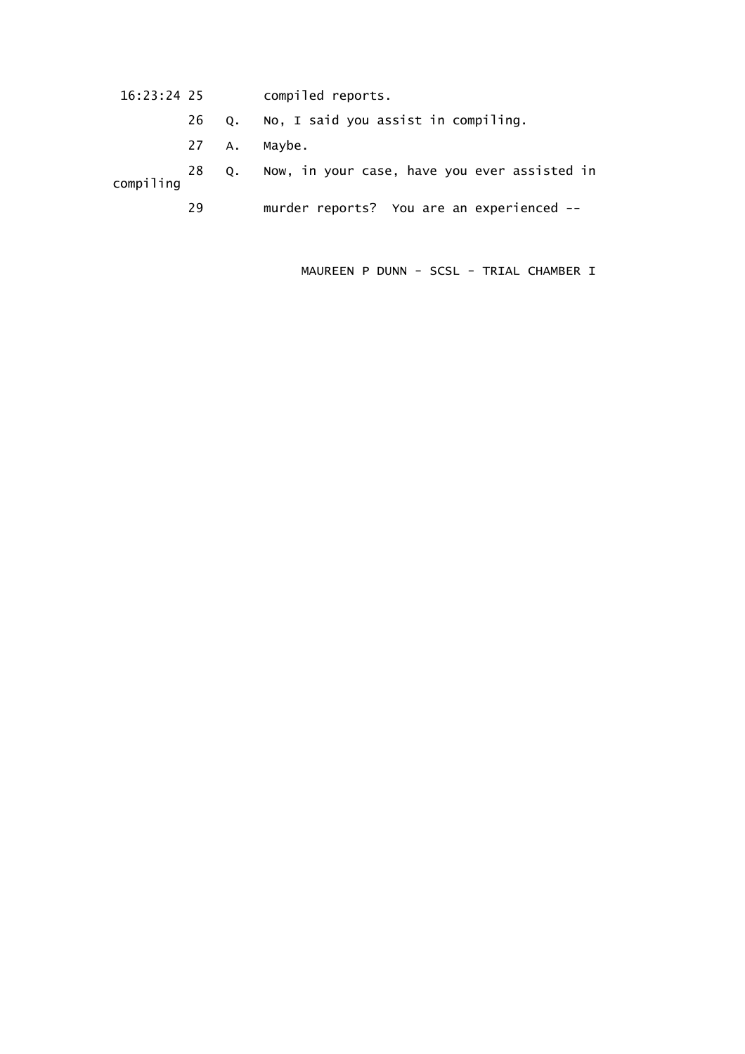16:23:24 25 compiled reports.

- 26 Q. No, I said you assist in compiling.
- 27 A. Maybe.

| compiling |    |  |  |  |  | 28 Q. Now, in your case, have you ever assisted in |  |
|-----------|----|--|--|--|--|----------------------------------------------------|--|
|           | 29 |  |  |  |  | murder reports? You are an experienced --          |  |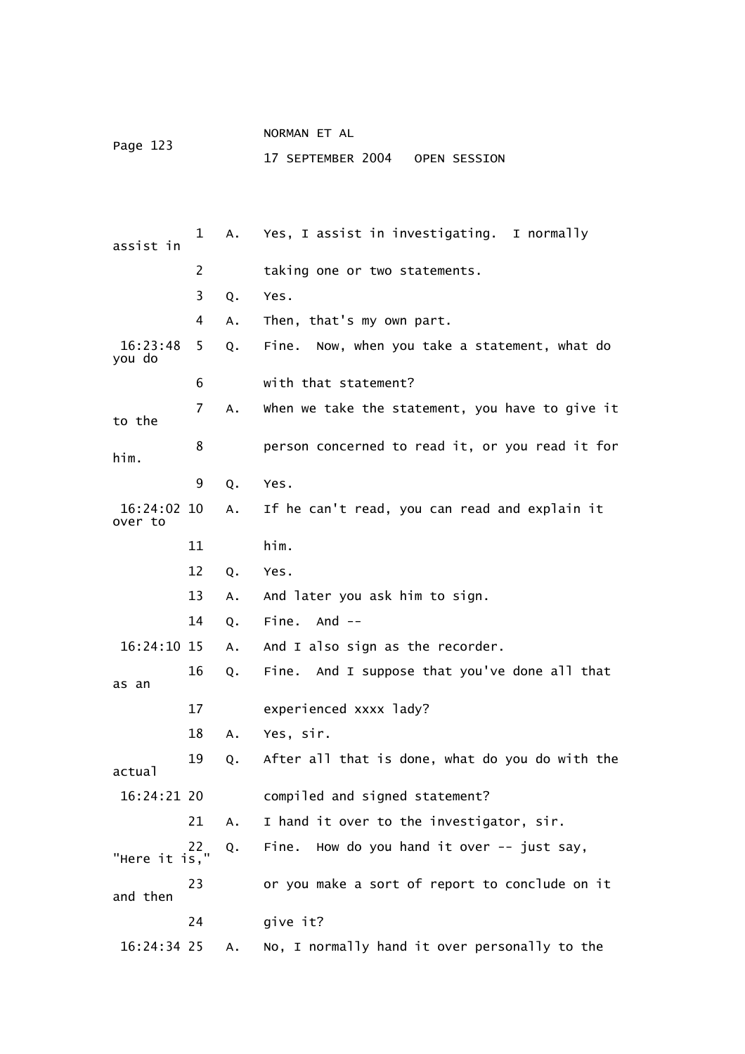|          | NORMAN ET AL                   |  |
|----------|--------------------------------|--|
| Page 123 | 17 SEPTEMBER 2004 OPEN SESSION |  |

| assist in              | $\mathbf{1}$ | А. | Yes, I assist in investigating. I normally      |
|------------------------|--------------|----|-------------------------------------------------|
|                        | 2            |    | taking one or two statements.                   |
|                        | 3            | Q. | Yes.                                            |
|                        | 4            | А. | Then, that's my own part.                       |
| 16:23:48<br>you do     | 5.           | Q. | Fine. Now, when you take a statement, what do   |
|                        | 6            |    | with that statement?                            |
| to the                 | 7            | A. | when we take the statement, you have to give it |
| him.                   | 8            |    | person concerned to read it, or you read it for |
|                        | 9            | Q. | Yes.                                            |
| 16:24:02 10<br>over to |              | A. | If he can't read, you can read and explain it   |
|                        | 11           |    | him.                                            |
|                        | 12           | Q. | Yes.                                            |
|                        | 13           | Α. | And later you ask him to sign.                  |
|                        | 14           | Q. | Fine. And --                                    |
| $16:24:10$ 15          |              | Α. | And I also sign as the recorder.                |
| as an                  | 16           | Q. | Fine. And I suppose that you've done all that   |
|                        | 17           |    | experienced xxxx lady?                          |
|                        | 18           | Α. | Yes, sir.                                       |
| actual                 | 19           | Q. | After all that is done, what do you do with the |
| 16:24:21 20            |              |    | compiled and signed statement?                  |
|                        | 21           | Α. | I hand it over to the investigator, sir.        |
| "Here it is,"          | 22           | Q. | Fine. How do you hand it over -- just say,      |
| and then               | 23           |    | or you make a sort of report to conclude on it  |
|                        | 24           |    | give it?                                        |
| 16:24:34 25            |              | Α. | No, I normally hand it over personally to the   |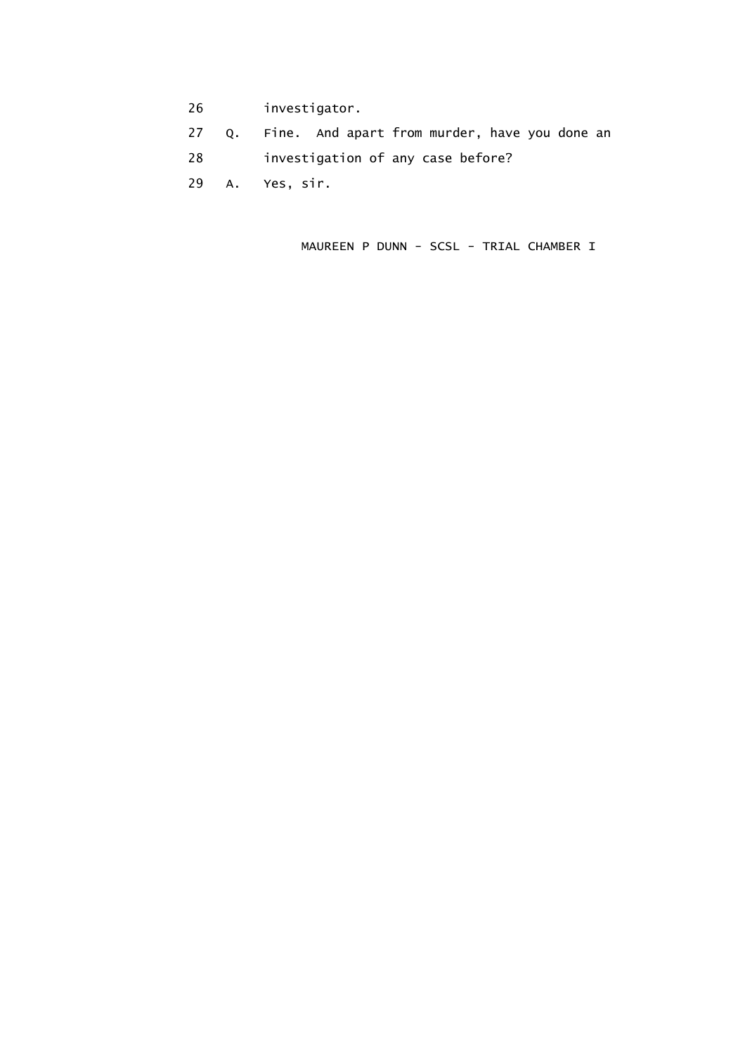- 26 investigator.
- 27 Q. Fine. And apart from murder, have you done an
- 28 investigation of any case before?
- 29 A. Yes, sir.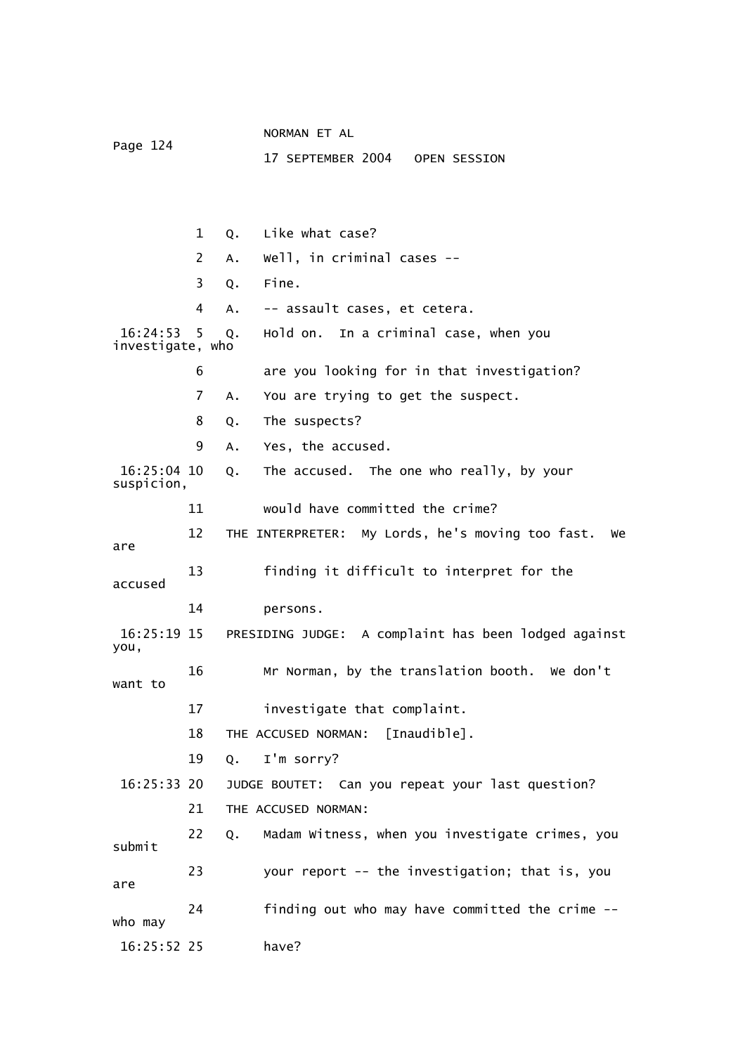|                              |    | NORMAN ET AL                                           |
|------------------------------|----|--------------------------------------------------------|
| Page 124                     |    | 17 SEPTEMBER 2004<br><b>OPEN SESSION</b>               |
|                              |    |                                                        |
|                              |    |                                                        |
|                              | 1  | Like what case?<br>Q.                                  |
|                              | 2  | Well, in criminal cases --<br>А.                       |
|                              | 3  | Fine.<br>Q.                                            |
|                              | 4  | -- assault cases, et cetera.<br>А.                     |
| 16:24:53<br>investigate, who | 5. | Hold on. In a criminal case, when you<br>Q.            |
|                              | 6  | are you looking for in that investigation?             |
|                              | 7  | You are trying to get the suspect.<br>А.               |
|                              | 8  | The suspects?<br>Q.                                    |
|                              | 9  | Yes, the accused.<br>А.                                |
| 16:25:04 10<br>suspicion,    |    | The accused. The one who really, by your<br>Q.         |
|                              | 11 | would have committed the crime?                        |
| are                          | 12 | THE INTERPRETER: My Lords, he's moving too fast.<br>we |
| accused                      | 13 | finding it difficult to interpret for the              |
|                              | 14 | persons.                                               |
| 16:25:19 15<br>you,          |    | PRESIDING JUDGE: A complaint has been lodged against   |
| want to                      | 16 | Mr Norman, by the translation booth. We don't          |
|                              | 17 | investigate that complaint.                            |
|                              | 18 | THE ACCUSED NORMAN: [Inaudible].                       |
|                              | 19 | I'm sorry?<br>Q.                                       |
| 16:25:33 20                  |    | JUDGE BOUTET: Can you repeat your last question?       |
|                              | 21 | THE ACCUSED NORMAN:                                    |
| submit                       | 22 | Madam Witness, when you investigate crimes, you<br>Q.  |
| are                          | 23 | your report -- the investigation; that is, you         |
| who may                      | 24 | finding out who may have committed the crime --        |
| 16:25:52 25                  |    | have?                                                  |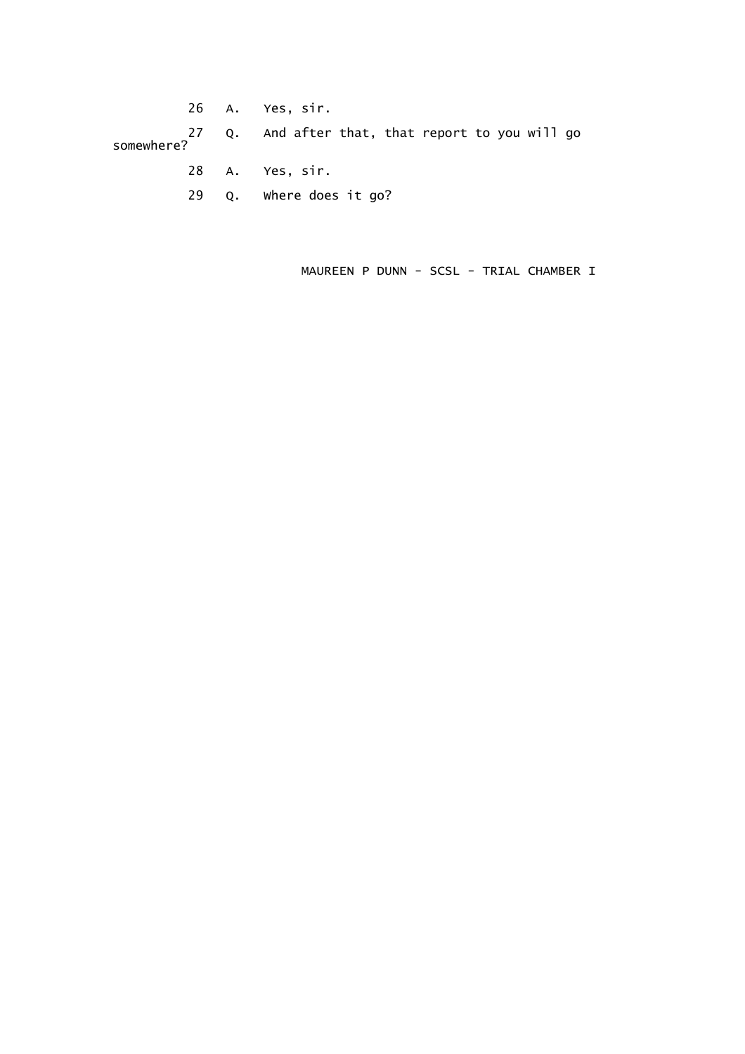26 A. Yes, sir. Q. And after that, that report to you will go somewhere? 28 A. Yes, sir. 29 Q. Where does it go?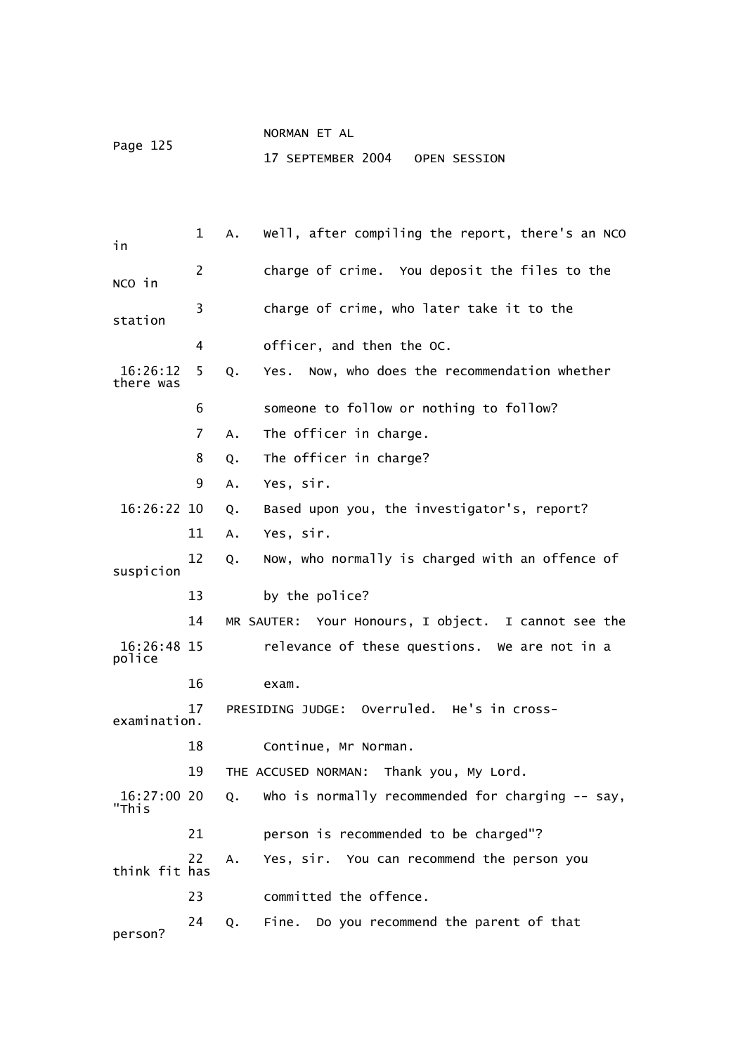NORMAN ET AL Page 125 17 SEPTEMBER 2004 OPEN SESSION

| in                    | 1              | А. | Well, after compiling the report, there's an NCO    |
|-----------------------|----------------|----|-----------------------------------------------------|
| NCO in                | $\overline{2}$ |    | charge of crime. You deposit the files to the       |
| station               | 3              |    | charge of crime, who later take it to the           |
|                       | 4              |    | officer, and then the OC.                           |
| 16:26:12<br>there was | 5              | Q. | Yes. Now, who does the recommendation whether       |
|                       | 6              |    | someone to follow or nothing to follow?             |
|                       | $\overline{7}$ | А. | The officer in charge.                              |
|                       | 8              | Q. | The officer in charge?                              |
|                       | 9              | Α. | Yes, sir.                                           |
| 16:26:22 10           |                | Q. | Based upon you, the investigator's, report?         |
|                       | 11             | Α. | Yes, sir.                                           |
| suspicion             | 12             | Q. | Now, who normally is charged with an offence of     |
|                       |                |    |                                                     |
|                       | 13             |    | by the police?                                      |
|                       | 14             |    | MR SAUTER: Your Honours, I object. I cannot see the |
| 16:26:48 15<br>police |                |    | relevance of these questions. We are not in a       |
|                       | 16             |    | exam.                                               |
| examination.          | 17             |    | PRESIDING JUDGE: Overruled. He's in cross-          |
|                       | 18             |    | Continue, Mr Norman.                                |
|                       | 19             |    | THE ACCUSED NORMAN: Thank you, My Lord.             |
| 16:27:00 20<br>"This  |                | Q. | who is normally recommended for charging -- say,    |
|                       | 21             |    | person is recommended to be charged"?               |
| think fit has         | 22             | А. | Yes, sir. You can recommend the person you          |
|                       | 23             |    | committed the offence.                              |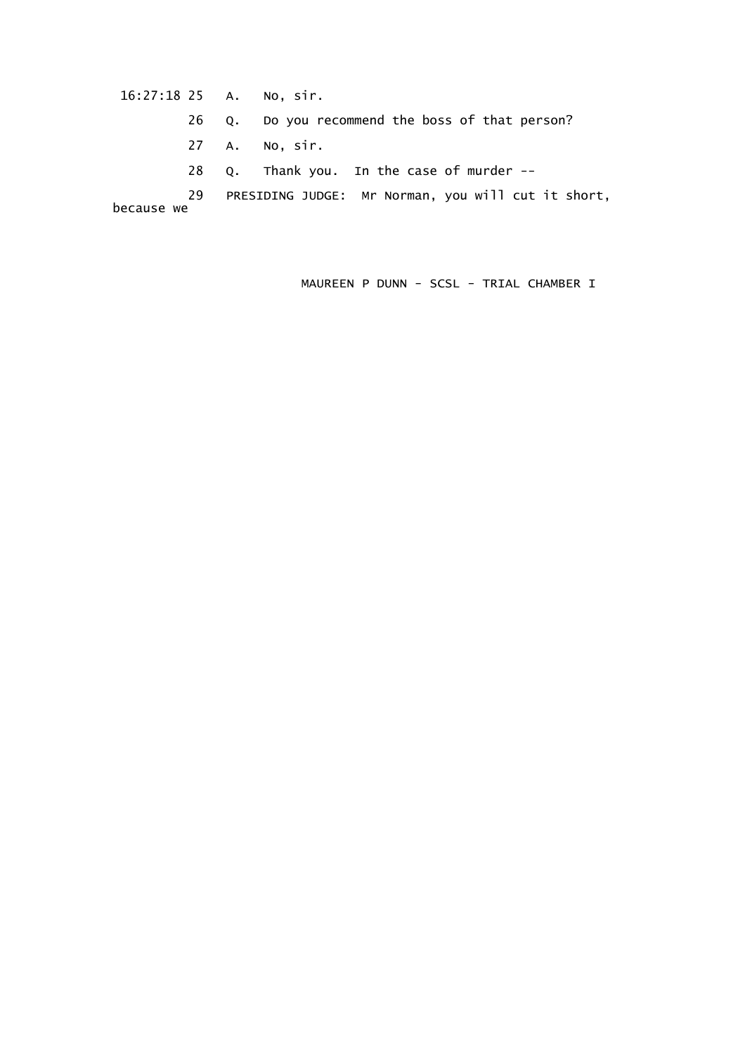16:27:18 25 A. No, sir. 26 Q. Do you recommend the boss of that person? 27 A. No, sir. 28 Q. Thank you. In the case of murder -- 29 PRESIDING JUDGE: Mr Norman, you will cut it short,

because we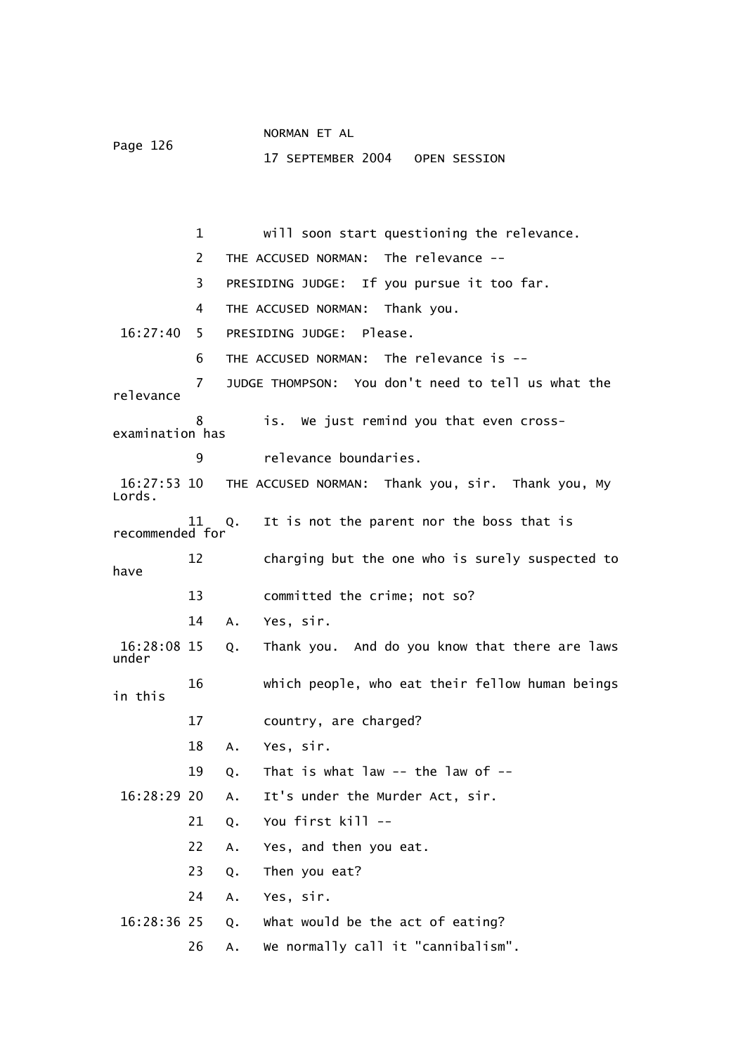17 SEPTEMBER 2004 OPEN SESSION 1 will soon start questioning the relevance. 2 THE ACCUSED NORMAN: The relevance -- 3 PRESIDING JUDGE: If you pursue it too far. 4 THE ACCUSED NORMAN: Thank you. 16:27:40 5 PRESIDING JUDGE: Please. 6 THE ACCUSED NORMAN: The relevance is -- 7 JUDGE THOMPSON: You don't need to tell us what the relevance 8 is. We just remind you that even crossexamination has 9 relevance boundaries. 16:27:53 10 THE ACCUSED NORMAN: Thank you, sir. Thank you, My Lords. 11 Q. It is not the parent nor the boss that is recommended for 12 charging but the one who is surely suspected to have 13 committed the crime; not so? 14 A. Yes, sir. 16:28:08 15 Q. Thank you. And do you know that there are laws under 16 which people, who eat their fellow human beings in this 17 country, are charged?

NORMAN ET AL

Page 126

18 A. Yes, sir.

19 Q. That is what law -- the law of --

16:28:29 20 A. It's under the Murder Act, sir.

21 Q. You first kill --

22 A. Yes, and then you eat.

23 Q. Then you eat?

24 A. Yes, sir.

16:28:36 25 Q. What would be the act of eating?

26 A. We normally call it "cannibalism".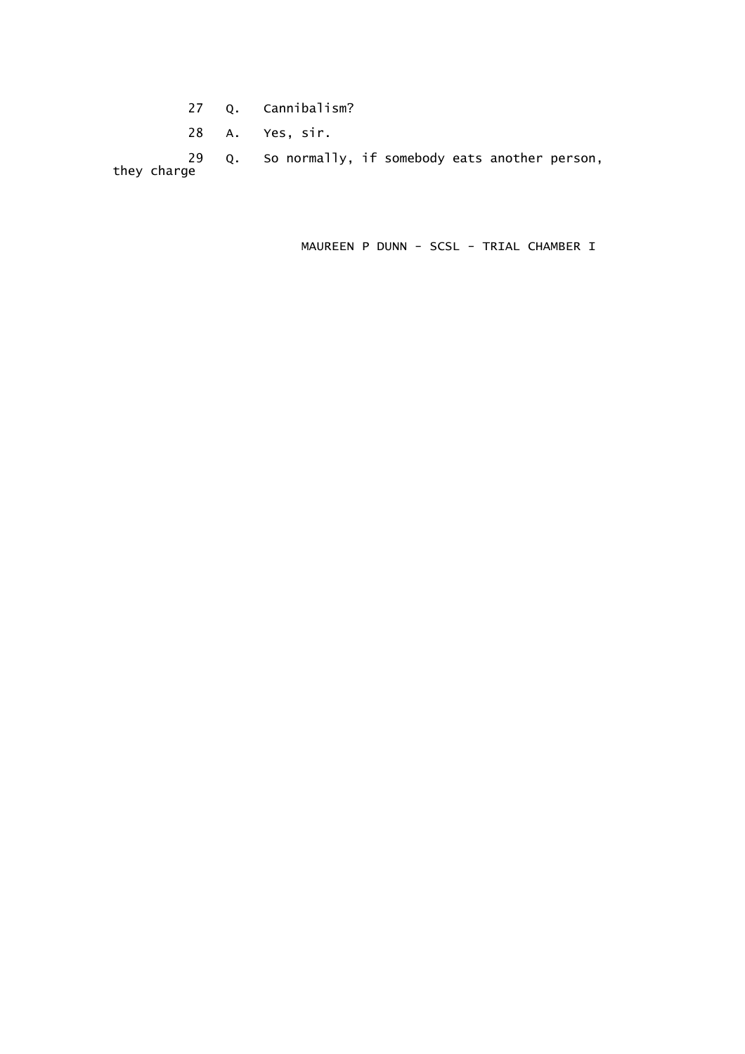- 27 Q. Cannibalism?
- 28 A. Yes, sir.

 29 Q. So normally, if somebody eats another person, they charge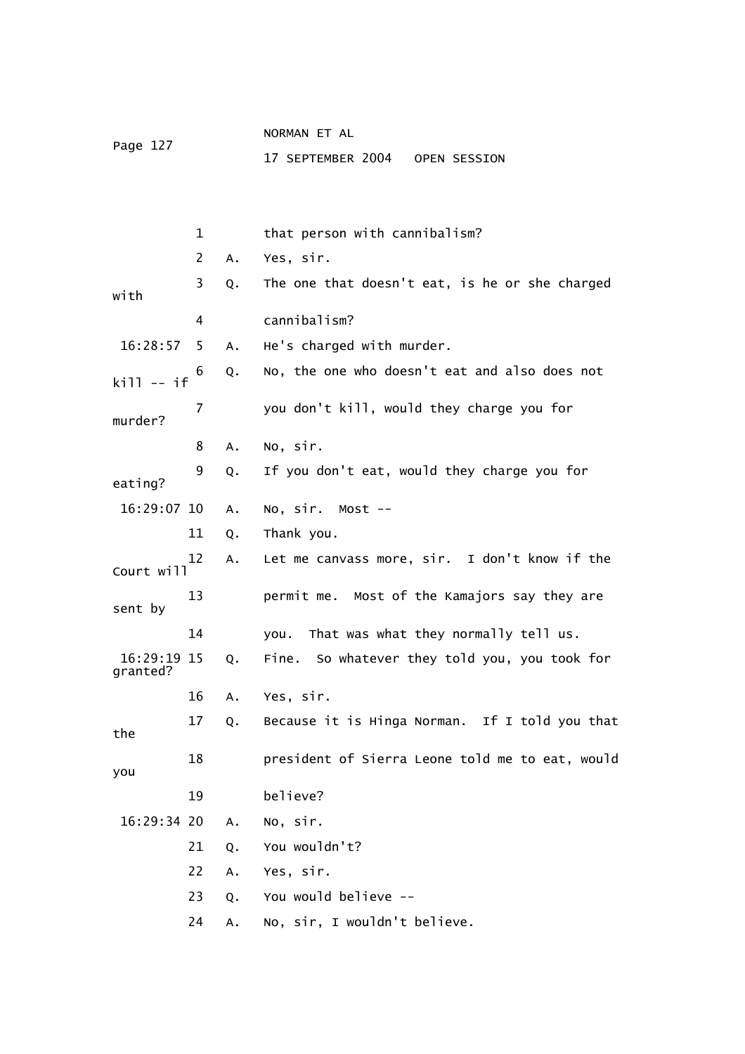|          | NORMAN ET AL                   |  |
|----------|--------------------------------|--|
| Page 127 | 17 SEPTEMBER 2004 OPEN SESSION |  |

|                         | 1  |    | that person with cannibalism?                   |
|-------------------------|----|----|-------------------------------------------------|
|                         | 2  | Α. | Yes, sir.                                       |
| with                    | 3  | Q. | The one that doesn't eat, is he or she charged  |
|                         | 4  |    | cannibalism?                                    |
| 16:28:57                | 5  | Α. | He's charged with murder.                       |
| $kill$ -- if            | 6  | Q. | No, the one who doesn't eat and also does not   |
| murder?                 | 7  |    | you don't kill, would they charge you for       |
|                         | 8  | Α. | No, sir.                                        |
| eating?                 | 9  | Q. | If you don't eat, would they charge you for     |
| 16:29:07 10             |    | А. | No, sir. Most --                                |
|                         | 11 | Q. | Thank you.                                      |
| Court will              | 12 | Α. | Let me canvass more, sir. I don't know if the   |
| sent by                 | 13 |    | permit me. Most of the Kamajors say they are    |
|                         | 14 |    | That was what they normally tell us.<br>you.    |
| 16:29:19 15<br>granted? |    | Q. | Fine. So whatever they told you, you took for   |
|                         | 16 | Α. | Yes, sir.                                       |
| the                     | 17 | Q. | Because it is Hinga Norman. If I told you that  |
| you                     | 18 |    | president of Sierra Leone told me to eat, would |
|                         | 19 |    | believe?                                        |
| 16:29:34 20             |    | Α. | No, sir.                                        |
|                         | 21 | Q. | You wouldn't?                                   |
|                         | 22 | Α. | Yes, sir.                                       |
|                         | 23 | Q. | You would believe --                            |
|                         | 24 | Α. | No, sir, I wouldn't believe.                    |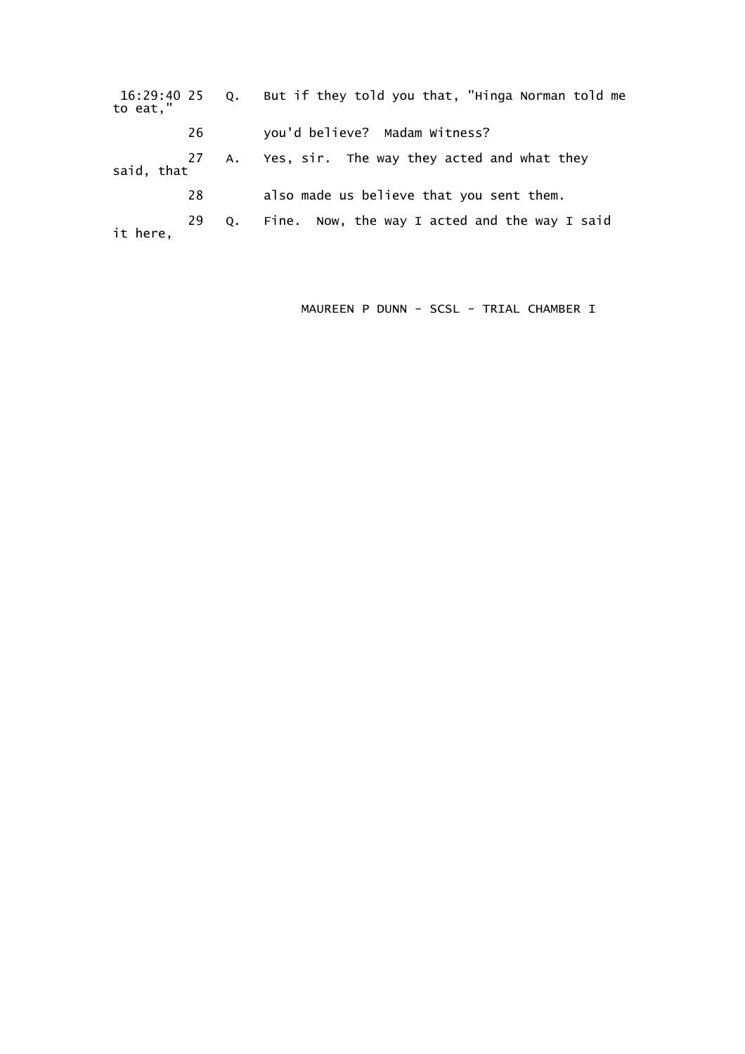16:29:40 25 Q. But if they told you that, "Hinga Norman told me to eat," 26 you'd believe? Madam Witness? 27 A. Yes, sir. The way they acted and what they said, that 28 also made us believe that you sent them. 29 Q. Fine. Now, the way I acted and the way I said it here,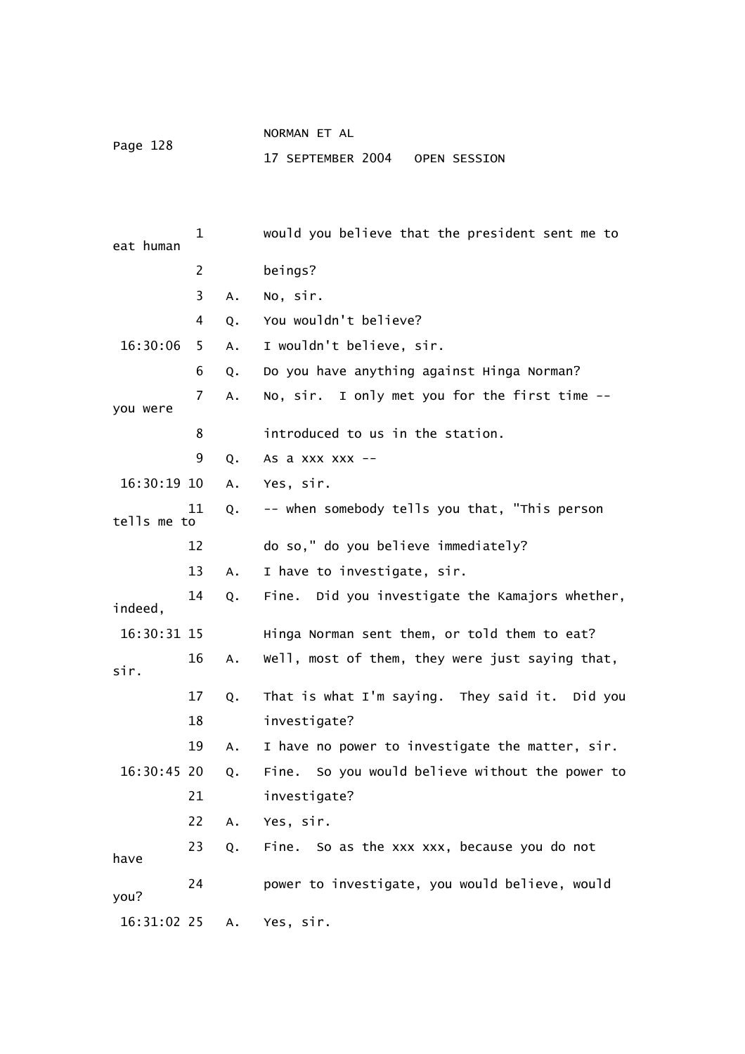|          | NORMAN ET AL                   |  |
|----------|--------------------------------|--|
| Page 128 | 17 SEPTEMBER 2004 OPEN SESSION |  |

| eat human   | 1  |    | would you believe that the president sent me to    |
|-------------|----|----|----------------------------------------------------|
|             | 2  |    | beings?                                            |
|             | 3  | Α. | No, sir.                                           |
|             | 4  | Q. | You wouldn't believe?                              |
| 16:30:06    | 5  | Α. | I wouldn't believe, sir.                           |
|             | 6  | Q. | Do you have anything against Hinga Norman?         |
| you were    | 7  | Α. | No, sir. I only met you for the first time --      |
|             | 8  |    | introduced to us in the station.                   |
|             | 9  | Q. | As a xxx xxx --                                    |
| 16:30:19 10 |    | Α. | Yes, sir.                                          |
| tells me to | 11 | Q. | -- when somebody tells you that, "This person      |
|             | 12 |    | do so," do you believe immediately?                |
|             | 13 | Α. | I have to investigate, sir.                        |
| indeed,     | 14 | Q. | Fine. Did you investigate the Kamajors whether,    |
| 16:30:31 15 |    |    | Hinga Norman sent them, or told them to eat?       |
| sir.        | 16 | Α. | well, most of them, they were just saying that,    |
|             | 17 | Q. | That is what I'm saying. They said it. Did you     |
|             | 18 |    | investigate?                                       |
|             | 19 | А. | I have no power to investigate the matter, sir.    |
| 16:30:45 20 |    | Q. | So you would believe without the power to<br>Fine. |
|             | 21 |    | investigate?                                       |
|             | 22 | Α. | Yes, sir.                                          |
| have        | 23 | Q. | Fine. So as the xxx xxx, because you do not        |
| you?        | 24 |    | power to investigate, you would believe, would     |
| 16:31:02 25 |    |    | A. Yes, sir.                                       |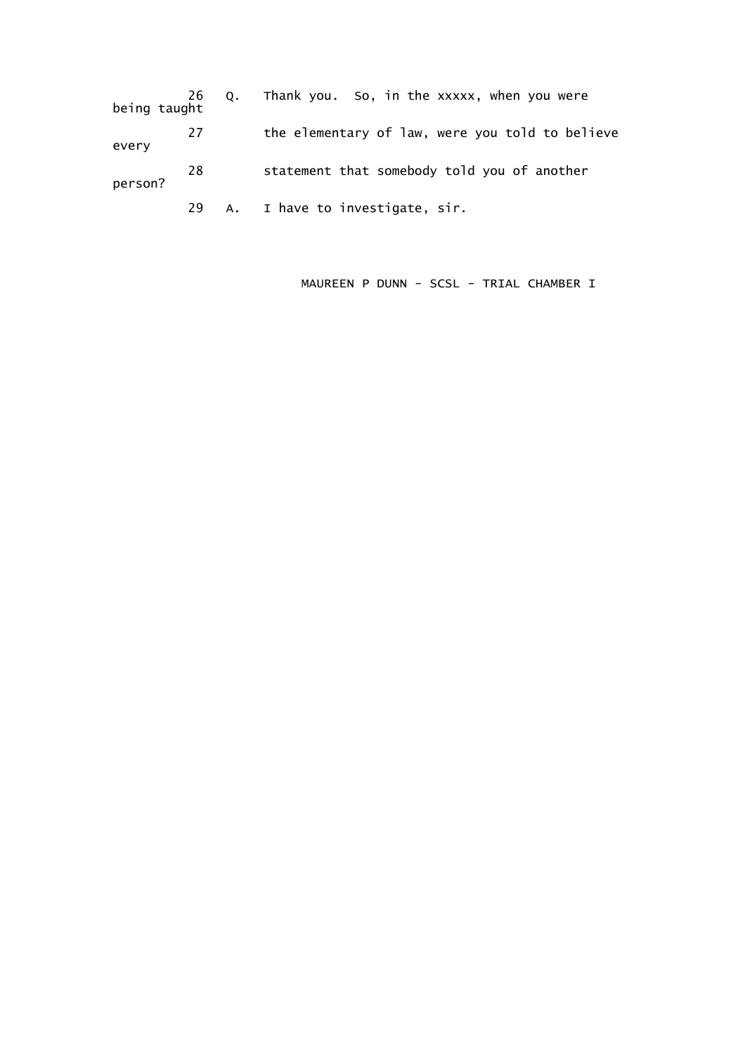Q. Thank you. So, in the xxxxx, when you were being taught 27 the elementary of law, were you told to believe every 28 statement that somebody told you of another person? 29 A. I have to investigate, sir.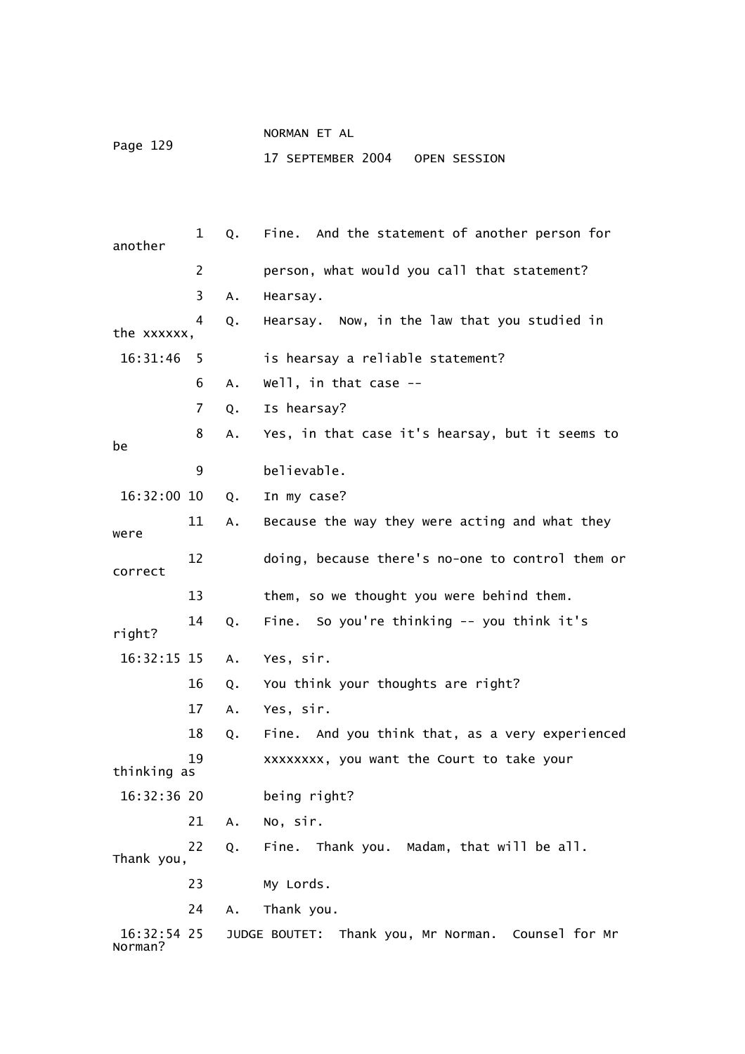|          | NORMAN ET AL                   |  |
|----------|--------------------------------|--|
| Page 129 | 17 SEPTEMBER 2004 OPEN SESSION |  |

| another                | 1              | Q. | Fine. And the statement of another person for      |
|------------------------|----------------|----|----------------------------------------------------|
|                        | 2              |    | person, what would you call that statement?        |
|                        | 3              | Α. | Hearsay.                                           |
| the xxxxxx,            | 4              | Q. | Hearsay. Now, in the law that you studied in       |
| $16:31:46$ 5           |                |    | is hearsay a reliable statement?                   |
|                        | 6              | Α. | $well, in that case --$                            |
|                        | $\overline{7}$ | Q. | Is hearsay?                                        |
| be                     | 8              | А. | Yes, in that case it's hearsay, but it seems to    |
|                        | 9              |    | believable.                                        |
| 16:32:00 10            |                | Q. | In my case?                                        |
| were                   | 11             | Α. | Because the way they were acting and what they     |
| correct                | 12             |    | doing, because there's no-one to control them or   |
|                        | 13             |    | them, so we thought you were behind them.          |
| right?                 | 14             | Q. | Fine. So you're thinking -- you think it's         |
| $16:32:15$ 15          |                | Α. | Yes, sir.                                          |
|                        | 16             | Q. | You think your thoughts are right?                 |
|                        | 17             | Α. | Yes, sir.                                          |
|                        | 18             | Q. | Fine. And you think that, as a very experienced    |
| thinking as            | 19             |    | xxxxxxxx, you want the Court to take your          |
| 16:32:36 20            |                |    | being right?                                       |
|                        | 21             | Α. | No, sir.                                           |
| Thank you,             | 22             | Q. | Fine. Thank you. Madam, that will be all.          |
|                        | 23             |    | My Lords.                                          |
|                        | 24             | Α. | Thank you.                                         |
| 16:32:54 25<br>Norman? |                |    | JUDGE BOUTET: Thank you, Mr Norman. Counsel for Mr |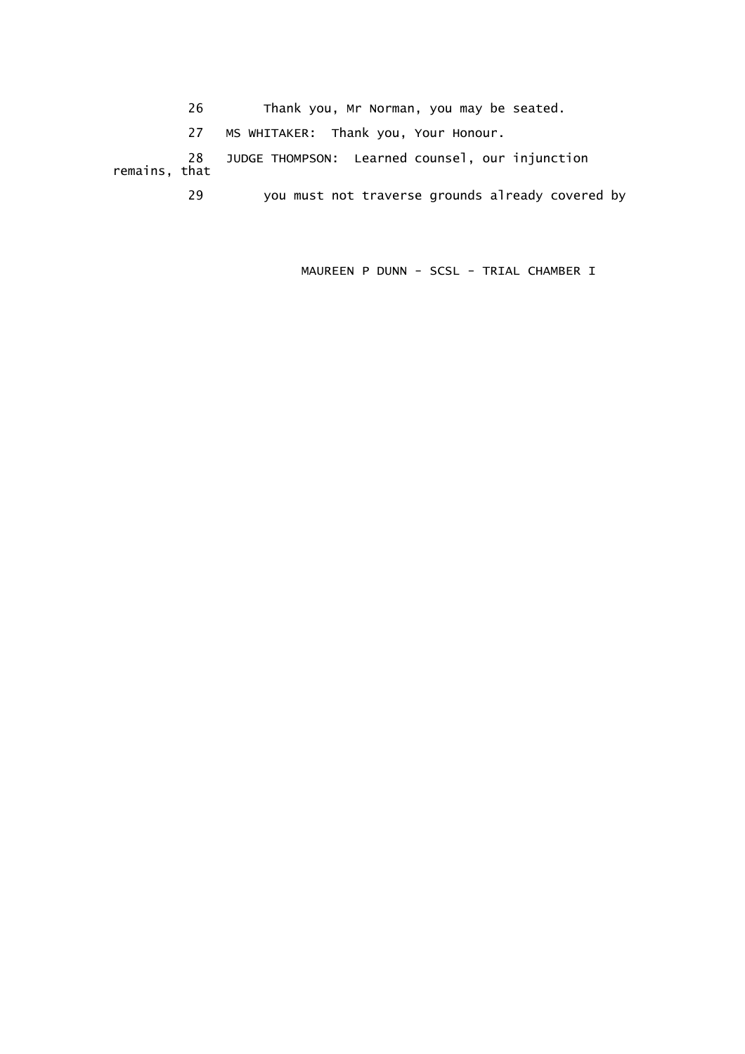26 Thank you, Mr Norman, you may be seated.

27 MS WHITAKER: Thank you, Your Honour.

 28 JUDGE THOMPSON: Learned counsel, our injunction remains, that

29 you must not traverse grounds already covered by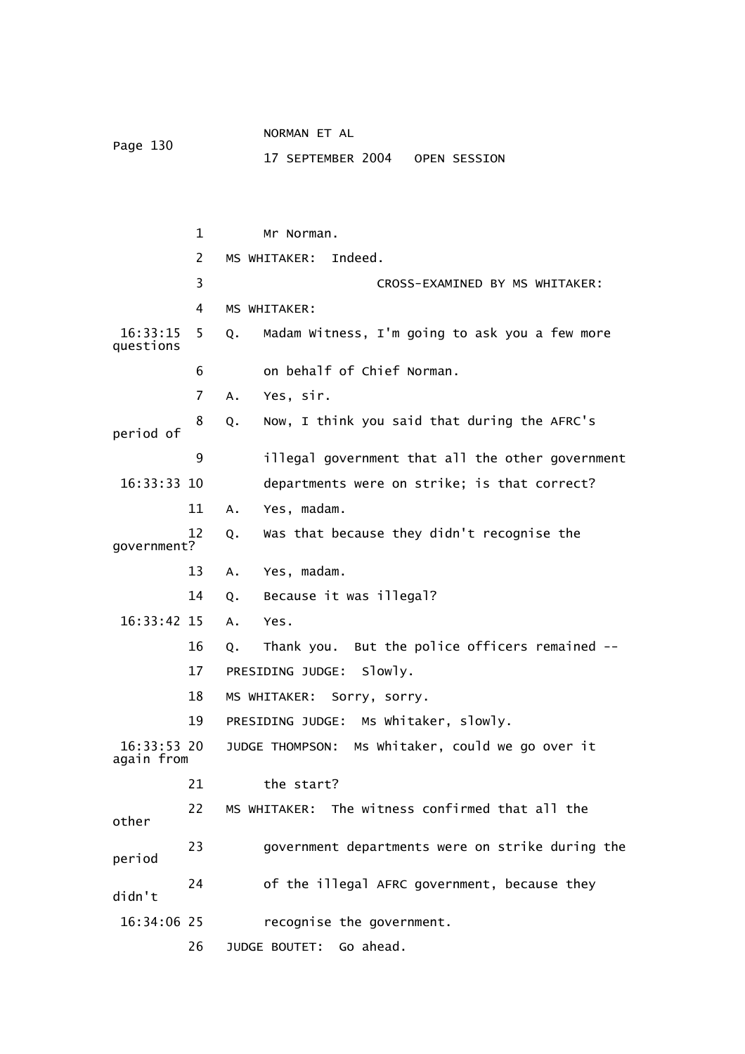| Page 130 | NORMAN ET AL                   |  |  |
|----------|--------------------------------|--|--|
|          | 17 SEPTEMBER 2004 OPEN SESSION |  |  |

|                           | 1              | Mr Norman.                                           |
|---------------------------|----------------|------------------------------------------------------|
|                           | $\overline{2}$ | Indeed.<br>MS WHITAKER:                              |
|                           | 3              | CROSS-EXAMINED BY MS WHITAKER:                       |
|                           | 4              | MS WHITAKER:                                         |
| 16:33:15<br>questions     | 5              | Madam Witness, I'm going to ask you a few more<br>Q. |
|                           | 6              | on behalf of Chief Norman.                           |
|                           | 7              | Yes, sir.<br>A.                                      |
| period of                 | 8              | Now, I think you said that during the AFRC's<br>Q.   |
|                           | 9              | illegal government that all the other government     |
| 16:33:33 10               |                | departments were on strike; is that correct?         |
|                           | 11             | Yes, madam.<br>А.                                    |
| government?               | 12             | Was that because they didn't recognise the<br>Q.     |
|                           | 13             | Yes, madam.<br>А.                                    |
|                           | 14             | Because it was illegal?<br>Q.                        |
| 16:33:42 15               |                | A.<br>Yes.                                           |
|                           | 16             | Thank you. But the police officers remained --<br>Q. |
|                           | 17             | PRESIDING JUDGE: Slowly.                             |
|                           | 18             | MS WHITAKER: Sorry, sorry.                           |
|                           | 19             | PRESIDING JUDGE: Ms Whitaker, slowly.                |
| 16:33:53 20<br>again from |                | JUDGE THOMPSON: Ms whitaker, could we go over it     |
|                           | 21             | the start?                                           |
| other                     | 22             | MS WHITAKER: The witness confirmed that all the      |
| period                    | 23             | government departments were on strike during the     |
| didn't                    | 24             | of the illegal AFRC government, because they         |
| 16:34:06 25               |                | recognise the government.                            |
|                           | 26             | JUDGE BOUTET: Go ahead.                              |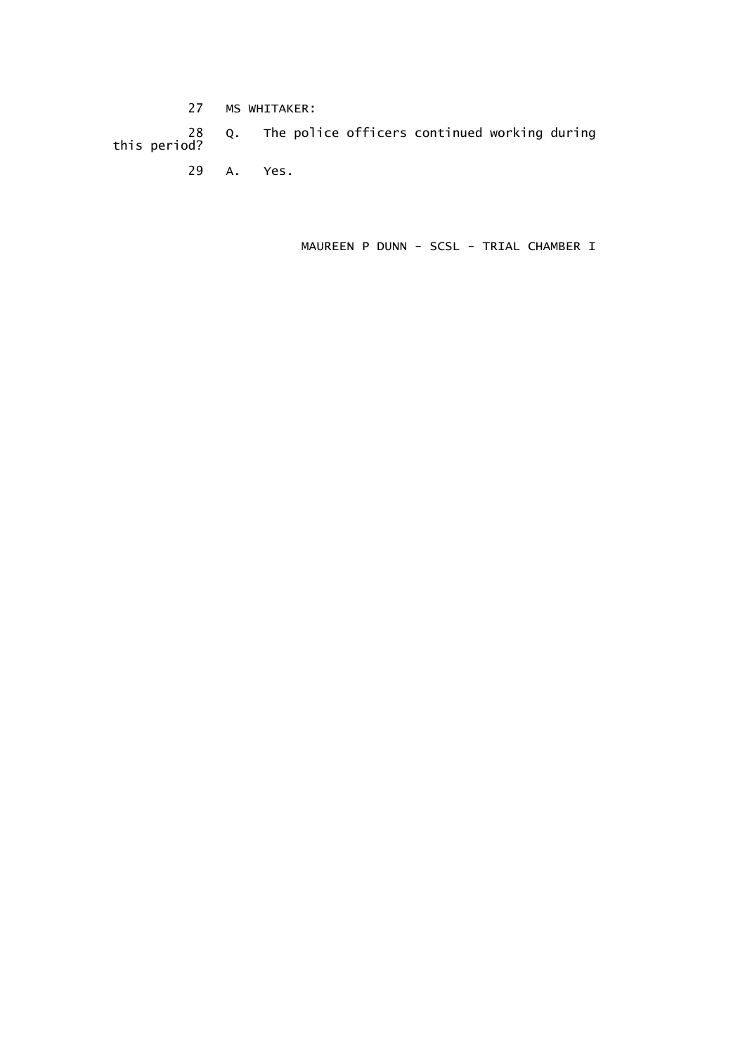27 MS WHITAKER:

Q. The police officers continued working during this period? 29 A. Yes.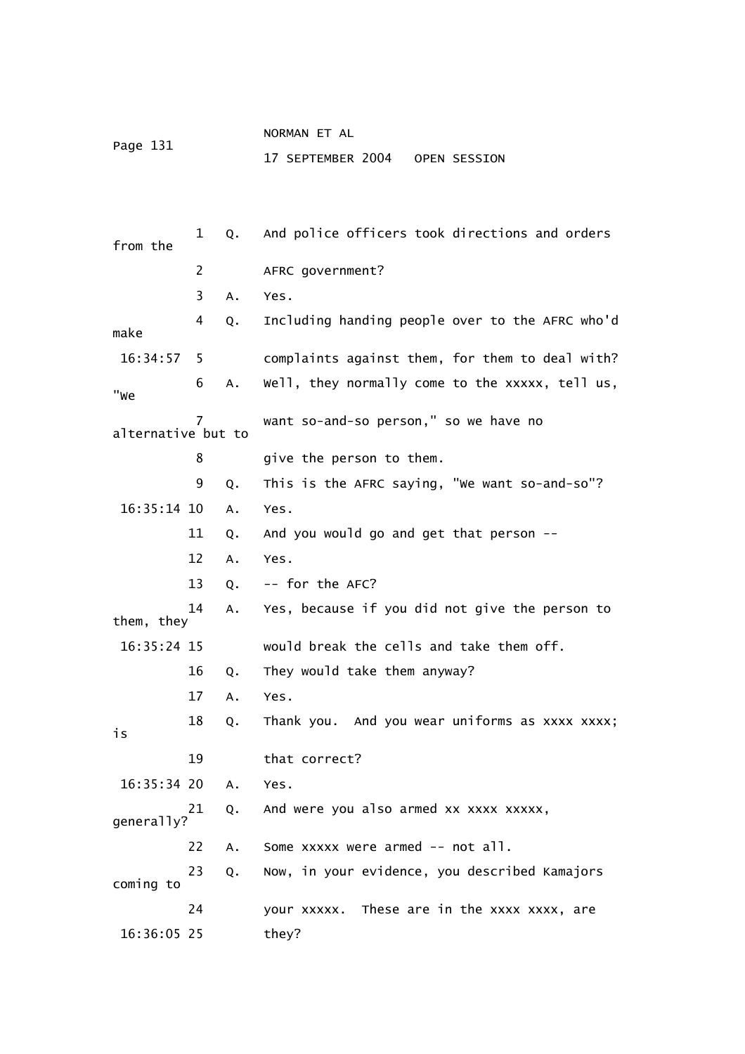|          | NORMAN ET AL                   |  |
|----------|--------------------------------|--|
| Page 131 | 17 SEPTEMBER 2004 OPEN SESSION |  |

| from the           | 1  | Q. | And police officers took directions and orders  |
|--------------------|----|----|-------------------------------------------------|
|                    | 2  |    | AFRC government?                                |
|                    | 3  | Α. | Yes.                                            |
| make               | 4  | Q. | Including handing people over to the AFRC who'd |
| $16:34:57$ 5       |    |    | complaints against them, for them to deal with? |
| "we                | 6  | Α. | well, they normally come to the xxxxx, tell us, |
| alternative but to |    |    | want so-and-so person," so we have no           |
|                    | 8  |    | give the person to them.                        |
|                    | 9  | Q. | This is the AFRC saying, "We want so-and-so"?   |
| $16:35:14$ 10      |    | Α. | Yes.                                            |
|                    | 11 | Q. | And you would go and get that person --         |
|                    | 12 | Α. | Yes.                                            |
|                    | 13 | Q. | -- for the AFC?                                 |
| them, they         | 14 | А. | Yes, because if you did not give the person to  |
| $16:35:24$ 15      |    |    | would break the cells and take them off.        |
|                    | 16 | Q. | They would take them anyway?                    |
|                    | 17 | Α. | Yes.                                            |
| is                 | 18 | Q. | Thank you. And you wear uniforms as xxxx xxxx;  |
|                    | 19 |    | that correct?                                   |
| 16:35:34 20        |    | A. | Yes.                                            |
| generally?         | 21 | Q. | And were you also armed xx xxxx xxxxx,          |
|                    | 22 | А. | Some xxxxx were armed -- not all.               |
| coming to          | 23 | Q. | Now, in your evidence, you described Kamajors   |
|                    | 24 |    | your xxxxx. These are in the xxxx xxxx, are     |
| 16:36:05 25        |    |    | they?                                           |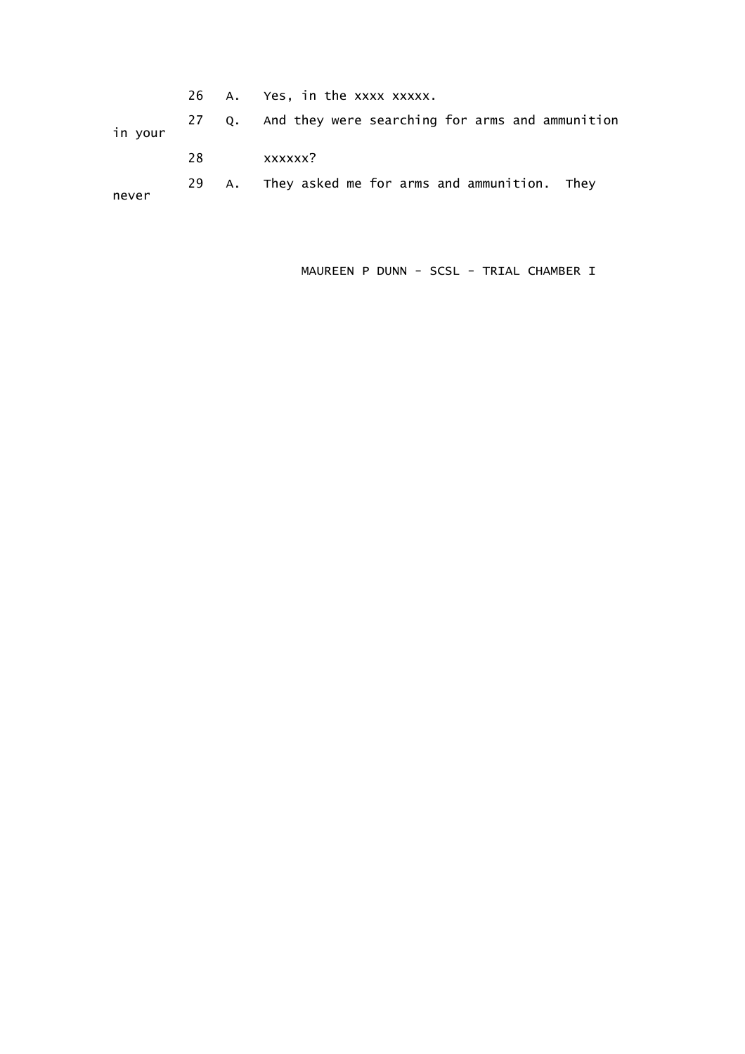|         |      | 26 A. Yes, in the xxxx xxxxx.                         |
|---------|------|-------------------------------------------------------|
| in your |      | 27 Q. And they were searching for arms and ammunition |
|         | 28 — | xxxxxx?                                               |
| never   |      | 29 A. They asked me for arms and ammunition. They     |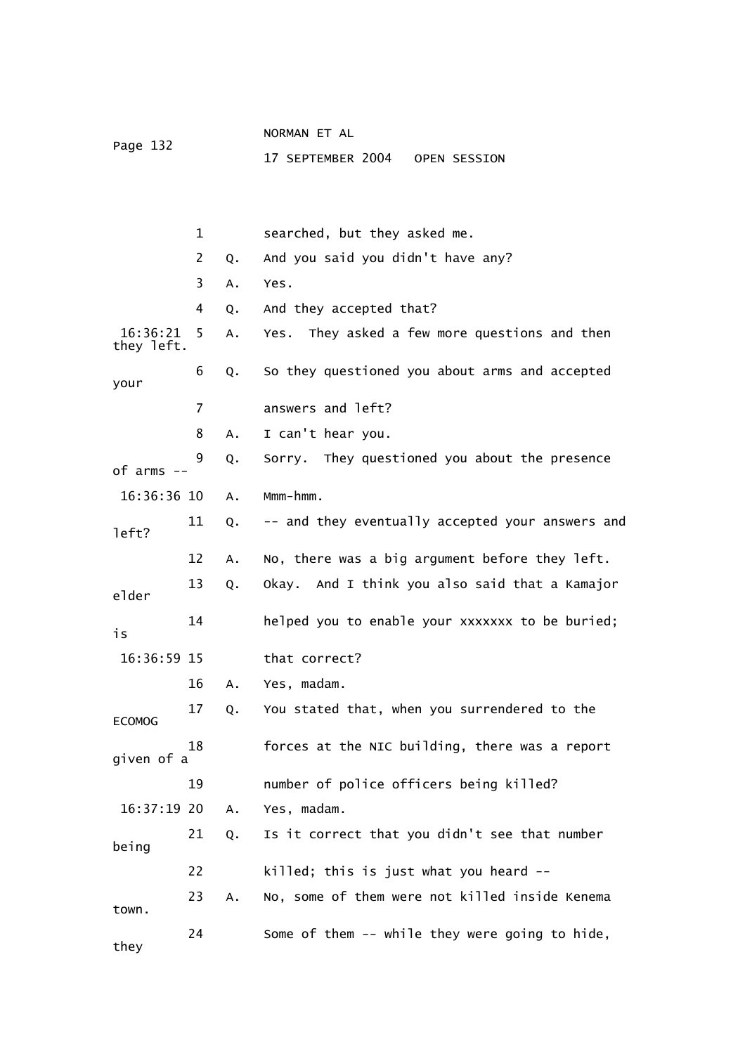|          | NORMAN ET AL                   |  |
|----------|--------------------------------|--|
| Page 132 | 17 SEPTEMBER 2004 OPEN SESSION |  |

|                        | 1  |    | searched, but they asked me.                     |
|------------------------|----|----|--------------------------------------------------|
|                        | 2  | Q. | And you said you didn't have any?                |
|                        | 3  | Α. | Yes.                                             |
|                        | 4  | Q. | And they accepted that?                          |
| 16:36:21<br>they left. | 5. | А. | They asked a few more questions and then<br>Yes. |
| your                   | 6  | Q. | So they questioned you about arms and accepted   |
|                        | 7  |    | answers and left?                                |
|                        | 8  | А. | I can't hear you.                                |
| of arms --             | 9  | Q. | Sorry. They questioned you about the presence    |
| 16:36:36 10            |    | А. | $Mmm-hmm$ .                                      |
| left?                  | 11 | Q. | -- and they eventually accepted your answers and |
|                        | 12 | Α. | No, there was a big argument before they left.   |
| elder                  | 13 | Q. | Okay. And I think you also said that a Kamajor   |
| is                     | 14 |    | helped you to enable your xxxxxxx to be buried;  |
| 16:36:59 15            |    |    | that correct?                                    |
|                        | 16 | Α. | Yes, madam.                                      |
| <b>ECOMOG</b>          | 17 | Q. | You stated that, when you surrendered to the     |
| given of a             | 18 |    | forces at the NIC building, there was a report   |
|                        | 19 |    | number of police officers being killed?          |
| 16:37:19 20            |    | Α. | Yes, madam.                                      |
| being                  | 21 | Q. | Is it correct that you didn't see that number    |
|                        | 22 |    | killed; this is just what you heard --           |
| town.                  | 23 | Α. | No, some of them were not killed inside Kenema   |
| they                   | 24 |    | Some of them -- while they were going to hide,   |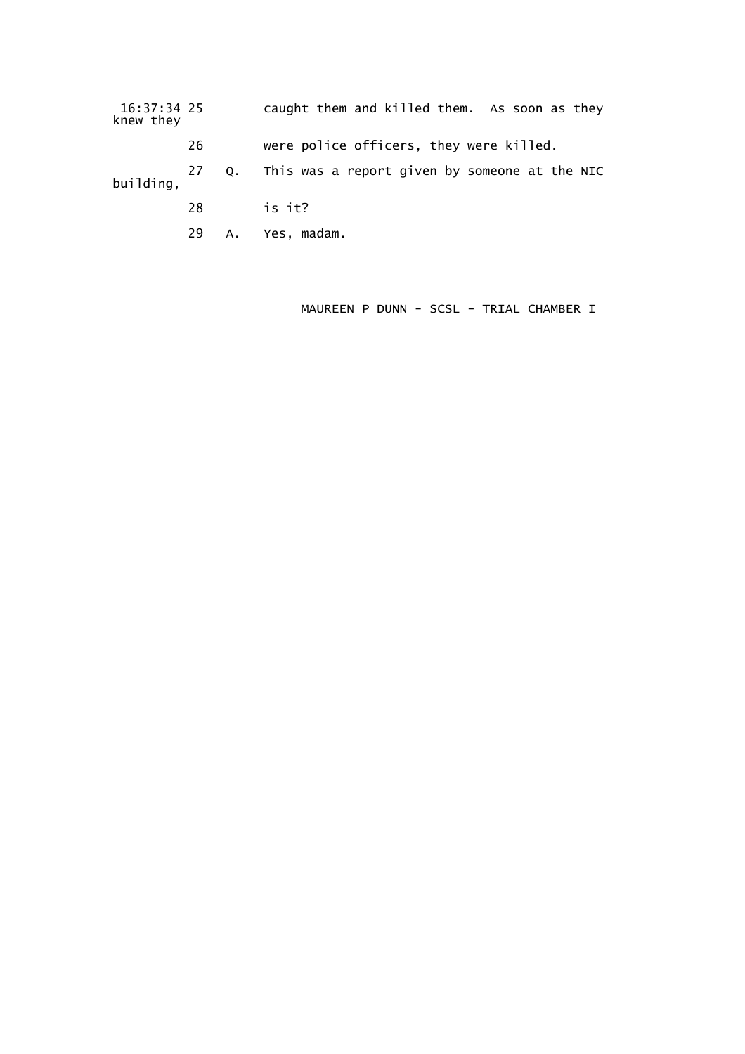caught them and killed them. As soon as they 16:37:34 25<br>knew they 26 were police officers, they were killed. 27 Q. This was a report given by someone at the NIC building, 28 is it? 29 A. Yes, madam.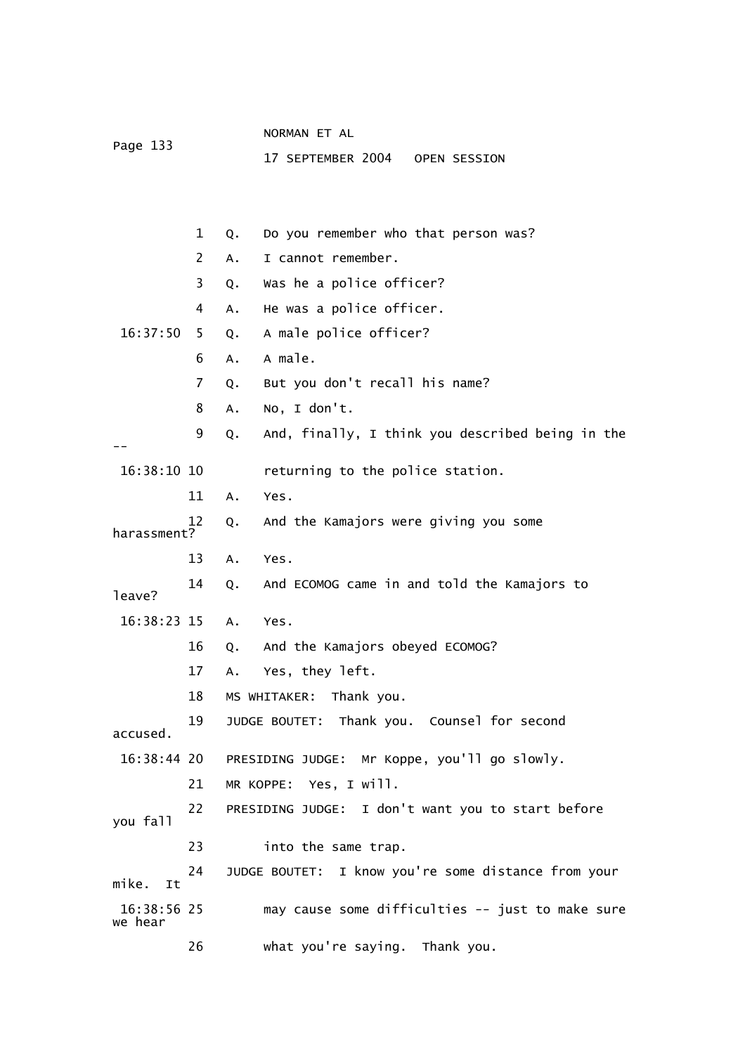|                        |              | NORMAN ET AL                                           |
|------------------------|--------------|--------------------------------------------------------|
| Page 133               |              | 17 SEPTEMBER 2004 OPEN SESSION                         |
|                        |              |                                                        |
|                        |              |                                                        |
|                        | $\mathbf{1}$ | Do you remember who that person was?<br>Q.             |
|                        | 2            | I cannot remember.<br>А.                               |
|                        | 3            | Was he a police officer?<br>Q.                         |
|                        | 4            | He was a police officer.<br>А.                         |
| 16:37:50               | 5.           | A male police officer?<br>Q.                           |
|                        | 6            | A male.<br>Α.                                          |
|                        | 7            | But you don't recall his name?<br>Q.                   |
|                        | 8            | No, I don't.<br>Α.                                     |
|                        | 9            | And, finally, I think you described being in the<br>Q. |
| 16:38:10 10            |              | returning to the police station.                       |
|                        | 11           | Yes.<br>Α.                                             |
| harassment?            | 12           | And the Kamajors were giving you some<br>Q.            |
|                        | 13           | Yes.<br>А.                                             |
| leave?                 | 14           | And ECOMOG came in and told the Kamajors to<br>Q.      |
| 16:38:23 15            |              | Yes.<br>Α.                                             |
|                        | 16           | And the Kamajors obeyed ECOMOG?<br>Q <sub>1</sub>      |
|                        | 17           | Yes, they left.<br>Α.                                  |
|                        | 18           | MS WHITAKER: Thank you.                                |
| accused.               | 19           | JUDGE BOUTET: Thank you. Counsel for second            |
| 16:38:44 20            |              | PRESIDING JUDGE: Mr Koppe, you'll go slowly.           |
|                        | 21           | MR KOPPE: Yes, I will.                                 |
| you fall               | 22           | PRESIDING JUDGE: I don't want you to start before      |
|                        | 23           | into the same trap.                                    |
| mike.<br>Ιt            | 24           | JUDGE BOUTET: I know you're some distance from your    |
| 16:38:56 25<br>we hear |              | may cause some difficulties -- just to make sure       |
|                        | 26           | what you're saying. Thank you.                         |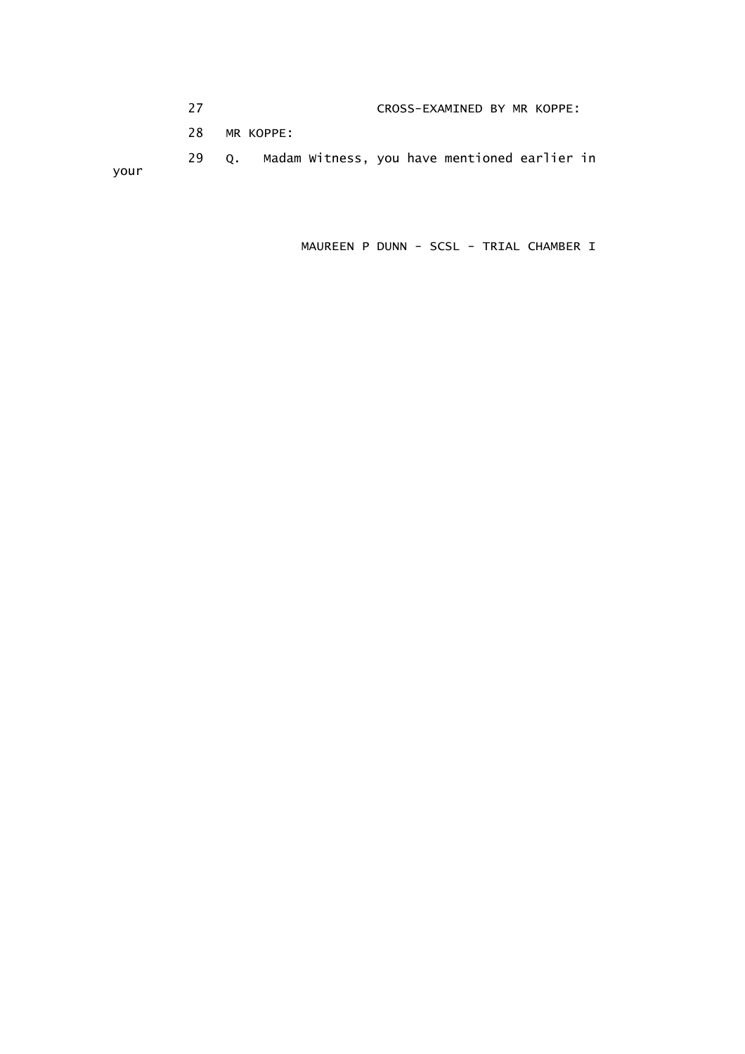27 CROSS-EXAMINED BY MR KOPPE: 28 MR KOPPE: 29 Q. Madam Witness, you have mentioned earlier in your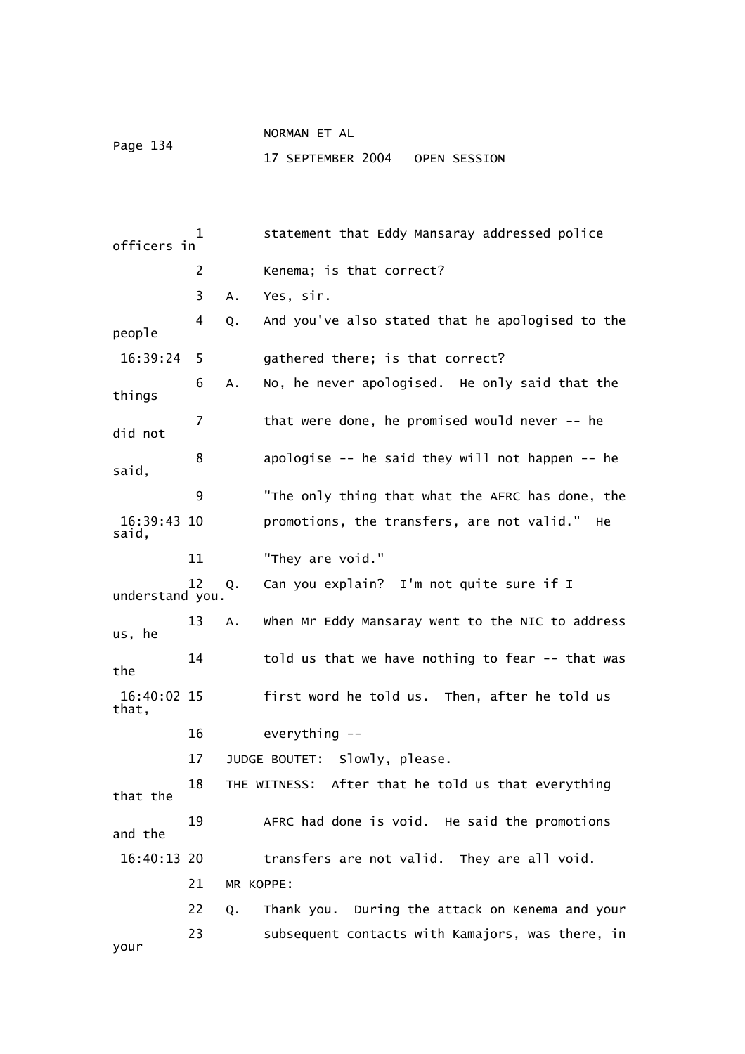|          | NORMAN ET AL                   |  |
|----------|--------------------------------|--|
| Page 134 | 17 SEPTEMBER 2004 OPEN SESSION |  |

 1 statement that Eddy Mansaray addressed police officers in 2 Kenema; is that correct? 3 A. Yes, sir. 4 Q. And you've also stated that he apologised to the people 16:39:24 5 gathered there; is that correct? 6 A. No, he never apologised. He only said that the things 7 that were done, he promised would never -- he did not 8 apologise -- he said they will not happen -- he said, 9 "The only thing that what the AFRC has done, the 16:39:43 10 promotions, the transfers, are not valid." He said, 11 "They are void." 12 Q. Can you explain? I'm not quite sure if I understand you. 13 A. When Mr Eddy Mansaray went to the NIC to address us, he 14 told us that we have nothing to fear -- that was the 16:40:02 15 first word he told us. Then, after he told us that, 16 everything -- 17 JUDGE BOUTET: Slowly, please. 18 THE WITNESS: After that he told us that everything that the 19 AFRC had done is void. He said the promotions and the 16:40:13 20 transfers are not valid. They are all void. 21 MR KOPPE: 22 Q. Thank you. During the attack on Kenema and your 23 subsequent contacts with Kamajors, was there, in your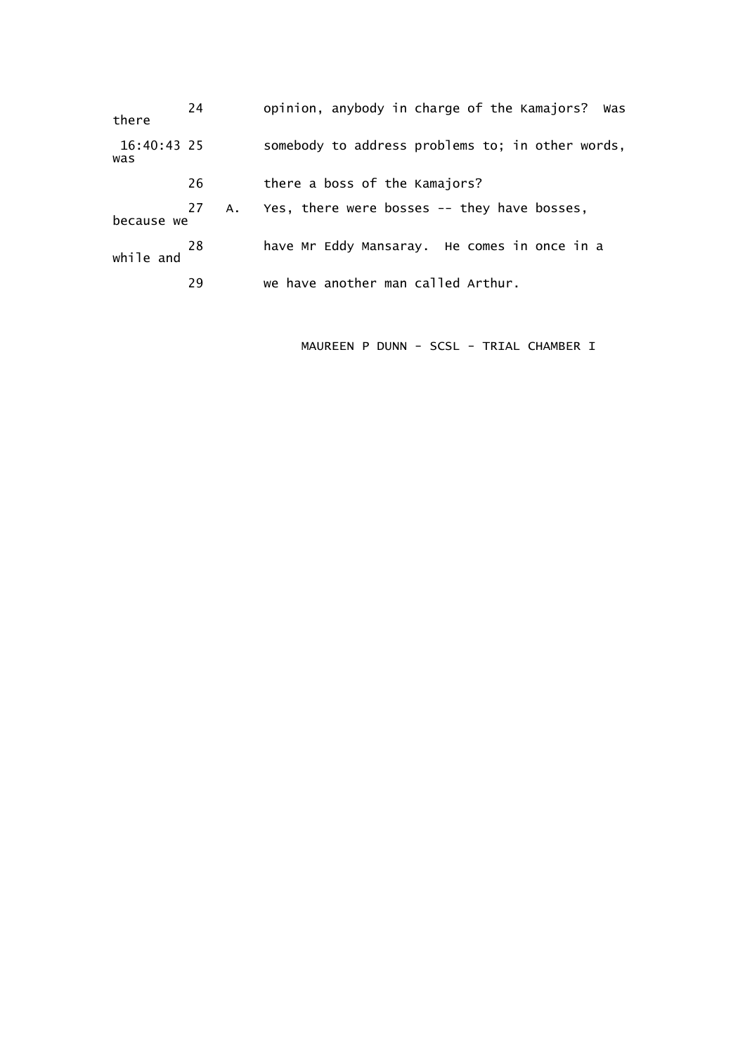| there              | 24 | opinion, anybody in charge of the Kamajors? Was  |
|--------------------|----|--------------------------------------------------|
| 16:40:43 25<br>was |    | somebody to address problems to; in other words, |
|                    | 26 | there a boss of the Kamajors?                    |
| because we         | 27 | A. Yes, there were bosses -- they have bosses,   |
| while and          | 28 | have Mr Eddy Mansaray. He comes in once in a     |
|                    | 29 | we have another man called Arthur.               |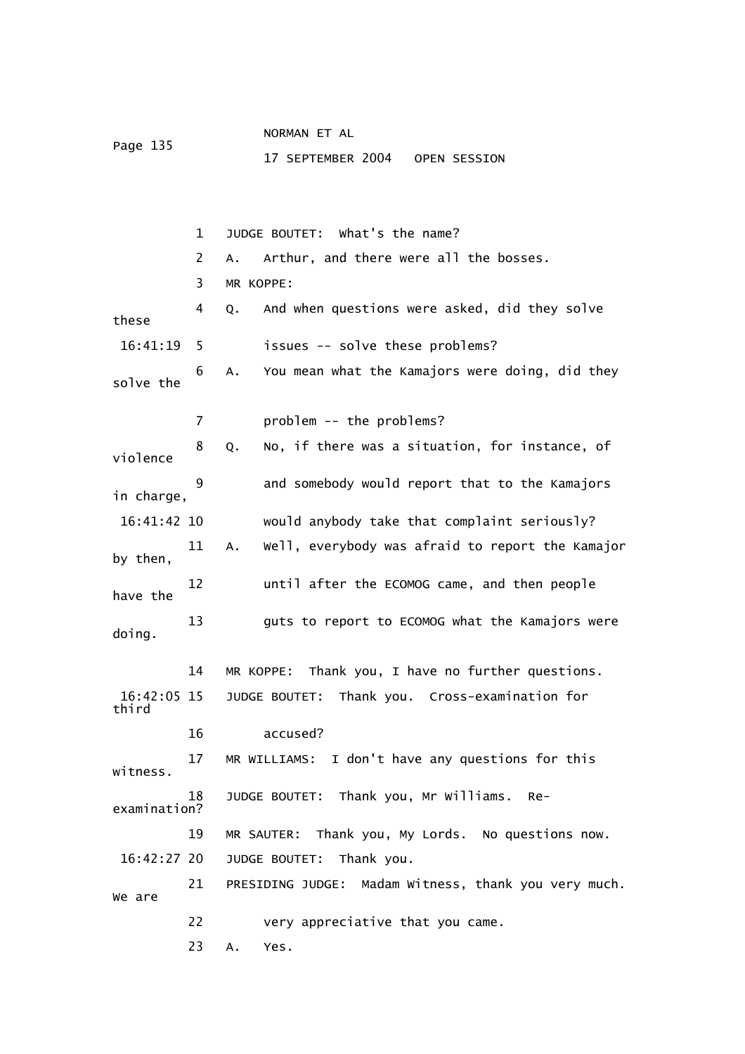|          | NORMAN ET AL                   |  |
|----------|--------------------------------|--|
| Page 135 | 17 SEPTEMBER 2004 OPEN SESSION |  |

|                      | 1              | JUDGE BOUTET: What's the name?                          |  |
|----------------------|----------------|---------------------------------------------------------|--|
|                      | 2              | Arthur, and there were all the bosses.<br>А.            |  |
|                      | 3              | MR KOPPE:                                               |  |
| these                | 4              | And when questions were asked, did they solve<br>Q.     |  |
| 16:41:19             | 5              | issues -- solve these problems?                         |  |
| solve the            | 6              | You mean what the Kamajors were doing, did they<br>А.   |  |
|                      | $\overline{7}$ | problem -- the problems?                                |  |
| violence             | 8              | No, if there was a situation, for instance, of<br>Q.    |  |
| in charge,           | 9              | and somebody would report that to the Kamajors          |  |
| 16:41:42 10          |                | would anybody take that complaint seriously?            |  |
| by then,             | 11             | Well, everybody was afraid to report the Kamajor<br>Α.  |  |
| have the             | 12             | until after the ECOMOG came, and then people            |  |
| doing.               | 13             | guts to report to ECOMOG what the Kamajors were         |  |
|                      | 14             | MR KOPPE: Thank you, I have no further questions.       |  |
| 16:42:05 15<br>third |                | JUDGE BOUTET: Thank you. Cross-examination for          |  |
|                      | 16             | accused?                                                |  |
| witness.             | 17             | MR WILLIAMS: I don't have any questions for this        |  |
| examination?         | 18             | JUDGE BOUTET: Thank you, Mr Williams. Re-               |  |
|                      | 19             | MR SAUTER: Thank you, My Lords. No questions now.       |  |
| 16:42:27 20          |                | Thank you.<br>JUDGE BOUTET:                             |  |
| We are               | 21             | Madam Witness, thank you very much.<br>PRESIDING JUDGE: |  |
|                      | 22             | very appreciative that you came.                        |  |
|                      | 23             | Yes.<br>Α.                                              |  |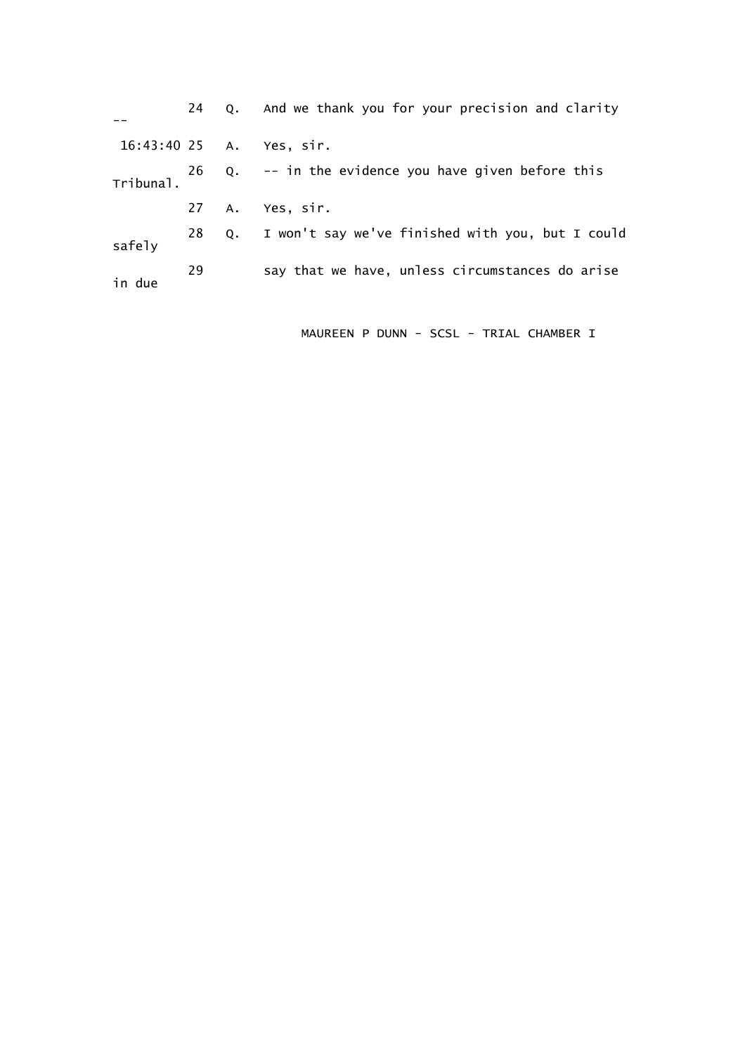|           |    | 24 Q. And we thank you for your precision and clarity  |
|-----------|----|--------------------------------------------------------|
|           |    | 16:43:40 25 A. Yes, sir.                               |
| Tribunal. |    | 26 $Q.$ -- in the evidence you have given before this  |
|           |    | 27 A. Yes, sir.                                        |
| safely    |    | 28 Q. I won't say we've finished with you, but I could |
| in due    | 29 | say that we have, unless circumstances do arise        |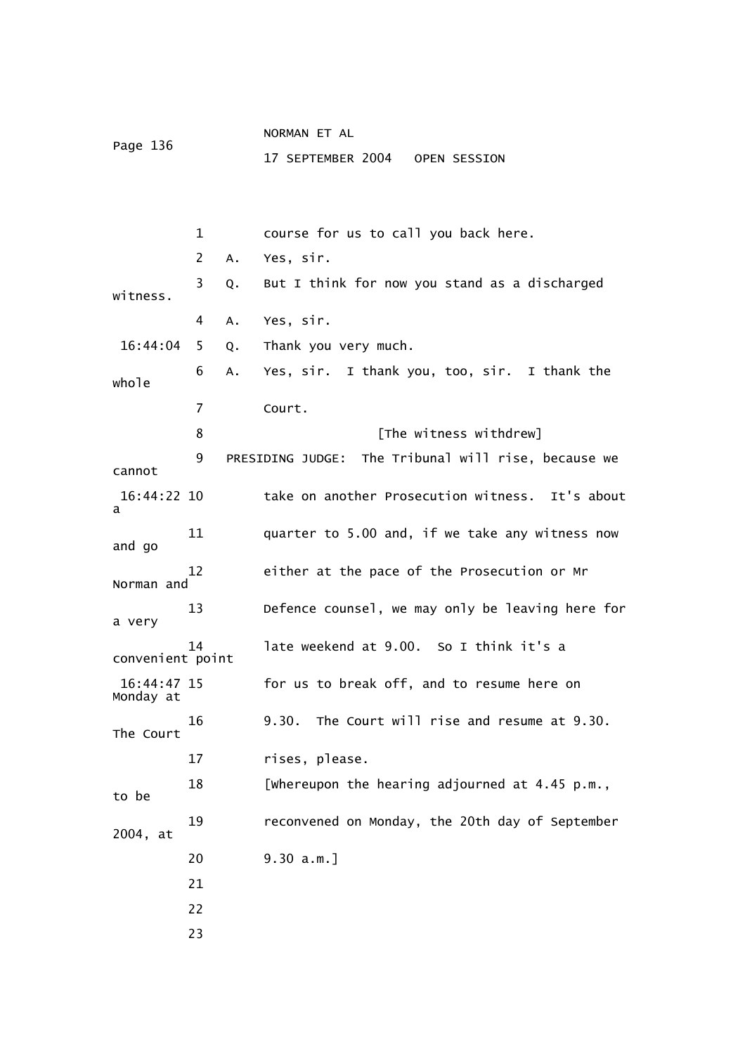|          | NORMAN ET AL                   |  |
|----------|--------------------------------|--|
| Page 136 | 17 SEPTEMBER 2004 OPEN SESSION |  |

 1 course for us to call you back here. 2 A. Yes, sir. 3 Q. But I think for now you stand as a discharged witness. 4 A. Yes, sir. 16:44:04 5 Q. Thank you very much. 6 A. Yes, sir. I thank you, too, sir. I thank the whole 7 Court. 8 [The witness withdrew] 9 PRESIDING JUDGE: The Tribunal will rise, because we cannot 16:44:22 10 take on another Prosecution witness. It's about a 11 quarter to 5.00 and, if we take any witness now and go 12 either at the pace of the Prosecution or Mr Norman and 13 Defence counsel, we may only be leaving here for a very 14 late weekend at 9.00. So I think it's a convenient point 16:44:47 15 for us to break off, and to resume here on Monday at 16 9.30. The Court will rise and resume at 9.30. The Court 17 rises, please. 18 [Whereupon the hearing adjourned at 4.45 p.m., to be 19 reconvened on Monday, the 20th day of September 2004, at 20 9.30 a.m.] 21 22 23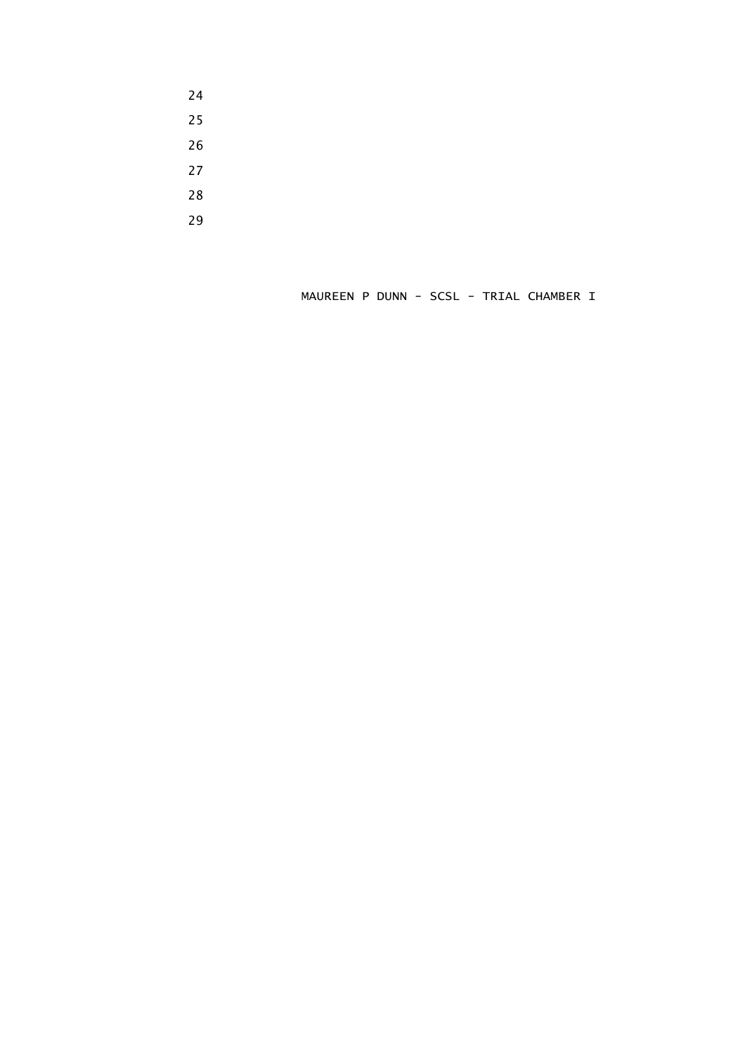- 
-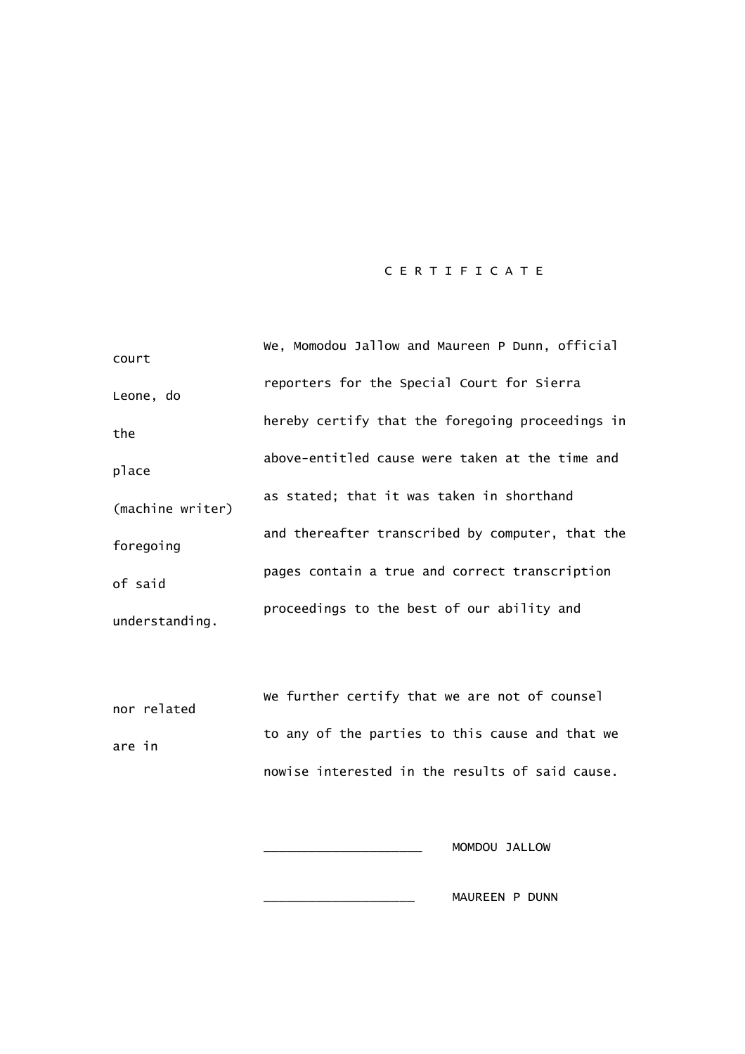## C E R T I F I C A T E

| court            | We, Momodou Jallow and Maureen P Dunn, official  |
|------------------|--------------------------------------------------|
| Leone, do        | reporters for the Special Court for Sierra       |
| the              | hereby certify that the foregoing proceedings in |
| place            | above-entitled cause were taken at the time and  |
| (machine writer) | as stated; that it was taken in shorthand        |
| foregoing        | and thereafter transcribed by computer, that the |
| of said          | pages contain a true and correct transcription   |
| understanding.   | proceedings to the best of our ability and       |

| nor related | We further certify that we are not of counsel   |
|-------------|-------------------------------------------------|
| are in      | to any of the parties to this cause and that we |
|             | nowise interested in the results of said cause. |

\_\_\_\_\_\_\_\_\_\_\_\_\_\_\_\_\_\_\_\_\_ MOMDOU JALLOW

\_\_\_\_\_\_\_\_\_\_\_\_\_\_\_\_\_\_\_\_ MAUREEN P DUNN